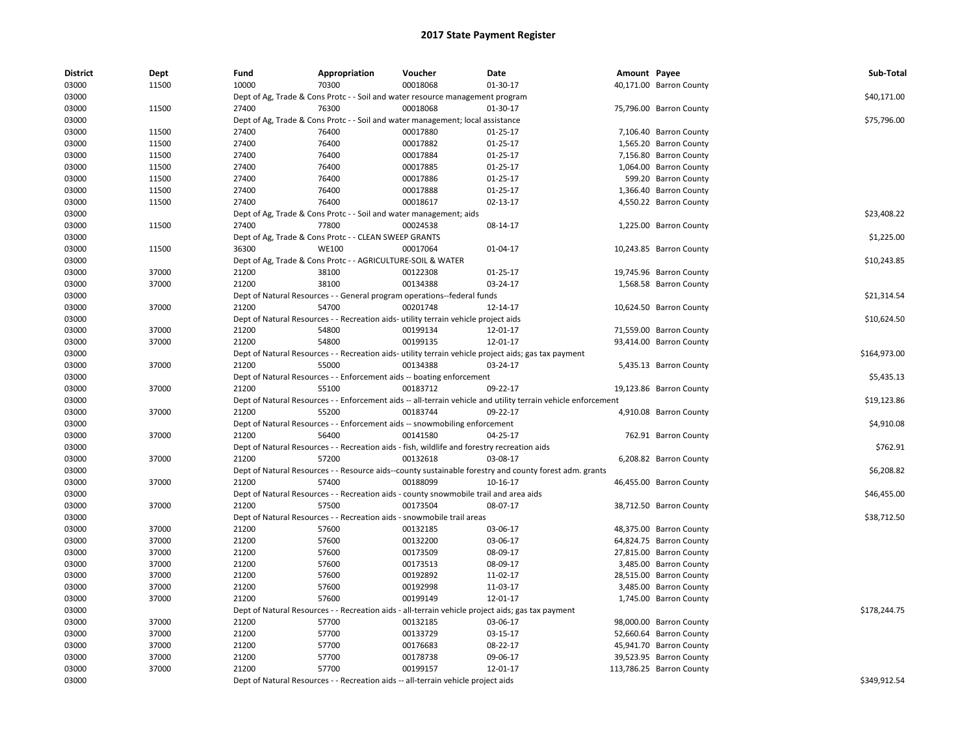| <b>District</b> | Dept  | Fund  | Appropriation                                                                               | Voucher  | Date                                                                                                          | Amount Payee |                          | Sub-Total    |
|-----------------|-------|-------|---------------------------------------------------------------------------------------------|----------|---------------------------------------------------------------------------------------------------------------|--------------|--------------------------|--------------|
| 03000           | 11500 | 10000 | 70300                                                                                       | 00018068 | 01-30-17                                                                                                      |              | 40,171.00 Barron County  |              |
| 03000           |       |       | Dept of Ag, Trade & Cons Protc - - Soil and water resource management program               |          |                                                                                                               |              |                          | \$40,171.00  |
| 03000           | 11500 | 27400 | 76300                                                                                       | 00018068 | 01-30-17                                                                                                      |              | 75,796.00 Barron County  |              |
| 03000           |       |       | Dept of Ag, Trade & Cons Protc - - Soil and water management; local assistance              |          |                                                                                                               |              |                          | \$75,796.00  |
| 03000           | 11500 | 27400 | 76400                                                                                       | 00017880 | 01-25-17                                                                                                      |              | 7,106.40 Barron County   |              |
| 03000           | 11500 | 27400 | 76400                                                                                       | 00017882 | $01 - 25 - 17$                                                                                                |              | 1,565.20 Barron County   |              |
| 03000           | 11500 | 27400 | 76400                                                                                       | 00017884 | $01-25-17$                                                                                                    |              | 7,156.80 Barron County   |              |
| 03000           | 11500 | 27400 | 76400                                                                                       | 00017885 | $01 - 25 - 17$                                                                                                |              | 1,064.00 Barron County   |              |
| 03000           | 11500 | 27400 | 76400                                                                                       | 00017886 | $01-25-17$                                                                                                    |              | 599.20 Barron County     |              |
| 03000           | 11500 | 27400 | 76400                                                                                       | 00017888 | 01-25-17                                                                                                      |              | 1,366.40 Barron County   |              |
| 03000           | 11500 | 27400 | 76400                                                                                       | 00018617 | 02-13-17                                                                                                      |              | 4,550.22 Barron County   |              |
| 03000           |       |       | Dept of Ag, Trade & Cons Protc - - Soil and water management; aids                          |          |                                                                                                               |              |                          | \$23,408.22  |
| 03000           | 11500 | 27400 | 77800                                                                                       | 00024538 | 08-14-17                                                                                                      |              | 1,225.00 Barron County   |              |
| 03000           |       |       | Dept of Ag, Trade & Cons Protc - - CLEAN SWEEP GRANTS                                       |          |                                                                                                               |              |                          | \$1,225.00   |
| 03000           | 11500 | 36300 | <b>WE100</b>                                                                                | 00017064 | 01-04-17                                                                                                      |              | 10,243.85 Barron County  |              |
| 03000           |       |       | Dept of Ag, Trade & Cons Protc - - AGRICULTURE-SOIL & WATER                                 |          |                                                                                                               |              |                          | \$10,243.85  |
| 03000           | 37000 | 21200 | 38100                                                                                       | 00122308 | $01 - 25 - 17$                                                                                                |              | 19,745.96 Barron County  |              |
| 03000           | 37000 | 21200 | 38100                                                                                       | 00134388 | 03-24-17                                                                                                      |              | 1,568.58 Barron County   |              |
| 03000           |       |       | Dept of Natural Resources - - General program operations--federal funds                     |          |                                                                                                               |              |                          | \$21,314.54  |
| 03000           | 37000 | 21200 | 54700                                                                                       | 00201748 | 12-14-17                                                                                                      |              | 10,624.50 Barron County  |              |
| 03000           |       |       | Dept of Natural Resources - - Recreation aids- utility terrain vehicle project aids         |          |                                                                                                               |              |                          | \$10,624.50  |
| 03000           | 37000 | 21200 | 54800                                                                                       | 00199134 | 12-01-17                                                                                                      |              | 71,559.00 Barron County  |              |
| 03000           | 37000 | 21200 | 54800                                                                                       | 00199135 | 12-01-17                                                                                                      |              | 93,414.00 Barron County  |              |
| 03000           |       |       |                                                                                             |          | Dept of Natural Resources - - Recreation aids- utility terrain vehicle project aids; gas tax payment          |              |                          | \$164,973.00 |
| 03000           | 37000 | 21200 | 55000                                                                                       | 00134388 | 03-24-17                                                                                                      |              | 5,435.13 Barron County   |              |
| 03000           |       |       | Dept of Natural Resources - - Enforcement aids -- boating enforcement                       |          |                                                                                                               |              |                          | \$5,435.13   |
| 03000           | 37000 | 21200 | 55100                                                                                       | 00183712 | 09-22-17                                                                                                      |              | 19,123.86 Barron County  |              |
| 03000           |       |       |                                                                                             |          | Dept of Natural Resources - - Enforcement aids -- all-terrain vehicle and utility terrain vehicle enforcement |              |                          | \$19,123.86  |
| 03000           | 37000 | 21200 | 55200                                                                                       | 00183744 | 09-22-17                                                                                                      |              | 4,910.08 Barron County   |              |
| 03000           |       |       | Dept of Natural Resources - - Enforcement aids -- snowmobiling enforcement                  |          |                                                                                                               |              |                          | \$4,910.08   |
| 03000           | 37000 | 21200 | 56400                                                                                       | 00141580 | 04-25-17                                                                                                      |              | 762.91 Barron County     |              |
| 03000           |       |       | Dept of Natural Resources - - Recreation aids - fish, wildlife and forestry recreation aids |          |                                                                                                               |              |                          | \$762.91     |
| 03000           | 37000 | 21200 | 57200                                                                                       | 00132618 | 03-08-17                                                                                                      |              | 6,208.82 Barron County   |              |
| 03000           |       |       |                                                                                             |          | Dept of Natural Resources - - Resource aids--county sustainable forestry and county forest adm. grants        |              |                          | \$6,208.82   |
| 03000           | 37000 | 21200 | 57400                                                                                       | 00188099 | 10-16-17                                                                                                      |              | 46,455.00 Barron County  |              |
| 03000           |       |       | Dept of Natural Resources - - Recreation aids - county snowmobile trail and area aids       |          |                                                                                                               |              |                          | \$46,455.00  |
| 03000           | 37000 | 21200 | 57500                                                                                       | 00173504 | 08-07-17                                                                                                      |              | 38,712.50 Barron County  |              |
| 03000           |       |       | Dept of Natural Resources - - Recreation aids - snowmobile trail areas                      |          |                                                                                                               |              |                          | \$38,712.50  |
| 03000           | 37000 | 21200 | 57600                                                                                       | 00132185 | 03-06-17                                                                                                      |              | 48,375.00 Barron County  |              |
| 03000           | 37000 | 21200 | 57600                                                                                       | 00132200 | 03-06-17                                                                                                      |              | 64,824.75 Barron County  |              |
| 03000           | 37000 | 21200 | 57600                                                                                       | 00173509 | 08-09-17                                                                                                      |              | 27,815.00 Barron County  |              |
| 03000           | 37000 | 21200 | 57600                                                                                       | 00173513 | 08-09-17                                                                                                      |              | 3,485.00 Barron County   |              |
| 03000           | 37000 | 21200 | 57600                                                                                       | 00192892 | 11-02-17                                                                                                      |              | 28,515.00 Barron County  |              |
| 03000           | 37000 | 21200 | 57600                                                                                       | 00192998 | 11-03-17                                                                                                      |              | 3,485.00 Barron County   |              |
| 03000           | 37000 | 21200 | 57600                                                                                       | 00199149 | 12-01-17                                                                                                      |              | 1,745.00 Barron County   |              |
| 03000           |       |       |                                                                                             |          | Dept of Natural Resources - - Recreation aids - all-terrain vehicle project aids; gas tax payment             |              |                          | \$178,244.75 |
| 03000           | 37000 | 21200 | 57700                                                                                       | 00132185 | 03-06-17                                                                                                      |              | 98,000.00 Barron County  |              |
| 03000           | 37000 | 21200 | 57700                                                                                       | 00133729 | 03-15-17                                                                                                      |              | 52,660.64 Barron County  |              |
| 03000           | 37000 | 21200 | 57700                                                                                       | 00176683 | 08-22-17                                                                                                      |              | 45,941.70 Barron County  |              |
| 03000           | 37000 | 21200 | 57700                                                                                       | 00178738 | 09-06-17                                                                                                      |              | 39,523.95 Barron County  |              |
| 03000           | 37000 | 21200 | 57700                                                                                       | 00199157 | 12-01-17                                                                                                      |              | 113,786.25 Barron County |              |
| 03000           |       |       | Dept of Natural Resources - - Recreation aids -- all-terrain vehicle project aids           |          |                                                                                                               |              |                          | \$349,912.54 |
|                 |       |       |                                                                                             |          |                                                                                                               |              |                          |              |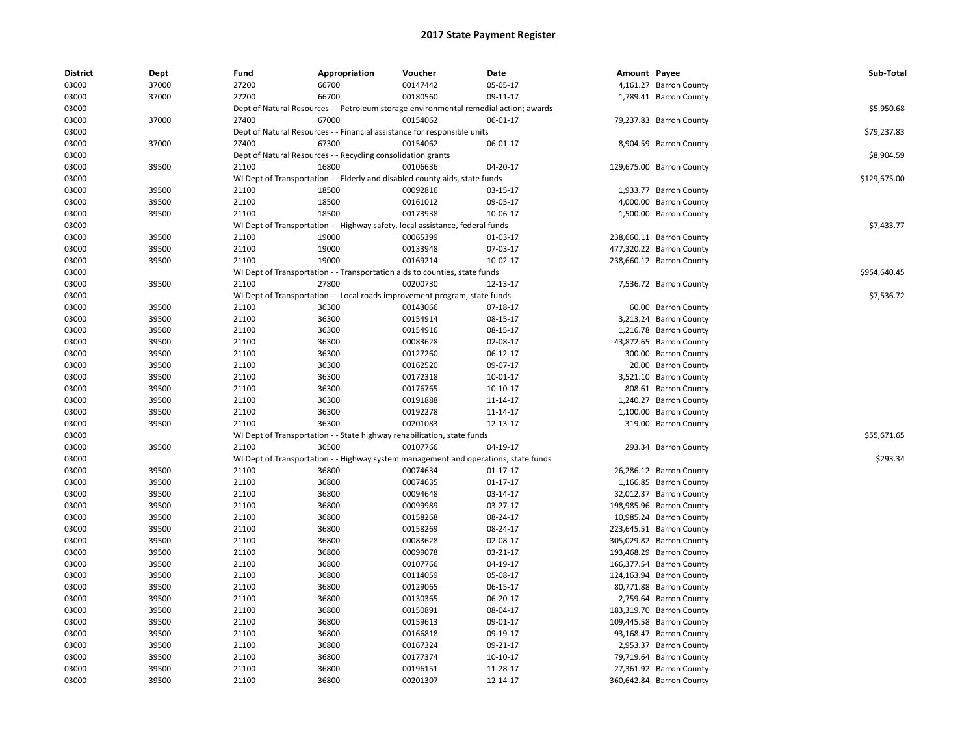| <b>District</b> | Dept  | Fund           | Appropriation                                                | Voucher                                                                               | Date                 | Amount Payee |                          | Sub-Total    |
|-----------------|-------|----------------|--------------------------------------------------------------|---------------------------------------------------------------------------------------|----------------------|--------------|--------------------------|--------------|
| 03000           | 37000 | 27200          | 66700                                                        | 00147442                                                                              | 05-05-17             |              | 4,161.27 Barron County   |              |
| 03000           | 37000 | 27200          | 66700                                                        | 00180560                                                                              | 09-11-17             |              | 1,789.41 Barron County   |              |
| 03000           |       |                |                                                              | Dept of Natural Resources - - Petroleum storage environmental remedial action; awards |                      |              |                          | \$5,950.68   |
| 03000           | 37000 | 27400          | 67000                                                        | 00154062                                                                              | 06-01-17             |              | 79,237.83 Barron County  |              |
| 03000           |       |                |                                                              | Dept of Natural Resources - - Financial assistance for responsible units              |                      |              |                          | \$79,237.83  |
| 03000           | 37000 | 27400          | 67300                                                        | 00154062                                                                              | 06-01-17             |              | 8,904.59 Barron County   |              |
| 03000           |       |                | Dept of Natural Resources - - Recycling consolidation grants |                                                                                       |                      |              |                          | \$8,904.59   |
| 03000           | 39500 | 21100          | 16800                                                        | 00106636                                                                              | 04-20-17             |              | 129,675.00 Barron County |              |
| 03000           |       |                |                                                              | WI Dept of Transportation - - Elderly and disabled county aids, state funds           |                      |              |                          | \$129,675.00 |
| 03000           | 39500 | 21100          | 18500                                                        | 00092816                                                                              | 03-15-17             |              | 1,933.77 Barron County   |              |
| 03000           | 39500 | 21100          | 18500                                                        | 00161012                                                                              | 09-05-17             |              | 4,000.00 Barron County   |              |
| 03000           | 39500 | 21100          | 18500                                                        | 00173938                                                                              | 10-06-17             |              | 1,500.00 Barron County   |              |
| 03000           |       |                |                                                              | WI Dept of Transportation - - Highway safety, local assistance, federal funds         |                      |              |                          | \$7,433.77   |
| 03000           | 39500 | 21100          | 19000                                                        | 00065399                                                                              | 01-03-17             |              | 238,660.11 Barron County |              |
| 03000           | 39500 | 21100          | 19000                                                        | 00133948                                                                              | 07-03-17             |              | 477,320.22 Barron County |              |
| 03000           | 39500 | 21100          | 19000                                                        | 00169214                                                                              | 10-02-17             |              | 238,660.12 Barron County |              |
| 03000           |       |                |                                                              | WI Dept of Transportation - - Transportation aids to counties, state funds            |                      |              |                          | \$954,640.45 |
| 03000           | 39500 | 21100          | 27800                                                        | 00200730                                                                              | 12-13-17             |              | 7,536.72 Barron County   |              |
| 03000           |       |                |                                                              | WI Dept of Transportation - - Local roads improvement program, state funds            |                      |              |                          | \$7,536.72   |
| 03000           | 39500 | 21100          | 36300                                                        | 00143066                                                                              | 07-18-17             |              | 60.00 Barron County      |              |
| 03000           | 39500 | 21100          | 36300                                                        | 00154914                                                                              | 08-15-17             |              | 3,213.24 Barron County   |              |
| 03000           | 39500 | 21100          | 36300                                                        | 00154916                                                                              | 08-15-17             |              | 1,216.78 Barron County   |              |
| 03000           | 39500 | 21100          | 36300                                                        | 00083628                                                                              | 02-08-17             |              | 43,872.65 Barron County  |              |
| 03000           | 39500 | 21100          | 36300                                                        | 00127260                                                                              | 06-12-17             |              | 300.00 Barron County     |              |
| 03000           | 39500 | 21100          | 36300                                                        | 00162520                                                                              | 09-07-17             |              | 20.00 Barron County      |              |
| 03000           | 39500 | 21100          | 36300                                                        | 00172318                                                                              | 10-01-17             |              | 3,521.10 Barron County   |              |
| 03000           | 39500 | 21100          | 36300                                                        | 00176765                                                                              | 10-10-17             |              | 808.61 Barron County     |              |
| 03000           | 39500 | 21100          | 36300                                                        | 00191888                                                                              | 11-14-17             |              | 1,240.27 Barron County   |              |
| 03000           | 39500 | 21100          | 36300                                                        | 00192278                                                                              | 11-14-17             |              | 1,100.00 Barron County   |              |
| 03000           | 39500 | 21100          | 36300                                                        | 00201083                                                                              | 12-13-17             |              | 319.00 Barron County     |              |
| 03000           |       |                |                                                              | WI Dept of Transportation - - State highway rehabilitation, state funds               |                      |              |                          | \$55,671.65  |
| 03000           | 39500 | 21100          | 36500                                                        | 00107766                                                                              | 04-19-17             |              | 293.34 Barron County     |              |
| 03000           |       |                |                                                              | WI Dept of Transportation - - Highway system management and operations, state funds   |                      |              |                          | \$293.34     |
| 03000           | 39500 | 21100          | 36800                                                        | 00074634                                                                              | $01 - 17 - 17$       |              | 26,286.12 Barron County  |              |
| 03000           | 39500 | 21100          | 36800                                                        | 00074635                                                                              | $01 - 17 - 17$       |              | 1,166.85 Barron County   |              |
| 03000           | 39500 | 21100          | 36800                                                        | 00094648                                                                              | 03-14-17             |              | 32,012.37 Barron County  |              |
| 03000           | 39500 | 21100          | 36800                                                        | 00099989                                                                              | 03-27-17             |              | 198,985.96 Barron County |              |
| 03000           | 39500 | 21100          | 36800                                                        | 00158268                                                                              | 08-24-17             |              | 10,985.24 Barron County  |              |
| 03000           | 39500 | 21100          | 36800                                                        | 00158269                                                                              | 08-24-17             |              | 223,645.51 Barron County |              |
| 03000           | 39500 | 21100          | 36800                                                        | 00083628                                                                              | 02-08-17             |              | 305,029.82 Barron County |              |
| 03000           | 39500 | 21100          | 36800                                                        | 00099078                                                                              | 03-21-17             |              | 193,468.29 Barron County |              |
| 03000           | 39500 | 21100          | 36800                                                        | 00107766                                                                              | 04-19-17             |              | 166,377.54 Barron County |              |
| 03000           | 39500 | 21100          | 36800                                                        | 00114059                                                                              | 05-08-17             |              | 124,163.94 Barron County |              |
| 03000           | 39500 | 21100          | 36800                                                        | 00129065                                                                              | 06-15-17             |              | 80,771.88 Barron County  |              |
| 03000           | 39500 | 21100          | 36800                                                        | 00130365                                                                              | 06-20-17             |              | 2,759.64 Barron County   |              |
| 03000           | 39500 | 21100          | 36800                                                        | 00150891                                                                              | 08-04-17             |              | 183,319.70 Barron County |              |
| 03000           | 39500 | 21100          | 36800                                                        | 00159613                                                                              | 09-01-17             |              | 109,445.58 Barron County |              |
| 03000           | 39500 | 21100          | 36800                                                        | 00166818                                                                              | 09-19-17             |              | 93,168.47 Barron County  |              |
| 03000           | 39500 | 21100          | 36800                                                        | 00167324                                                                              | 09-21-17             |              | 2,953.37 Barron County   |              |
|                 | 39500 |                |                                                              | 00177374                                                                              |                      |              | 79,719.64 Barron County  |              |
| 03000<br>03000  | 39500 | 21100<br>21100 | 36800<br>36800                                               | 00196151                                                                              | 10-10-17<br>11-28-17 |              | 27,361.92 Barron County  |              |
|                 |       |                |                                                              |                                                                                       |                      |              |                          |              |
| 03000           | 39500 | 21100          | 36800                                                        | 00201307                                                                              | 12-14-17             |              | 360,642.84 Barron County |              |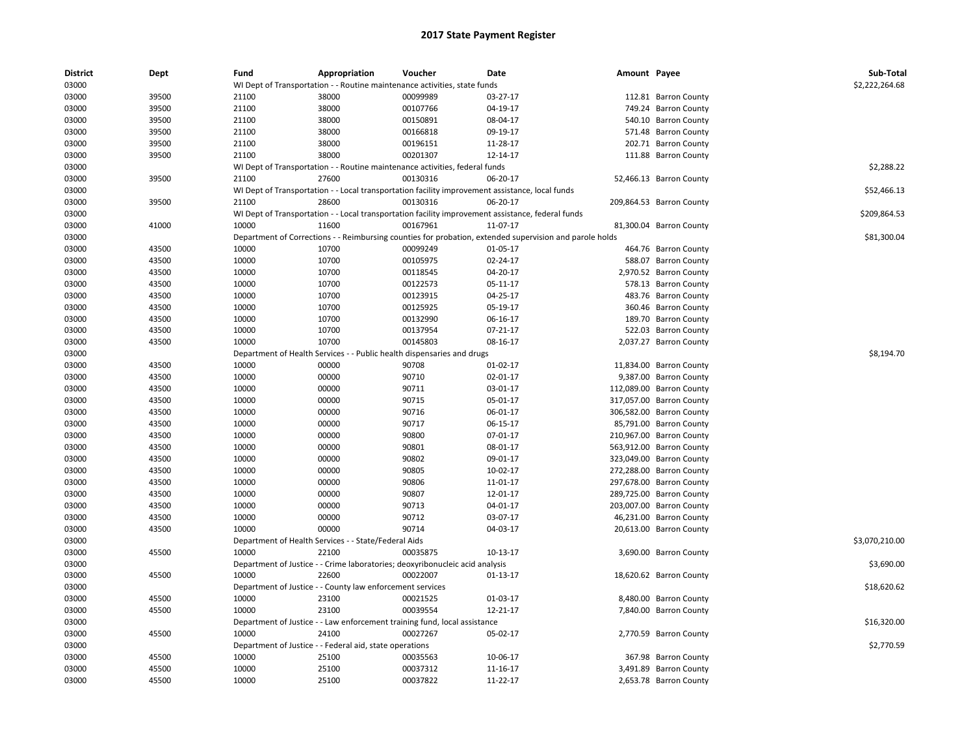| <b>District</b> | Dept  | Fund                          | Appropriation                                                                                           | Voucher                                | Date     | Amount Payee |                                                      | Sub-Total      |
|-----------------|-------|-------------------------------|---------------------------------------------------------------------------------------------------------|----------------------------------------|----------|--------------|------------------------------------------------------|----------------|
| 03000           |       |                               | WI Dept of Transportation - - Routine maintenance activities, state funds                               |                                        |          |              |                                                      | \$2,222,264.68 |
| 03000           | 39500 | 21100                         | 38000                                                                                                   | 00099989                               | 03-27-17 |              | 112.81 Barron County                                 |                |
| 03000           | 39500 | 21100                         | 38000                                                                                                   | 00107766                               | 04-19-17 |              | 749.24 Barron County                                 |                |
| 03000           | 39500 | 21100                         | 38000                                                                                                   | 00150891                               | 08-04-17 |              | 540.10 Barron County                                 |                |
| 03000           | 39500 | 21100                         | 38000                                                                                                   | 00166818                               | 09-19-17 |              | 571.48 Barron County                                 |                |
| 03000           | 39500 | 21100                         | 38000                                                                                                   | 00196151                               | 11-28-17 |              | 202.71 Barron County                                 |                |
| 03000           | 39500 | 21100                         | 38000                                                                                                   | 00201307                               | 12-14-17 |              | 111.88 Barron County                                 |                |
| 03000           |       |                               | WI Dept of Transportation - - Routine maintenance activities, federal funds                             |                                        |          |              |                                                      | \$2,288.22     |
| 03000           | 39500 | 21100                         | 27600                                                                                                   | 00130316                               | 06-20-17 |              | 52,466.13 Barron County                              |                |
| 03000           |       |                               | WI Dept of Transportation - - Local transportation facility improvement assistance, local funds         |                                        |          |              |                                                      | \$52,466.13    |
| 03000           | 39500 | 21100                         | 28600                                                                                                   | 00130316                               | 06-20-17 |              | 209,864.53 Barron County                             |                |
| 03000           |       |                               | WI Dept of Transportation - - Local transportation facility improvement assistance, federal funds       |                                        |          |              |                                                      | \$209,864.53   |
| 03000           | 41000 | 10000                         | 11600                                                                                                   | 00167961                               | 11-07-17 |              | 81,300.04 Barron County                              |                |
| 03000           |       |                               | Department of Corrections - - Reimbursing counties for probation, extended supervision and parole holds |                                        |          |              |                                                      | \$81,300.04    |
| 03000           | 43500 | 10000                         | 10700                                                                                                   | 00099249                               | 01-05-17 |              | 464.76 Barron County                                 |                |
| 03000           | 43500 | 10000                         | 10700                                                                                                   | 00105975                               | 02-24-17 |              | 588.07 Barron County                                 |                |
| 03000           | 43500 | 10000                         | 10700                                                                                                   | 00118545                               | 04-20-17 |              | 2,970.52 Barron County                               |                |
| 03000           | 43500 | 10000                         | 10700                                                                                                   | 00122573                               | 05-11-17 |              | 578.13 Barron County                                 |                |
| 03000           | 43500 | 10000                         | 10700                                                                                                   | 00123915                               | 04-25-17 |              | 483.76 Barron County                                 |                |
| 03000           | 43500 | 10000                         | 10700                                                                                                   | 00125925                               | 05-19-17 |              | 360.46 Barron County                                 |                |
| 03000           | 43500 | 10000                         | 10700                                                                                                   | 00132990                               | 06-16-17 |              | 189.70 Barron County                                 |                |
| 03000           | 43500 | 10000                         | 10700                                                                                                   | 00137954                               | 07-21-17 |              | 522.03 Barron County                                 |                |
| 03000           | 43500 | 10000                         | 10700                                                                                                   | 00145803                               | 08-16-17 |              | 2,037.27 Barron County                               |                |
| 03000           |       | Department of Health Services |                                                                                                         | - Public health dispensaries and drugs |          |              |                                                      | \$8,194.70     |
| 03000           | 43500 | 10000                         | 00000                                                                                                   | 90708                                  | 01-02-17 |              | 11,834.00 Barron County                              |                |
| 03000           | 43500 | 10000                         | 00000                                                                                                   | 90710                                  | 02-01-17 |              | 9,387.00 Barron County                               |                |
| 03000           | 43500 | 10000                         | 00000                                                                                                   | 90711                                  | 03-01-17 |              | 112,089.00 Barron County                             |                |
| 03000           | 43500 | 10000                         | 00000                                                                                                   | 90715                                  | 05-01-17 |              | 317,057.00 Barron County                             |                |
| 03000           | 43500 | 10000                         | 00000                                                                                                   | 90716                                  | 06-01-17 |              | 306,582.00 Barron County                             |                |
| 03000           | 43500 | 10000                         | 00000                                                                                                   | 90717                                  | 06-15-17 |              | 85,791.00 Barron County                              |                |
| 03000           | 43500 | 10000                         | 00000                                                                                                   | 90800                                  | 07-01-17 |              | 210,967.00 Barron County                             |                |
| 03000           | 43500 | 10000                         | 00000                                                                                                   | 90801                                  | 08-01-17 |              | 563,912.00 Barron County                             |                |
| 03000           | 43500 | 10000                         | 00000                                                                                                   | 90802                                  | 09-01-17 |              | 323,049.00 Barron County                             |                |
| 03000           | 43500 | 10000                         | 00000                                                                                                   | 90805                                  | 10-02-17 |              |                                                      |                |
| 03000           | 43500 | 10000                         | 00000                                                                                                   | 90806                                  | 11-01-17 |              | 272,288.00 Barron County<br>297,678.00 Barron County |                |
| 03000           | 43500 | 10000                         | 00000                                                                                                   | 90807                                  | 12-01-17 |              | 289,725.00 Barron County                             |                |
| 03000           | 43500 | 10000                         | 00000                                                                                                   | 90713                                  | 04-01-17 |              | 203,007.00 Barron County                             |                |
|                 |       |                               |                                                                                                         |                                        |          |              |                                                      |                |
| 03000           | 43500 | 10000                         | 00000                                                                                                   | 90712                                  | 03-07-17 |              | 46,231.00 Barron County                              |                |
| 03000           | 43500 | 10000                         | 00000                                                                                                   | 90714                                  | 04-03-17 |              | 20,613.00 Barron County                              |                |
| 03000           |       |                               | Department of Health Services - - State/Federal Aids                                                    |                                        |          |              |                                                      | \$3,070,210.00 |
| 03000           | 45500 | 10000                         | 22100                                                                                                   | 00035875                               | 10-13-17 |              | 3,690.00 Barron County                               |                |
| 03000           |       |                               | Department of Justice - - Crime laboratories; deoxyribonucleic acid analysis                            |                                        |          |              |                                                      | \$3,690.00     |
| 03000           | 45500 | 10000                         | 22600                                                                                                   | 00022007                               | 01-13-17 |              | 18,620.62 Barron County                              |                |
| 03000           |       |                               | Department of Justice - - County law enforcement services                                               |                                        |          |              |                                                      | \$18,620.62    |
| 03000           | 45500 | 10000                         | 23100                                                                                                   | 00021525                               | 01-03-17 |              | 8,480.00 Barron County                               |                |
| 03000           | 45500 | 10000                         | 23100                                                                                                   | 00039554                               | 12-21-17 |              | 7,840.00 Barron County                               |                |
| 03000           |       |                               | Department of Justice - - Law enforcement training fund, local assistance                               |                                        |          |              |                                                      | \$16,320.00    |
| 03000           | 45500 | 10000                         | 24100                                                                                                   | 00027267                               | 05-02-17 |              | 2,770.59 Barron County                               |                |
| 03000           |       |                               | Department of Justice - - Federal aid, state operations                                                 |                                        |          |              |                                                      | \$2,770.59     |
| 03000           | 45500 | 10000                         | 25100                                                                                                   | 00035563                               | 10-06-17 |              | 367.98 Barron County                                 |                |
| 03000           | 45500 | 10000                         | 25100                                                                                                   | 00037312                               | 11-16-17 |              | 3,491.89 Barron County                               |                |
| 03000           | 45500 | 10000                         | 25100                                                                                                   | 00037822                               | 11-22-17 |              | 2,653.78 Barron County                               |                |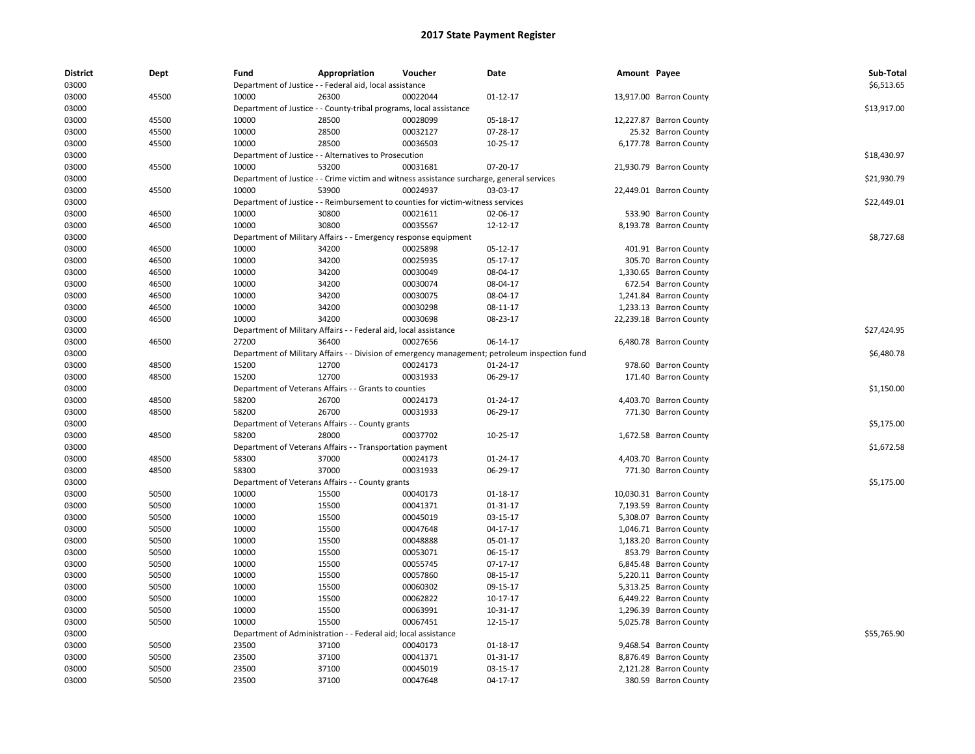| <b>District</b><br>03000 | Dept  | Fund                           | Appropriation<br>Department of Justice - - Federal aid, local assistance                           | Voucher                        | Date                                                                                           | Amount Payee |                         | Sub-Total<br>\$6,513.65 |
|--------------------------|-------|--------------------------------|----------------------------------------------------------------------------------------------------|--------------------------------|------------------------------------------------------------------------------------------------|--------------|-------------------------|-------------------------|
|                          |       | 10000                          | 26300                                                                                              | 00022044                       |                                                                                                |              |                         |                         |
| 03000                    | 45500 |                                |                                                                                                    |                                | $01 - 12 - 17$                                                                                 |              | 13,917.00 Barron County | \$13,917.00             |
| 03000<br>03000           | 45500 | 10000                          | Department of Justice - - County-tribal programs, local assistance<br>28500                        | 00028099                       | 05-18-17                                                                                       |              | 12,227.87 Barron County |                         |
| 03000                    | 45500 | 10000                          | 28500                                                                                              | 00032127                       | 07-28-17                                                                                       |              | 25.32 Barron County     |                         |
|                          | 45500 | 10000                          | 28500                                                                                              | 00036503                       |                                                                                                |              |                         |                         |
| 03000                    |       |                                |                                                                                                    |                                | 10-25-17                                                                                       |              | 6,177.78 Barron County  |                         |
| 03000<br>03000           | 45500 | 10000                          | Department of Justice - - Alternatives to Prosecution<br>53200                                     | 00031681                       | 07-20-17                                                                                       |              | 21,930.79 Barron County | \$18,430.97             |
|                          |       |                                |                                                                                                    |                                |                                                                                                |              |                         | \$21,930.79             |
| 03000<br>03000           | 45500 | 10000                          | Department of Justice - - Crime victim and witness assistance surcharge, general services<br>53900 | 00024937                       | 03-03-17                                                                                       |              | 22,449.01 Barron County |                         |
|                          |       |                                |                                                                                                    |                                |                                                                                                |              |                         | \$22,449.01             |
| 03000                    |       |                                | Department of Justice - - Reimbursement to counties for victim-witness services<br>30800           |                                |                                                                                                |              |                         |                         |
| 03000                    | 46500 | 10000                          |                                                                                                    | 00021611                       | 02-06-17                                                                                       |              | 533.90 Barron County    |                         |
| 03000                    | 46500 | 10000                          | 30800                                                                                              | 00035567                       | 12-12-17                                                                                       |              | 8,193.78 Barron County  |                         |
| 03000                    |       | Department of Military Affairs |                                                                                                    | - Emergency response equipment |                                                                                                |              |                         | \$8,727.68              |
| 03000                    | 46500 | 10000                          | 34200                                                                                              | 00025898                       | 05-12-17                                                                                       |              | 401.91 Barron County    |                         |
| 03000                    | 46500 | 10000                          | 34200                                                                                              | 00025935                       | 05-17-17                                                                                       |              | 305.70 Barron County    |                         |
| 03000                    | 46500 | 10000                          | 34200                                                                                              | 00030049                       | 08-04-17                                                                                       |              | 1,330.65 Barron County  |                         |
| 03000                    | 46500 | 10000                          | 34200                                                                                              | 00030074                       | 08-04-17                                                                                       |              | 672.54 Barron County    |                         |
| 03000                    | 46500 | 10000                          | 34200                                                                                              | 00030075                       | 08-04-17                                                                                       |              | 1,241.84 Barron County  |                         |
| 03000                    | 46500 | 10000                          | 34200                                                                                              | 00030298                       | 08-11-17                                                                                       |              | 1,233.13 Barron County  |                         |
| 03000                    | 46500 | 10000                          | 34200                                                                                              | 00030698                       | 08-23-17                                                                                       |              | 22,239.18 Barron County |                         |
| 03000                    |       |                                | Department of Military Affairs - - Federal aid, local assistance                                   |                                |                                                                                                |              |                         | \$27,424.95             |
| 03000                    | 46500 | 27200                          | 36400                                                                                              | 00027656                       | 06-14-17                                                                                       |              | 6,480.78 Barron County  |                         |
| 03000                    |       |                                |                                                                                                    |                                | Department of Military Affairs - - Division of emergency management; petroleum inspection fund |              |                         | \$6,480.78              |
| 03000                    | 48500 | 15200                          | 12700                                                                                              | 00024173                       | 01-24-17                                                                                       |              | 978.60 Barron County    |                         |
| 03000                    | 48500 | 15200                          | 12700                                                                                              | 00031933                       | 06-29-17                                                                                       |              | 171.40 Barron County    |                         |
| 03000                    |       |                                | Department of Veterans Affairs - - Grants to counties                                              |                                |                                                                                                |              |                         | \$1,150.00              |
| 03000                    | 48500 | 58200                          | 26700                                                                                              | 00024173                       | 01-24-17                                                                                       |              | 4,403.70 Barron County  |                         |
| 03000                    | 48500 | 58200                          | 26700                                                                                              | 00031933                       | 06-29-17                                                                                       |              | 771.30 Barron County    |                         |
| 03000                    |       |                                | Department of Veterans Affairs - - County grants                                                   |                                |                                                                                                |              |                         | \$5,175.00              |
| 03000                    | 48500 | 58200                          | 28000                                                                                              | 00037702                       | 10-25-17                                                                                       |              | 1,672.58 Barron County  |                         |
| 03000                    |       |                                | Department of Veterans Affairs - - Transportation payment                                          |                                |                                                                                                |              |                         | \$1,672.58              |
| 03000                    | 48500 | 58300                          | 37000                                                                                              | 00024173                       | 01-24-17                                                                                       |              | 4,403.70 Barron County  |                         |
| 03000                    | 48500 | 58300                          | 37000                                                                                              | 00031933                       | 06-29-17                                                                                       |              | 771.30 Barron County    |                         |
| 03000                    |       |                                | Department of Veterans Affairs - - County grants                                                   |                                |                                                                                                |              |                         | \$5,175.00              |
| 03000                    | 50500 | 10000                          | 15500                                                                                              | 00040173                       | 01-18-17                                                                                       |              | 10,030.31 Barron County |                         |
| 03000                    | 50500 | 10000                          | 15500                                                                                              | 00041371                       | 01-31-17                                                                                       |              | 7,193.59 Barron County  |                         |
| 03000                    | 50500 | 10000                          | 15500                                                                                              | 00045019                       | 03-15-17                                                                                       |              | 5,308.07 Barron County  |                         |
| 03000                    | 50500 | 10000                          | 15500                                                                                              | 00047648                       | 04-17-17                                                                                       |              | 1,046.71 Barron County  |                         |
| 03000                    | 50500 | 10000                          | 15500                                                                                              | 00048888                       | 05-01-17                                                                                       |              | 1,183.20 Barron County  |                         |
| 03000                    | 50500 | 10000                          | 15500                                                                                              | 00053071                       | 06-15-17                                                                                       |              | 853.79 Barron County    |                         |
| 03000                    | 50500 | 10000                          | 15500                                                                                              | 00055745                       | 07-17-17                                                                                       |              | 6,845.48 Barron County  |                         |
| 03000                    | 50500 | 10000                          | 15500                                                                                              | 00057860                       | 08-15-17                                                                                       |              | 5,220.11 Barron County  |                         |
| 03000                    | 50500 | 10000                          | 15500                                                                                              | 00060302                       | 09-15-17                                                                                       |              | 5,313.25 Barron County  |                         |
| 03000                    | 50500 | 10000                          | 15500                                                                                              | 00062822                       | 10-17-17                                                                                       |              | 6,449.22 Barron County  |                         |
| 03000                    | 50500 | 10000                          | 15500                                                                                              | 00063991                       | 10-31-17                                                                                       |              | 1,296.39 Barron County  |                         |
| 03000                    | 50500 | 10000                          | 15500                                                                                              | 00067451                       | 12-15-17                                                                                       |              | 5,025.78 Barron County  |                         |
| 03000                    |       |                                | Department of Administration - - Federal aid; local assistance                                     |                                |                                                                                                |              |                         | \$55,765.90             |
|                          |       |                                |                                                                                                    |                                |                                                                                                |              |                         |                         |
| 03000                    | 50500 | 23500                          | 37100                                                                                              | 00040173                       | 01-18-17                                                                                       |              | 9,468.54 Barron County  |                         |
| 03000                    | 50500 | 23500                          | 37100                                                                                              | 00041371                       | 01-31-17                                                                                       |              | 8,876.49 Barron County  |                         |
| 03000                    | 50500 | 23500                          | 37100                                                                                              | 00045019                       | 03-15-17                                                                                       |              | 2,121.28 Barron County  |                         |
| 03000                    | 50500 | 23500                          | 37100                                                                                              | 00047648                       | 04-17-17                                                                                       |              | 380.59 Barron County    |                         |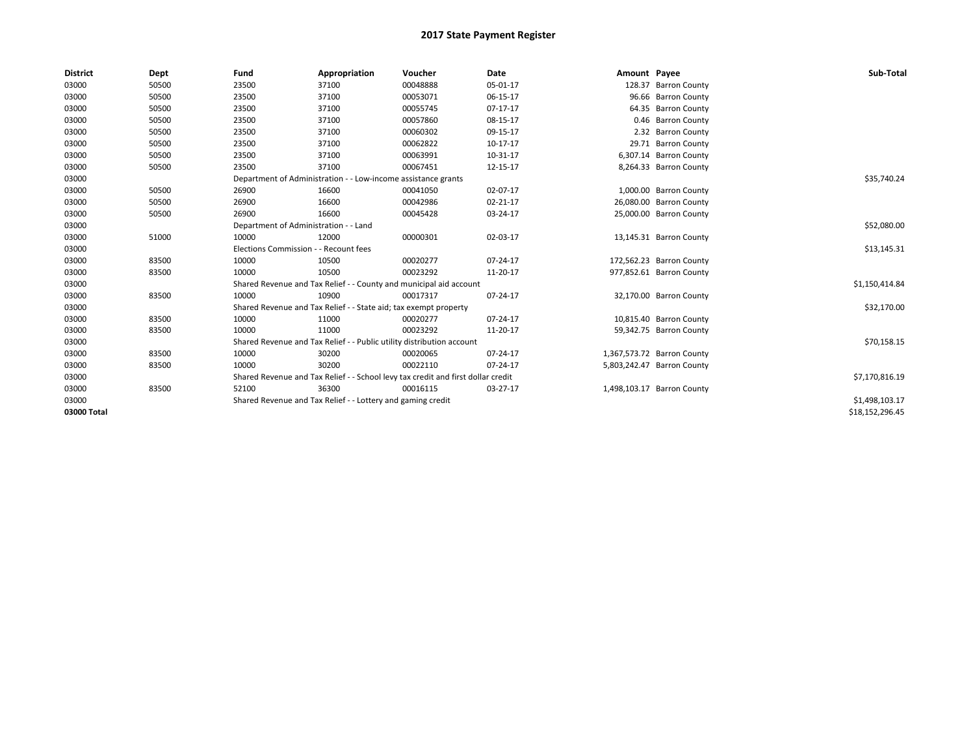| <b>District</b> | Dept  | Fund                                                        | Appropriation                                                         | Voucher                                                                          | Date           | Amount Payee |                            | Sub-Total       |
|-----------------|-------|-------------------------------------------------------------|-----------------------------------------------------------------------|----------------------------------------------------------------------------------|----------------|--------------|----------------------------|-----------------|
| 03000           | 50500 | 23500                                                       | 37100                                                                 | 00048888                                                                         | 05-01-17       |              | 128.37 Barron County       |                 |
| 03000           | 50500 | 23500                                                       | 37100                                                                 | 00053071                                                                         | 06-15-17       |              | 96.66 Barron County        |                 |
| 03000           | 50500 | 23500                                                       | 37100                                                                 | 00055745                                                                         | $07-17-17$     |              | 64.35 Barron County        |                 |
| 03000           | 50500 | 23500                                                       | 37100                                                                 | 00057860                                                                         | 08-15-17       |              | 0.46 Barron County         |                 |
| 03000           | 50500 | 23500                                                       | 37100                                                                 | 00060302                                                                         | 09-15-17       |              | 2.32 Barron County         |                 |
| 03000           | 50500 | 23500                                                       | 37100                                                                 | 00062822                                                                         | 10-17-17       |              | 29.71 Barron County        |                 |
| 03000           | 50500 | 23500                                                       | 37100                                                                 | 00063991                                                                         | 10-31-17       |              | 6,307.14 Barron County     |                 |
| 03000           | 50500 | 23500                                                       | 37100                                                                 | 00067451                                                                         | 12-15-17       |              | 8,264.33 Barron County     |                 |
| 03000           |       |                                                             | Department of Administration - - Low-income assistance grants         |                                                                                  |                |              |                            | \$35,740.24     |
| 03000           | 50500 | 26900                                                       | 16600                                                                 | 00041050                                                                         | 02-07-17       |              | 1,000.00 Barron County     |                 |
| 03000           | 50500 | 26900                                                       | 16600                                                                 | 00042986                                                                         | $02 - 21 - 17$ |              | 26,080.00 Barron County    |                 |
| 03000           | 50500 | 26900                                                       | 16600                                                                 | 00045428                                                                         | 03-24-17       |              | 25,000.00 Barron County    |                 |
| 03000           |       | Department of Administration - - Land                       |                                                                       | \$52,080.00                                                                      |                |              |                            |                 |
| 03000           | 51000 | 10000                                                       | 12000                                                                 | 00000301                                                                         | 02-03-17       |              | 13,145.31 Barron County    |                 |
| 03000           |       | Elections Commission - - Recount fees                       |                                                                       |                                                                                  |                |              |                            | \$13,145.31     |
| 03000           | 83500 | 10000                                                       | 10500                                                                 | 00020277                                                                         | $07 - 24 - 17$ |              | 172,562.23 Barron County   |                 |
| 03000           | 83500 | 10000                                                       | 10500                                                                 | 00023292                                                                         | 11-20-17       |              | 977,852.61 Barron County   |                 |
| 03000           |       |                                                             | Shared Revenue and Tax Relief - - County and municipal aid account    |                                                                                  |                |              |                            | \$1,150,414.84  |
| 03000           | 83500 | 10000                                                       | 10900                                                                 | 00017317                                                                         | 07-24-17       |              | 32,170.00 Barron County    |                 |
| 03000           |       |                                                             | Shared Revenue and Tax Relief - - State aid; tax exempt property      |                                                                                  |                |              |                            | \$32,170.00     |
| 03000           | 83500 | 10000                                                       | 11000                                                                 | 00020277                                                                         | $07 - 24 - 17$ |              | 10,815.40 Barron County    |                 |
| 03000           | 83500 | 10000                                                       | 11000                                                                 | 00023292                                                                         | 11-20-17       |              | 59,342.75 Barron County    |                 |
| 03000           |       |                                                             | Shared Revenue and Tax Relief - - Public utility distribution account |                                                                                  |                |              |                            | \$70,158.15     |
| 03000           | 83500 | 10000                                                       | 30200                                                                 | 00020065                                                                         | 07-24-17       |              | 1,367,573.72 Barron County |                 |
| 03000           | 83500 | 10000                                                       | 30200                                                                 | 00022110                                                                         | 07-24-17       |              | 5,803,242.47 Barron County |                 |
| 03000           |       |                                                             |                                                                       | Shared Revenue and Tax Relief - - School levy tax credit and first dollar credit |                |              |                            | \$7,170,816.19  |
| 03000           | 83500 | 52100                                                       | 36300                                                                 | 00016115                                                                         | 03-27-17       |              | 1,498,103.17 Barron County |                 |
| 03000           |       | Shared Revenue and Tax Relief - - Lottery and gaming credit |                                                                       | \$1,498,103.17                                                                   |                |              |                            |                 |
| 03000 Total     |       |                                                             |                                                                       |                                                                                  |                |              |                            | \$18,152,296.45 |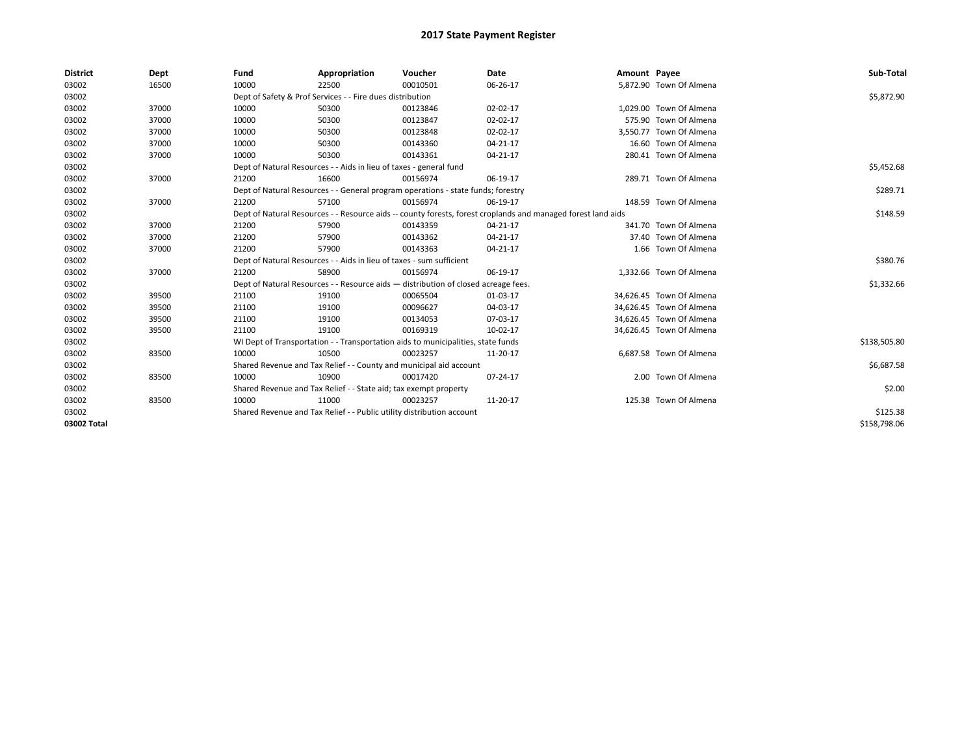| <b>District</b> | Dept  | Fund                                                                  | Appropriation                                                                      | Voucher    | Date                                                                                                         | Amount Payee |                          | Sub-Total    |
|-----------------|-------|-----------------------------------------------------------------------|------------------------------------------------------------------------------------|------------|--------------------------------------------------------------------------------------------------------------|--------------|--------------------------|--------------|
| 03002           | 16500 | 10000                                                                 | 22500                                                                              | 00010501   | 06-26-17                                                                                                     |              | 5,872.90 Town Of Almena  |              |
| 03002           |       |                                                                       | Dept of Safety & Prof Services - - Fire dues distribution                          |            |                                                                                                              |              |                          | \$5,872.90   |
| 03002           | 37000 | 10000                                                                 | 50300                                                                              | 00123846   | 02-02-17                                                                                                     |              | 1,029.00 Town Of Almena  |              |
| 03002           | 37000 | 10000                                                                 | 50300                                                                              | 00123847   | 02-02-17                                                                                                     |              | 575.90 Town Of Almena    |              |
| 03002           | 37000 | 10000                                                                 | 50300                                                                              | 00123848   | 02-02-17                                                                                                     |              | 3,550.77 Town Of Almena  |              |
| 03002           | 37000 | 10000                                                                 | 50300                                                                              | 00143360   | 04-21-17                                                                                                     |              | 16.60 Town Of Almena     |              |
| 03002           | 37000 | 10000                                                                 | 50300                                                                              | 00143361   | 04-21-17                                                                                                     |              | 280.41 Town Of Almena    |              |
| 03002           |       | Dept of Natural Resources - - Aids in lieu of taxes - general fund    |                                                                                    | \$5,452.68 |                                                                                                              |              |                          |              |
| 03002           | 37000 | 21200                                                                 | 16600                                                                              | 00156974   | 06-19-17                                                                                                     |              | 289.71 Town Of Almena    |              |
| 03002           |       |                                                                       | Dept of Natural Resources - - General program operations - state funds; forestry   |            |                                                                                                              |              |                          | \$289.71     |
| 03002           | 37000 | 21200                                                                 | 57100                                                                              | 00156974   | 06-19-17                                                                                                     |              | 148.59 Town Of Almena    |              |
| 03002           |       |                                                                       |                                                                                    |            | Dept of Natural Resources - - Resource aids -- county forests, forest croplands and managed forest land aids |              |                          | \$148.59     |
| 03002           | 37000 | 21200                                                                 | 57900                                                                              | 00143359   | 04-21-17                                                                                                     |              | 341.70 Town Of Almena    |              |
| 03002           | 37000 | 21200                                                                 | 57900                                                                              | 00143362   | 04-21-17                                                                                                     |              | 37.40 Town Of Almena     |              |
| 03002           | 37000 | 21200                                                                 | 57900                                                                              | 00143363   | 04-21-17                                                                                                     |              | 1.66 Town Of Almena      |              |
| 03002           |       |                                                                       | Dept of Natural Resources - - Aids in lieu of taxes - sum sufficient               |            |                                                                                                              |              |                          | \$380.76     |
| 03002           | 37000 | 21200                                                                 | 58900                                                                              | 00156974   | 06-19-17                                                                                                     |              | 1,332.66 Town Of Almena  |              |
| 03002           |       |                                                                       | Dept of Natural Resources - - Resource aids - distribution of closed acreage fees. |            |                                                                                                              |              |                          | \$1,332.66   |
| 03002           | 39500 | 21100                                                                 | 19100                                                                              | 00065504   | 01-03-17                                                                                                     |              | 34,626.45 Town Of Almena |              |
| 03002           | 39500 | 21100                                                                 | 19100                                                                              | 00096627   | 04-03-17                                                                                                     |              | 34,626.45 Town Of Almena |              |
| 03002           | 39500 | 21100                                                                 | 19100                                                                              | 00134053   | 07-03-17                                                                                                     |              | 34,626.45 Town Of Almena |              |
| 03002           | 39500 | 21100                                                                 | 19100                                                                              | 00169319   | 10-02-17                                                                                                     |              | 34,626.45 Town Of Almena |              |
| 03002           |       |                                                                       | WI Dept of Transportation - - Transportation aids to municipalities, state funds   |            |                                                                                                              |              |                          | \$138,505.80 |
| 03002           | 83500 | 10000                                                                 | 10500                                                                              | 00023257   | 11-20-17                                                                                                     |              | 6,687.58 Town Of Almena  |              |
| 03002           |       |                                                                       | Shared Revenue and Tax Relief - - County and municipal aid account                 |            |                                                                                                              |              |                          | \$6,687.58   |
| 03002           | 83500 | 10000                                                                 | 10900                                                                              | 00017420   | 07-24-17                                                                                                     |              | 2.00 Town Of Almena      |              |
| 03002           |       |                                                                       | Shared Revenue and Tax Relief - - State aid; tax exempt property                   |            |                                                                                                              |              |                          | \$2.00       |
| 03002           | 83500 | 10000                                                                 | 11000                                                                              | 00023257   | 11-20-17                                                                                                     |              | 125.38 Town Of Almena    |              |
| 03002           |       | Shared Revenue and Tax Relief - - Public utility distribution account |                                                                                    | \$125.38   |                                                                                                              |              |                          |              |
| 03002 Total     |       |                                                                       |                                                                                    |            |                                                                                                              |              |                          | \$158,798.06 |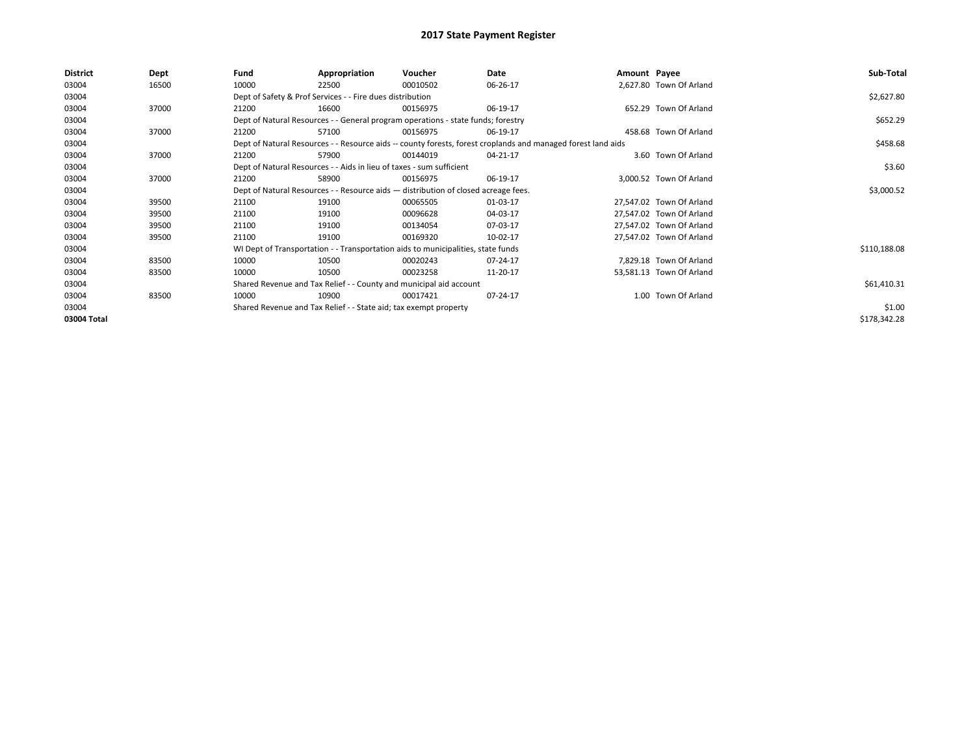| <b>District</b> | Dept  | Fund                                                                                                         | Appropriation                                                                    | Voucher    | Date     | Amount Payee |                          | Sub-Total    |
|-----------------|-------|--------------------------------------------------------------------------------------------------------------|----------------------------------------------------------------------------------|------------|----------|--------------|--------------------------|--------------|
| 03004           | 16500 | 10000                                                                                                        | 22500                                                                            | 00010502   | 06-26-17 |              | 2,627.80 Town Of Arland  |              |
| 03004           |       |                                                                                                              | Dept of Safety & Prof Services - - Fire dues distribution                        |            |          |              |                          | \$2,627.80   |
| 03004           | 37000 | 21200                                                                                                        | 16600                                                                            | 00156975   | 06-19-17 |              | 652.29 Town Of Arland    |              |
| 03004           |       | Dept of Natural Resources - - General program operations - state funds; forestry                             |                                                                                  | \$652.29   |          |              |                          |              |
| 03004           | 37000 | 21200                                                                                                        | 57100                                                                            | 00156975   | 06-19-17 |              | 458.68 Town Of Arland    |              |
| 03004           |       | Dept of Natural Resources - - Resource aids -- county forests, forest croplands and managed forest land aids |                                                                                  | \$458.68   |          |              |                          |              |
| 03004           | 37000 | 21200                                                                                                        | 57900                                                                            | 00144019   | 04-21-17 |              | 3.60 Town Of Arland      |              |
| 03004           |       |                                                                                                              | Dept of Natural Resources - - Aids in lieu of taxes - sum sufficient             |            |          |              |                          | \$3.60       |
| 03004           | 37000 | 21200                                                                                                        | 58900                                                                            | 00156975   | 06-19-17 |              | 3,000.52 Town Of Arland  |              |
| 03004           |       | Dept of Natural Resources - - Resource aids - distribution of closed acreage fees.                           |                                                                                  | \$3,000.52 |          |              |                          |              |
| 03004           | 39500 | 21100                                                                                                        | 19100                                                                            | 00065505   | 01-03-17 |              | 27,547.02 Town Of Arland |              |
| 03004           | 39500 | 21100                                                                                                        | 19100                                                                            | 00096628   | 04-03-17 |              | 27,547.02 Town Of Arland |              |
| 03004           | 39500 | 21100                                                                                                        | 19100                                                                            | 00134054   | 07-03-17 |              | 27,547.02 Town Of Arland |              |
| 03004           | 39500 | 21100                                                                                                        | 19100                                                                            | 00169320   | 10-02-17 |              | 27,547.02 Town Of Arland |              |
| 03004           |       |                                                                                                              | WI Dept of Transportation - - Transportation aids to municipalities, state funds |            |          |              |                          | \$110,188.08 |
| 03004           | 83500 | 10000                                                                                                        | 10500                                                                            | 00020243   | 07-24-17 |              | 7,829.18 Town Of Arland  |              |
| 03004           | 83500 | 10000                                                                                                        | 10500                                                                            | 00023258   | 11-20-17 |              | 53,581.13 Town Of Arland |              |
| 03004           |       |                                                                                                              | Shared Revenue and Tax Relief - - County and municipal aid account               |            |          |              |                          | \$61,410.31  |
| 03004           | 83500 | 10000                                                                                                        | 10900                                                                            | 00017421   | 07-24-17 |              | 1.00 Town Of Arland      |              |
| 03004           |       |                                                                                                              | Shared Revenue and Tax Relief - - State aid; tax exempt property                 |            |          |              |                          | \$1.00       |
| 03004 Total     |       |                                                                                                              |                                                                                  |            |          |              |                          | \$178,342.28 |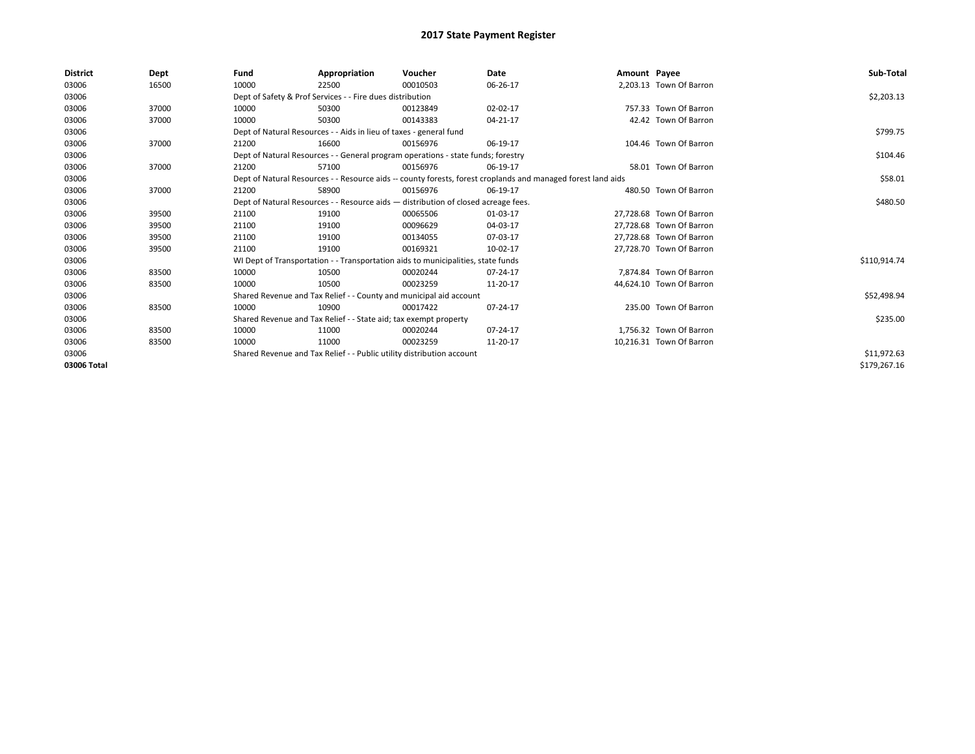| <b>District</b> | Dept  | Fund                                                                               | Appropriation                                                                    | Voucher     | Date                                                                                                         | Amount Payee |                          | Sub-Total    |
|-----------------|-------|------------------------------------------------------------------------------------|----------------------------------------------------------------------------------|-------------|--------------------------------------------------------------------------------------------------------------|--------------|--------------------------|--------------|
| 03006           | 16500 | 10000                                                                              | 22500                                                                            | 00010503    | 06-26-17                                                                                                     |              | 2,203.13 Town Of Barron  |              |
| 03006           |       |                                                                                    | Dept of Safety & Prof Services - - Fire dues distribution                        |             |                                                                                                              |              |                          | \$2,203.13   |
| 03006           | 37000 | 10000                                                                              | 50300                                                                            | 00123849    | 02-02-17                                                                                                     |              | 757.33 Town Of Barron    |              |
| 03006           | 37000 | 10000                                                                              | 50300                                                                            | 00143383    | 04-21-17                                                                                                     |              | 42.42 Town Of Barron     |              |
| 03006           |       | Dept of Natural Resources - - Aids in lieu of taxes - general fund                 |                                                                                  | \$799.75    |                                                                                                              |              |                          |              |
| 03006           | 37000 | 21200                                                                              | 16600                                                                            | 00156976    | 06-19-17                                                                                                     |              | 104.46 Town Of Barron    |              |
| 03006           |       | Dept of Natural Resources - - General program operations - state funds; forestry   |                                                                                  | \$104.46    |                                                                                                              |              |                          |              |
| 03006           | 37000 | 21200                                                                              | 57100                                                                            | 00156976    | 06-19-17                                                                                                     |              | 58.01 Town Of Barron     |              |
| 03006           |       |                                                                                    |                                                                                  |             | Dept of Natural Resources - - Resource aids -- county forests, forest croplands and managed forest land aids |              |                          | \$58.01      |
| 03006           | 37000 | 21200                                                                              | 58900                                                                            | 00156976    | 06-19-17                                                                                                     |              | 480.50 Town Of Barron    |              |
| 03006           |       | Dept of Natural Resources - - Resource aids - distribution of closed acreage fees. |                                                                                  | \$480.50    |                                                                                                              |              |                          |              |
| 03006           | 39500 | 21100                                                                              | 19100                                                                            | 00065506    | 01-03-17                                                                                                     |              | 27,728.68 Town Of Barron |              |
| 03006           | 39500 | 21100                                                                              | 19100                                                                            | 00096629    | 04-03-17                                                                                                     |              | 27.728.68 Town Of Barron |              |
| 03006           | 39500 | 21100                                                                              | 19100                                                                            | 00134055    | 07-03-17                                                                                                     |              | 27,728.68 Town Of Barron |              |
| 03006           | 39500 | 21100                                                                              | 19100                                                                            | 00169321    | 10-02-17                                                                                                     |              | 27,728.70 Town Of Barron |              |
| 03006           |       |                                                                                    | WI Dept of Transportation - - Transportation aids to municipalities, state funds |             |                                                                                                              |              |                          | \$110,914.74 |
| 03006           | 83500 | 10000                                                                              | 10500                                                                            | 00020244    | 07-24-17                                                                                                     |              | 7,874.84 Town Of Barron  |              |
| 03006           | 83500 | 10000                                                                              | 10500                                                                            | 00023259    | 11-20-17                                                                                                     |              | 44,624.10 Town Of Barron |              |
| 03006           |       |                                                                                    | Shared Revenue and Tax Relief - - County and municipal aid account               |             |                                                                                                              |              |                          | \$52,498.94  |
| 03006           | 83500 | 10000                                                                              | 10900                                                                            | 00017422    | 07-24-17                                                                                                     |              | 235.00 Town Of Barron    |              |
| 03006           |       | Shared Revenue and Tax Relief - - State aid; tax exempt property                   |                                                                                  | \$235.00    |                                                                                                              |              |                          |              |
| 03006           | 83500 | 10000                                                                              | 11000                                                                            | 00020244    | 07-24-17                                                                                                     |              | 1,756.32 Town Of Barron  |              |
| 03006           | 83500 | 10000                                                                              | 11000                                                                            | 00023259    | 11-20-17                                                                                                     |              | 10,216.31 Town Of Barron |              |
| 03006           |       | Shared Revenue and Tax Relief - - Public utility distribution account              |                                                                                  | \$11,972.63 |                                                                                                              |              |                          |              |
| 03006 Total     |       |                                                                                    |                                                                                  |             |                                                                                                              |              |                          | \$179,267.16 |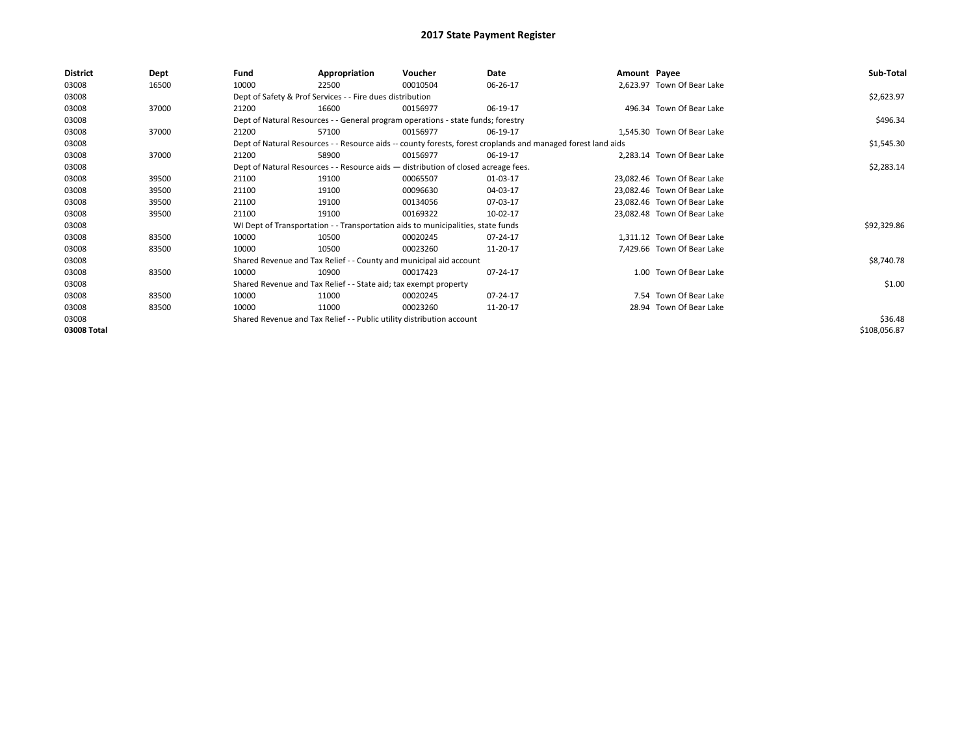| <b>District</b> | Dept  | Fund                                                                               | Appropriation                                                                    | Voucher    | Date                                                                                                         | Amount Payee |                             | Sub-Total    |
|-----------------|-------|------------------------------------------------------------------------------------|----------------------------------------------------------------------------------|------------|--------------------------------------------------------------------------------------------------------------|--------------|-----------------------------|--------------|
| 03008           | 16500 | 10000                                                                              | 22500                                                                            | 00010504   | 06-26-17                                                                                                     |              | 2,623.97 Town Of Bear Lake  |              |
| 03008           |       |                                                                                    | Dept of Safety & Prof Services - - Fire dues distribution                        |            |                                                                                                              |              |                             | \$2,623.97   |
| 03008           | 37000 | 21200                                                                              | 16600                                                                            | 00156977   | 06-19-17                                                                                                     |              | 496.34 Town Of Bear Lake    |              |
| 03008           |       | Dept of Natural Resources - - General program operations - state funds; forestry   |                                                                                  | \$496.34   |                                                                                                              |              |                             |              |
| 03008           | 37000 | 21200                                                                              | 57100                                                                            | 00156977   | 06-19-17                                                                                                     |              | 1.545.30 Town Of Bear Lake  |              |
| 03008           |       |                                                                                    |                                                                                  |            | Dept of Natural Resources - - Resource aids -- county forests, forest croplands and managed forest land aids |              |                             | \$1,545.30   |
| 03008           | 37000 | 21200                                                                              | 58900                                                                            | 00156977   | 06-19-17                                                                                                     |              | 2.283.14 Town Of Bear Lake  |              |
| 03008           |       | Dept of Natural Resources - - Resource aids - distribution of closed acreage fees. |                                                                                  | \$2,283.14 |                                                                                                              |              |                             |              |
| 03008           | 39500 | 21100                                                                              | 19100                                                                            | 00065507   | 01-03-17                                                                                                     |              | 23,082.46 Town Of Bear Lake |              |
| 03008           | 39500 | 21100                                                                              | 19100                                                                            | 00096630   | 04-03-17                                                                                                     |              | 23,082.46 Town Of Bear Lake |              |
| 03008           | 39500 | 21100                                                                              | 19100                                                                            | 00134056   | 07-03-17                                                                                                     |              | 23,082.46 Town Of Bear Lake |              |
| 03008           | 39500 | 21100                                                                              | 19100                                                                            | 00169322   | 10-02-17                                                                                                     |              | 23,082.48 Town Of Bear Lake |              |
| 03008           |       |                                                                                    | WI Dept of Transportation - - Transportation aids to municipalities, state funds |            |                                                                                                              |              |                             | \$92,329.86  |
| 03008           | 83500 | 10000                                                                              | 10500                                                                            | 00020245   | 07-24-17                                                                                                     |              | 1,311.12 Town Of Bear Lake  |              |
| 03008           | 83500 | 10000                                                                              | 10500                                                                            | 00023260   | 11-20-17                                                                                                     |              | 7,429.66 Town Of Bear Lake  |              |
| 03008           |       |                                                                                    | Shared Revenue and Tax Relief - - County and municipal aid account               |            |                                                                                                              |              |                             | \$8,740.78   |
| 03008           | 83500 | 10000                                                                              | 10900                                                                            | 00017423   | 07-24-17                                                                                                     |              | 1.00 Town Of Bear Lake      |              |
| 03008           |       |                                                                                    | Shared Revenue and Tax Relief - - State aid; tax exempt property                 |            |                                                                                                              |              |                             | \$1.00       |
| 03008           | 83500 | 10000                                                                              | 11000                                                                            | 00020245   | 07-24-17                                                                                                     |              | 7.54 Town Of Bear Lake      |              |
| 03008           | 83500 | 10000                                                                              | 11000                                                                            | 00023260   | 11-20-17                                                                                                     |              | 28.94 Town Of Bear Lake     |              |
| 03008           |       | Shared Revenue and Tax Relief - - Public utility distribution account              |                                                                                  | \$36.48    |                                                                                                              |              |                             |              |
| 03008 Total     |       |                                                                                    |                                                                                  |            |                                                                                                              |              |                             | \$108,056.87 |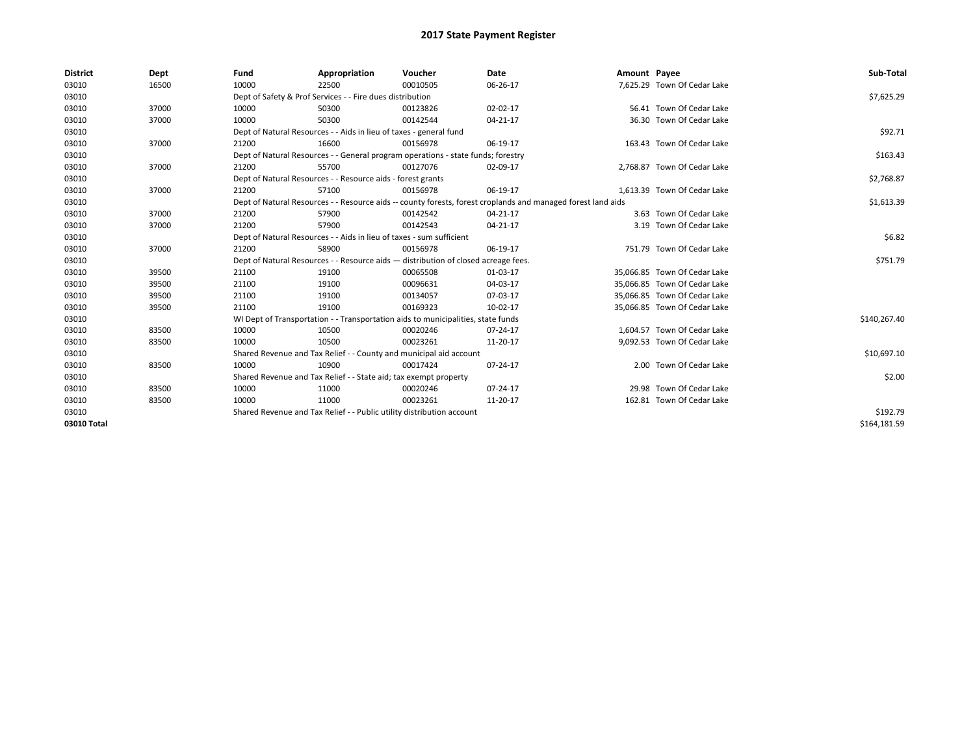| <b>District</b> | Dept  | Fund  | Appropriation                                                                      | Voucher  | Date                                                                                                         | Amount Payee |                              | Sub-Total    |  |  |
|-----------------|-------|-------|------------------------------------------------------------------------------------|----------|--------------------------------------------------------------------------------------------------------------|--------------|------------------------------|--------------|--|--|
| 03010           | 16500 | 10000 | 22500                                                                              | 00010505 | 06-26-17                                                                                                     |              | 7,625.29 Town Of Cedar Lake  |              |  |  |
| 03010           |       |       | Dept of Safety & Prof Services - - Fire dues distribution                          |          |                                                                                                              |              |                              | \$7,625.29   |  |  |
| 03010           | 37000 | 10000 | 50300                                                                              | 00123826 | 02-02-17                                                                                                     |              | 56.41 Town Of Cedar Lake     |              |  |  |
| 03010           | 37000 | 10000 | 50300                                                                              | 00142544 | 04-21-17                                                                                                     |              | 36.30 Town Of Cedar Lake     |              |  |  |
| 03010           |       |       | Dept of Natural Resources - - Aids in lieu of taxes - general fund                 |          | \$92.71                                                                                                      |              |                              |              |  |  |
| 03010           | 37000 | 21200 | 16600                                                                              | 00156978 | 06-19-17                                                                                                     |              | 163.43 Town Of Cedar Lake    |              |  |  |
| 03010           |       |       | Dept of Natural Resources - - General program operations - state funds; forestry   |          |                                                                                                              |              |                              |              |  |  |
| 03010           | 37000 | 21200 | 55700                                                                              | 00127076 | 02-09-17                                                                                                     |              | 2,768.87 Town Of Cedar Lake  |              |  |  |
| 03010           |       |       | Dept of Natural Resources - - Resource aids - forest grants                        |          |                                                                                                              |              |                              | \$2,768.87   |  |  |
| 03010           | 37000 | 21200 | 57100                                                                              | 00156978 | 06-19-17                                                                                                     |              | 1,613.39 Town Of Cedar Lake  |              |  |  |
| 03010           |       |       |                                                                                    |          | Dept of Natural Resources - - Resource aids -- county forests, forest croplands and managed forest land aids |              |                              | \$1,613.39   |  |  |
| 03010           | 37000 | 21200 | 57900                                                                              | 00142542 | 04-21-17                                                                                                     |              | 3.63 Town Of Cedar Lake      |              |  |  |
| 03010           | 37000 | 21200 | 57900                                                                              | 00142543 | 04-21-17                                                                                                     |              | 3.19 Town Of Cedar Lake      |              |  |  |
| 03010           |       |       | Dept of Natural Resources - - Aids in lieu of taxes - sum sufficient               |          |                                                                                                              |              |                              |              |  |  |
| 03010           | 37000 | 21200 | 58900                                                                              | 00156978 | 06-19-17                                                                                                     |              | 751.79 Town Of Cedar Lake    |              |  |  |
| 03010           |       |       | Dept of Natural Resources - - Resource aids - distribution of closed acreage fees. |          |                                                                                                              |              |                              | \$751.79     |  |  |
| 03010           | 39500 | 21100 | 19100                                                                              | 00065508 | 01-03-17                                                                                                     |              | 35,066.85 Town Of Cedar Lake |              |  |  |
| 03010           | 39500 | 21100 | 19100                                                                              | 00096631 | 04-03-17                                                                                                     |              | 35.066.85 Town Of Cedar Lake |              |  |  |
| 03010           | 39500 | 21100 | 19100                                                                              | 00134057 | 07-03-17                                                                                                     |              | 35,066.85 Town Of Cedar Lake |              |  |  |
| 03010           | 39500 | 21100 | 19100                                                                              | 00169323 | 10-02-17                                                                                                     |              | 35,066.85 Town Of Cedar Lake |              |  |  |
| 03010           |       |       | WI Dept of Transportation - - Transportation aids to municipalities, state funds   |          |                                                                                                              |              |                              | \$140,267.40 |  |  |
| 03010           | 83500 | 10000 | 10500                                                                              | 00020246 | 07-24-17                                                                                                     |              | 1,604.57 Town Of Cedar Lake  |              |  |  |
| 03010           | 83500 | 10000 | 10500                                                                              | 00023261 | 11-20-17                                                                                                     |              | 9,092.53 Town Of Cedar Lake  |              |  |  |
| 03010           |       |       | Shared Revenue and Tax Relief - - County and municipal aid account                 |          |                                                                                                              |              |                              | \$10,697.10  |  |  |
| 03010           | 83500 | 10000 | 10900                                                                              | 00017424 | 07-24-17                                                                                                     |              | 2.00 Town Of Cedar Lake      |              |  |  |
| 03010           |       |       | Shared Revenue and Tax Relief - - State aid; tax exempt property                   |          |                                                                                                              |              |                              |              |  |  |
| 03010           | 83500 | 10000 | 11000                                                                              | 00020246 | 07-24-17                                                                                                     |              | 29.98 Town Of Cedar Lake     |              |  |  |
| 03010           | 83500 | 10000 | 11000                                                                              | 00023261 | 11-20-17                                                                                                     |              | 162.81 Town Of Cedar Lake    |              |  |  |
| 03010           |       |       | Shared Revenue and Tax Relief - - Public utility distribution account              |          |                                                                                                              |              |                              |              |  |  |
| 03010 Total     |       |       |                                                                                    |          |                                                                                                              |              |                              | \$164,181.59 |  |  |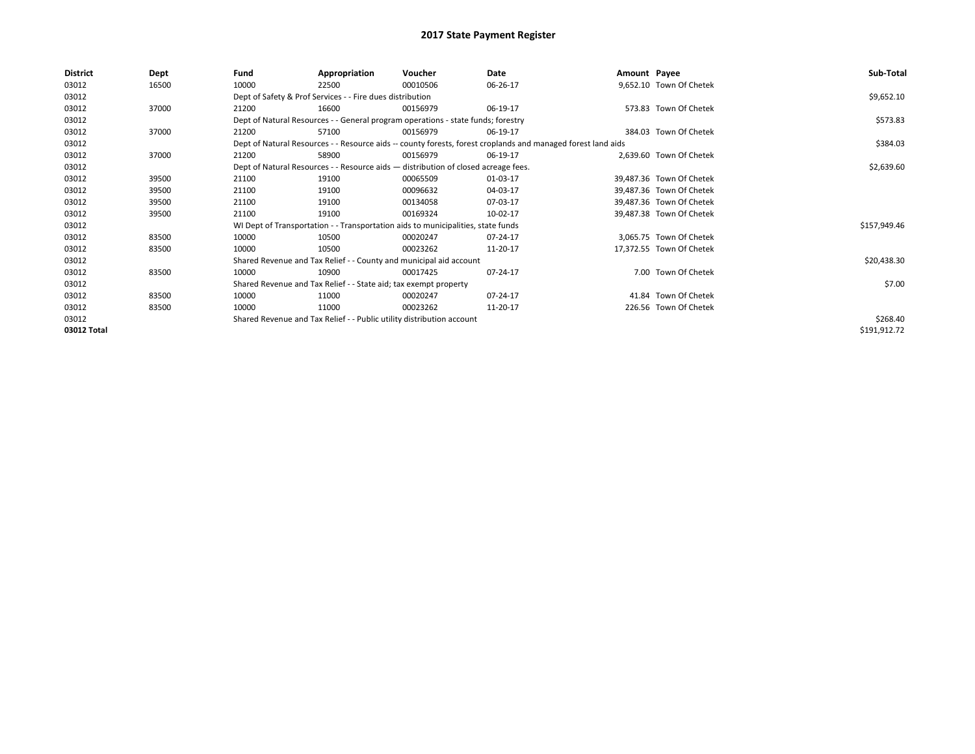| <b>District</b> | Dept  | Fund  | Appropriation                                                                                                | Voucher  | Date       | Amount Payee |                          | Sub-Total    |
|-----------------|-------|-------|--------------------------------------------------------------------------------------------------------------|----------|------------|--------------|--------------------------|--------------|
| 03012           | 16500 | 10000 | 22500                                                                                                        | 00010506 | 06-26-17   |              | 9,652.10 Town Of Chetek  |              |
| 03012           |       |       | Dept of Safety & Prof Services - - Fire dues distribution                                                    |          |            |              |                          | \$9,652.10   |
| 03012           | 37000 | 21200 | 16600                                                                                                        | 00156979 | 06-19-17   |              | 573.83 Town Of Chetek    |              |
| 03012           |       |       | Dept of Natural Resources - - General program operations - state funds; forestry                             |          |            |              |                          | \$573.83     |
| 03012           | 37000 | 21200 | 57100                                                                                                        | 00156979 | 06-19-17   |              | 384.03 Town Of Chetek    |              |
| 03012           |       |       | Dept of Natural Resources - - Resource aids -- county forests, forest croplands and managed forest land aids |          |            |              |                          | \$384.03     |
| 03012           | 37000 | 21200 | 58900                                                                                                        | 00156979 | 06-19-17   |              | 2,639.60 Town Of Chetek  |              |
| 03012           |       |       | Dept of Natural Resources - - Resource aids - distribution of closed acreage fees.                           |          | \$2,639.60 |              |                          |              |
| 03012           | 39500 | 21100 | 19100                                                                                                        | 00065509 | 01-03-17   |              | 39,487.36 Town Of Chetek |              |
| 03012           | 39500 | 21100 | 19100                                                                                                        | 00096632 | 04-03-17   |              | 39,487.36 Town Of Chetek |              |
| 03012           | 39500 | 21100 | 19100                                                                                                        | 00134058 | 07-03-17   |              | 39,487.36 Town Of Chetek |              |
| 03012           | 39500 | 21100 | 19100                                                                                                        | 00169324 | 10-02-17   |              | 39,487.38 Town Of Chetek |              |
| 03012           |       |       | WI Dept of Transportation - - Transportation aids to municipalities, state funds                             |          |            |              |                          | \$157,949.46 |
| 03012           | 83500 | 10000 | 10500                                                                                                        | 00020247 | 07-24-17   |              | 3,065.75 Town Of Chetek  |              |
| 03012           | 83500 | 10000 | 10500                                                                                                        | 00023262 | 11-20-17   |              | 17,372.55 Town Of Chetek |              |
| 03012           |       |       | Shared Revenue and Tax Relief - - County and municipal aid account                                           |          |            |              |                          | \$20,438.30  |
| 03012           | 83500 | 10000 | 10900                                                                                                        | 00017425 | 07-24-17   |              | 7.00 Town Of Chetek      |              |
| 03012           |       |       | Shared Revenue and Tax Relief - - State aid; tax exempt property                                             |          |            |              |                          | \$7.00       |
| 03012           | 83500 | 10000 | 11000                                                                                                        | 00020247 | 07-24-17   |              | 41.84 Town Of Chetek     |              |
| 03012           | 83500 | 10000 | 11000                                                                                                        | 00023262 | 11-20-17   |              | 226.56 Town Of Chetek    |              |
| 03012           |       |       | Shared Revenue and Tax Relief - - Public utility distribution account                                        |          |            |              |                          | \$268.40     |
| 03012 Total     |       |       |                                                                                                              |          |            |              |                          | \$191,912.72 |
|                 |       |       |                                                                                                              |          |            |              |                          |              |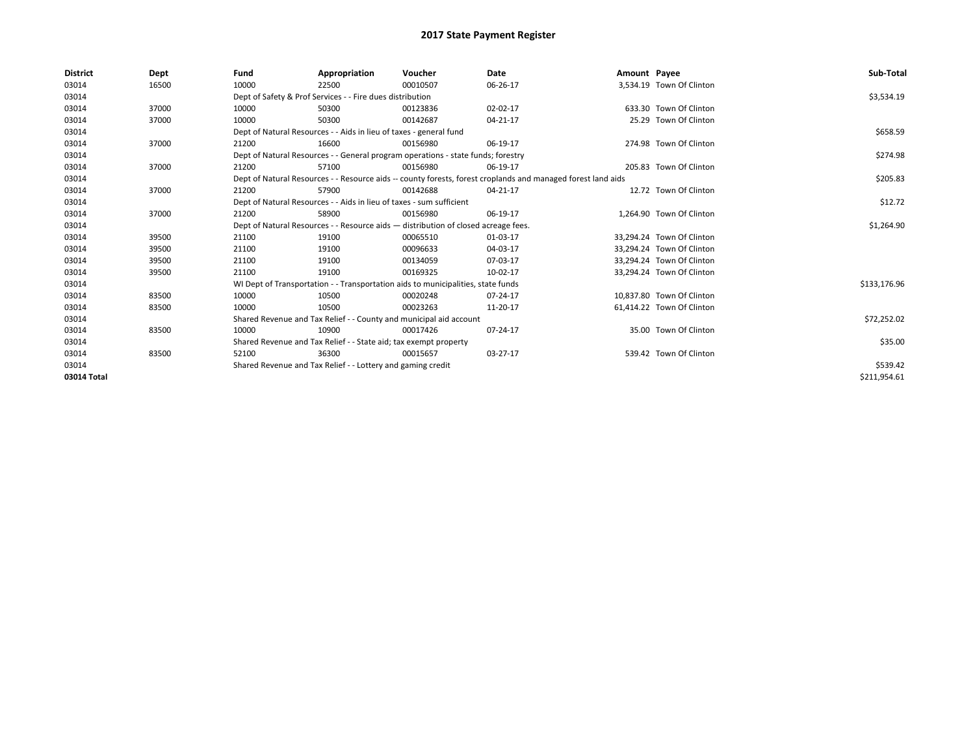| <b>District</b> | Dept  | Fund                                                             | Appropriation                                                                                                | Voucher  | Date     | Amount Payee |                           | Sub-Total    |  |  |
|-----------------|-------|------------------------------------------------------------------|--------------------------------------------------------------------------------------------------------------|----------|----------|--------------|---------------------------|--------------|--|--|
| 03014           | 16500 | 10000                                                            | 22500                                                                                                        | 00010507 | 06-26-17 |              | 3,534.19 Town Of Clinton  |              |  |  |
| 03014           |       |                                                                  | Dept of Safety & Prof Services - - Fire dues distribution                                                    |          |          |              |                           | \$3,534.19   |  |  |
| 03014           | 37000 | 10000                                                            | 50300                                                                                                        | 00123836 | 02-02-17 |              | 633.30 Town Of Clinton    |              |  |  |
| 03014           | 37000 | 10000                                                            | 50300                                                                                                        | 00142687 | 04-21-17 |              | 25.29 Town Of Clinton     |              |  |  |
| 03014           |       |                                                                  | Dept of Natural Resources - - Aids in lieu of taxes - general fund                                           |          |          |              |                           |              |  |  |
| 03014           | 37000 | 21200                                                            | 16600                                                                                                        | 00156980 | 06-19-17 |              | 274.98 Town Of Clinton    |              |  |  |
| 03014           |       |                                                                  | Dept of Natural Resources - - General program operations - state funds; forestry                             |          | \$274.98 |              |                           |              |  |  |
| 03014           | 37000 | 21200                                                            | 57100                                                                                                        | 00156980 | 06-19-17 |              | 205.83 Town Of Clinton    |              |  |  |
| 03014           |       |                                                                  | Dept of Natural Resources - - Resource aids -- county forests, forest croplands and managed forest land aids |          | \$205.83 |              |                           |              |  |  |
| 03014           | 37000 | 21200                                                            | 57900                                                                                                        | 00142688 | 04-21-17 |              | 12.72 Town Of Clinton     |              |  |  |
| 03014           |       |                                                                  | Dept of Natural Resources - - Aids in lieu of taxes - sum sufficient                                         |          |          |              |                           | \$12.72      |  |  |
| 03014           | 37000 | 21200                                                            | 58900                                                                                                        | 00156980 | 06-19-17 |              | 1,264.90 Town Of Clinton  |              |  |  |
| 03014           |       |                                                                  | Dept of Natural Resources - - Resource aids - distribution of closed acreage fees.                           |          |          |              |                           | \$1,264.90   |  |  |
| 03014           | 39500 | 21100                                                            | 19100                                                                                                        | 00065510 | 01-03-17 |              | 33,294.24 Town Of Clinton |              |  |  |
| 03014           | 39500 | 21100                                                            | 19100                                                                                                        | 00096633 | 04-03-17 |              | 33,294.24 Town Of Clinton |              |  |  |
| 03014           | 39500 | 21100                                                            | 19100                                                                                                        | 00134059 | 07-03-17 |              | 33,294.24 Town Of Clinton |              |  |  |
| 03014           | 39500 | 21100                                                            | 19100                                                                                                        | 00169325 | 10-02-17 |              | 33,294.24 Town Of Clinton |              |  |  |
| 03014           |       |                                                                  | WI Dept of Transportation - - Transportation aids to municipalities, state funds                             |          |          |              |                           | \$133,176.96 |  |  |
| 03014           | 83500 | 10000                                                            | 10500                                                                                                        | 00020248 | 07-24-17 |              | 10.837.80 Town Of Clinton |              |  |  |
| 03014           | 83500 | 10000                                                            | 10500                                                                                                        | 00023263 | 11-20-17 |              | 61,414.22 Town Of Clinton |              |  |  |
| 03014           |       |                                                                  | Shared Revenue and Tax Relief - - County and municipal aid account                                           |          |          |              |                           | \$72,252.02  |  |  |
| 03014           | 83500 | 10000                                                            | 10900                                                                                                        | 00017426 | 07-24-17 |              | 35.00 Town Of Clinton     |              |  |  |
| 03014           |       | Shared Revenue and Tax Relief - - State aid; tax exempt property |                                                                                                              | \$35.00  |          |              |                           |              |  |  |
| 03014           | 83500 | 52100                                                            | 36300                                                                                                        | 00015657 | 03-27-17 |              | 539.42 Town Of Clinton    |              |  |  |
| 03014           |       | Shared Revenue and Tax Relief - - Lottery and gaming credit      |                                                                                                              | \$539.42 |          |              |                           |              |  |  |
| 03014 Total     |       |                                                                  |                                                                                                              |          |          |              |                           | \$211,954.61 |  |  |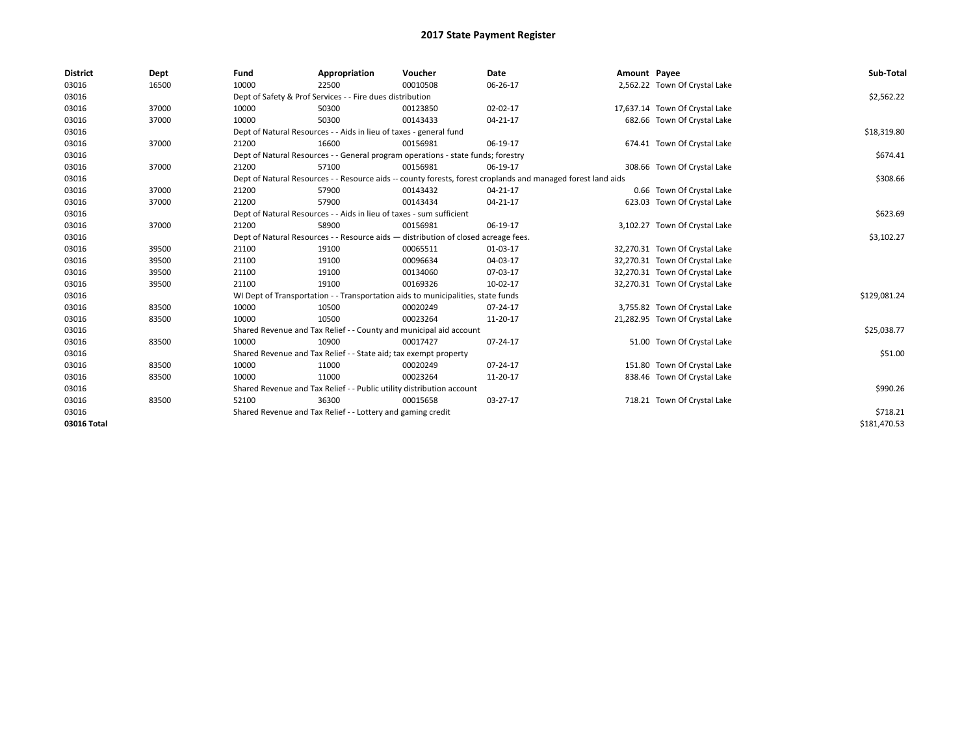| <b>District</b> | Dept  | Fund                                                                               | Appropriation                                                                    | Voucher    | Date                                                                                                         | Amount Payee |                                | Sub-Total    |  |  |
|-----------------|-------|------------------------------------------------------------------------------------|----------------------------------------------------------------------------------|------------|--------------------------------------------------------------------------------------------------------------|--------------|--------------------------------|--------------|--|--|
| 03016           | 16500 | 10000                                                                              | 22500                                                                            | 00010508   | 06-26-17                                                                                                     |              | 2,562.22 Town Of Crystal Lake  |              |  |  |
| 03016           |       |                                                                                    | Dept of Safety & Prof Services - - Fire dues distribution                        |            |                                                                                                              |              |                                | \$2,562.22   |  |  |
| 03016           | 37000 | 10000                                                                              | 50300                                                                            | 00123850   | 02-02-17                                                                                                     |              | 17,637.14 Town Of Crystal Lake |              |  |  |
| 03016           | 37000 | 10000                                                                              | 50300                                                                            | 00143433   | 04-21-17                                                                                                     |              | 682.66 Town Of Crystal Lake    |              |  |  |
| 03016           |       |                                                                                    | Dept of Natural Resources - - Aids in lieu of taxes - general fund               |            |                                                                                                              |              |                                |              |  |  |
| 03016           | 37000 | 21200                                                                              | 16600                                                                            | 00156981   | 06-19-17                                                                                                     |              | 674.41 Town Of Crystal Lake    |              |  |  |
| 03016           |       |                                                                                    | Dept of Natural Resources - - General program operations - state funds; forestry |            |                                                                                                              |              |                                | \$674.41     |  |  |
| 03016           | 37000 | 21200                                                                              | 57100                                                                            | 00156981   | 06-19-17                                                                                                     |              | 308.66 Town Of Crystal Lake    |              |  |  |
| 03016           |       |                                                                                    |                                                                                  |            | Dept of Natural Resources - - Resource aids -- county forests, forest croplands and managed forest land aids |              |                                | \$308.66     |  |  |
| 03016           | 37000 | 21200                                                                              | 57900                                                                            | 00143432   | 04-21-17                                                                                                     |              | 0.66 Town Of Crystal Lake      |              |  |  |
| 03016           | 37000 | 21200                                                                              | 57900                                                                            | 00143434   | $04 - 21 - 17$                                                                                               |              | 623.03 Town Of Crystal Lake    |              |  |  |
| 03016           |       |                                                                                    | Dept of Natural Resources - - Aids in lieu of taxes - sum sufficient             |            |                                                                                                              |              |                                | \$623.69     |  |  |
| 03016           | 37000 | 21200                                                                              | 58900                                                                            | 00156981   | 06-19-17                                                                                                     |              | 3,102.27 Town Of Crystal Lake  |              |  |  |
| 03016           |       | Dept of Natural Resources - - Resource aids - distribution of closed acreage fees. |                                                                                  | \$3,102.27 |                                                                                                              |              |                                |              |  |  |
| 03016           | 39500 | 21100                                                                              | 19100                                                                            | 00065511   | 01-03-17                                                                                                     |              | 32,270.31 Town Of Crystal Lake |              |  |  |
| 03016           | 39500 | 21100                                                                              | 19100                                                                            | 00096634   | 04-03-17                                                                                                     |              | 32,270.31 Town Of Crystal Lake |              |  |  |
| 03016           | 39500 | 21100                                                                              | 19100                                                                            | 00134060   | 07-03-17                                                                                                     |              | 32,270.31 Town Of Crystal Lake |              |  |  |
| 03016           | 39500 | 21100                                                                              | 19100                                                                            | 00169326   | 10-02-17                                                                                                     |              | 32,270.31 Town Of Crystal Lake |              |  |  |
| 03016           |       |                                                                                    | WI Dept of Transportation - - Transportation aids to municipalities, state funds |            |                                                                                                              |              |                                | \$129,081.24 |  |  |
| 03016           | 83500 | 10000                                                                              | 10500                                                                            | 00020249   | 07-24-17                                                                                                     |              | 3,755.82 Town Of Crystal Lake  |              |  |  |
| 03016           | 83500 | 10000                                                                              | 10500                                                                            | 00023264   | 11-20-17                                                                                                     |              | 21,282.95 Town Of Crystal Lake |              |  |  |
| 03016           |       |                                                                                    | Shared Revenue and Tax Relief - - County and municipal aid account               |            |                                                                                                              |              |                                | \$25,038.77  |  |  |
| 03016           | 83500 | 10000                                                                              | 10900                                                                            | 00017427   | 07-24-17                                                                                                     |              | 51.00 Town Of Crystal Lake     |              |  |  |
| 03016           |       |                                                                                    | Shared Revenue and Tax Relief - - State aid; tax exempt property                 |            |                                                                                                              |              |                                | \$51.00      |  |  |
| 03016           | 83500 | 10000                                                                              | 11000                                                                            | 00020249   | 07-24-17                                                                                                     |              | 151.80 Town Of Crystal Lake    |              |  |  |
| 03016           | 83500 | 10000                                                                              | 11000                                                                            | 00023264   | 11-20-17                                                                                                     |              | 838.46 Town Of Crystal Lake    |              |  |  |
| 03016           |       |                                                                                    | Shared Revenue and Tax Relief - - Public utility distribution account            |            |                                                                                                              |              |                                | \$990.26     |  |  |
| 03016           | 83500 | 52100                                                                              | 36300                                                                            | 00015658   | 03-27-17                                                                                                     |              | 718.21 Town Of Crystal Lake    |              |  |  |
| 03016           |       | Shared Revenue and Tax Relief - - Lottery and gaming credit                        |                                                                                  | \$718.21   |                                                                                                              |              |                                |              |  |  |
| 03016 Total     |       |                                                                                    |                                                                                  |            |                                                                                                              |              |                                | \$181,470.53 |  |  |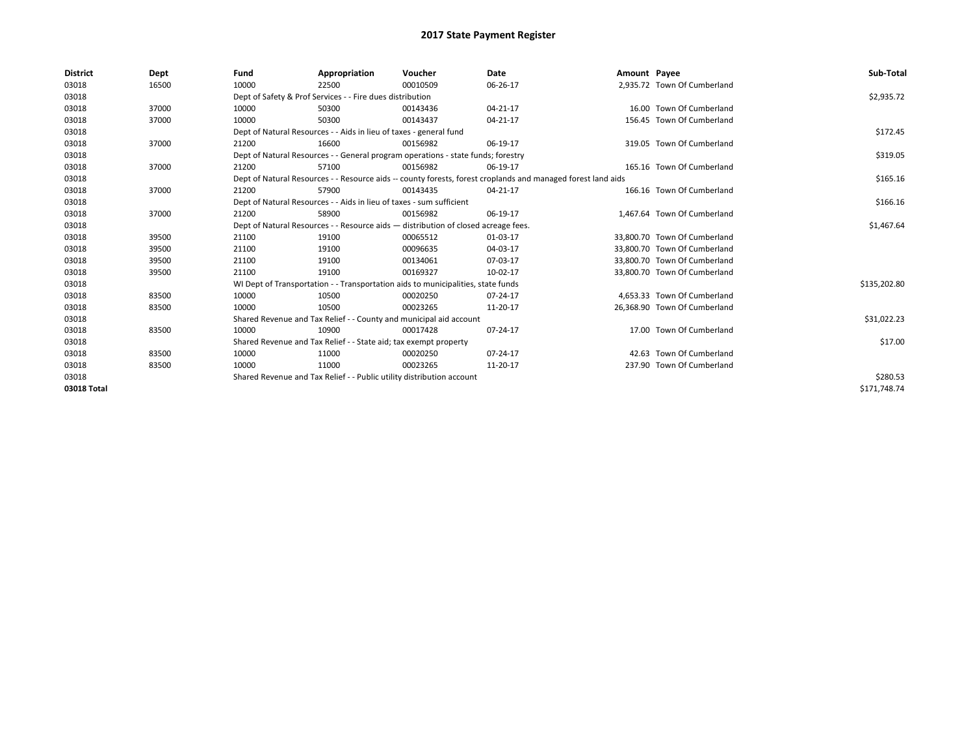| <b>District</b> | Dept  | Fund                                                                               | Appropriation                                                                                                | Voucher    | Date     | Amount Payee |                              | Sub-Total    |  |  |
|-----------------|-------|------------------------------------------------------------------------------------|--------------------------------------------------------------------------------------------------------------|------------|----------|--------------|------------------------------|--------------|--|--|
| 03018           | 16500 | 10000                                                                              | 22500                                                                                                        | 00010509   | 06-26-17 |              | 2,935.72 Town Of Cumberland  |              |  |  |
| 03018           |       |                                                                                    | Dept of Safety & Prof Services - - Fire dues distribution                                                    |            |          |              |                              | \$2,935.72   |  |  |
| 03018           | 37000 | 10000                                                                              | 50300                                                                                                        | 00143436   | 04-21-17 |              | 16.00 Town Of Cumberland     |              |  |  |
| 03018           | 37000 | 10000                                                                              | 50300                                                                                                        | 00143437   | 04-21-17 |              | 156.45 Town Of Cumberland    |              |  |  |
| 03018           |       | Dept of Natural Resources - - Aids in lieu of taxes - general fund                 |                                                                                                              | \$172.45   |          |              |                              |              |  |  |
| 03018           | 37000 | 21200                                                                              | 16600                                                                                                        | 00156982   | 06-19-17 |              | 319.05 Town Of Cumberland    |              |  |  |
| 03018           |       |                                                                                    | Dept of Natural Resources - - General program operations - state funds; forestry                             |            |          |              |                              |              |  |  |
| 03018           | 37000 | 21200                                                                              | 57100                                                                                                        | 00156982   | 06-19-17 |              | 165.16 Town Of Cumberland    |              |  |  |
| 03018           |       |                                                                                    | Dept of Natural Resources - - Resource aids -- county forests, forest croplands and managed forest land aids |            |          |              |                              |              |  |  |
| 03018           | 37000 | 21200                                                                              | 57900                                                                                                        | 00143435   | 04-21-17 |              | 166.16 Town Of Cumberland    |              |  |  |
| 03018           |       | Dept of Natural Resources - - Aids in lieu of taxes - sum sufficient               |                                                                                                              | \$166.16   |          |              |                              |              |  |  |
| 03018           | 37000 | 21200                                                                              | 58900                                                                                                        | 00156982   | 06-19-17 |              | 1.467.64 Town Of Cumberland  |              |  |  |
| 03018           |       | Dept of Natural Resources - - Resource aids - distribution of closed acreage fees. |                                                                                                              | \$1,467.64 |          |              |                              |              |  |  |
| 03018           | 39500 | 21100                                                                              | 19100                                                                                                        | 00065512   | 01-03-17 |              | 33,800.70 Town Of Cumberland |              |  |  |
| 03018           | 39500 | 21100                                                                              | 19100                                                                                                        | 00096635   | 04-03-17 |              | 33,800.70 Town Of Cumberland |              |  |  |
| 03018           | 39500 | 21100                                                                              | 19100                                                                                                        | 00134061   | 07-03-17 |              | 33,800.70 Town Of Cumberland |              |  |  |
| 03018           | 39500 | 21100                                                                              | 19100                                                                                                        | 00169327   | 10-02-17 |              | 33,800.70 Town Of Cumberland |              |  |  |
| 03018           |       |                                                                                    | WI Dept of Transportation - - Transportation aids to municipalities, state funds                             |            |          |              |                              | \$135,202.80 |  |  |
| 03018           | 83500 | 10000                                                                              | 10500                                                                                                        | 00020250   | 07-24-17 |              | 4.653.33 Town Of Cumberland  |              |  |  |
| 03018           | 83500 | 10000                                                                              | 10500                                                                                                        | 00023265   | 11-20-17 |              | 26,368.90 Town Of Cumberland |              |  |  |
| 03018           |       |                                                                                    | Shared Revenue and Tax Relief - - County and municipal aid account                                           |            |          |              |                              | \$31,022.23  |  |  |
| 03018           | 83500 | 10000                                                                              | 10900                                                                                                        | 00017428   | 07-24-17 |              | 17.00 Town Of Cumberland     |              |  |  |
| 03018           |       |                                                                                    | Shared Revenue and Tax Relief - - State aid; tax exempt property                                             |            |          |              |                              | \$17.00      |  |  |
| 03018           | 83500 | 10000                                                                              | 11000                                                                                                        | 00020250   | 07-24-17 |              | 42.63 Town Of Cumberland     |              |  |  |
| 03018           | 83500 | 10000                                                                              | 11000                                                                                                        | 00023265   | 11-20-17 |              | 237.90 Town Of Cumberland    |              |  |  |
| 03018           |       | Shared Revenue and Tax Relief - - Public utility distribution account              |                                                                                                              | \$280.53   |          |              |                              |              |  |  |
| 03018 Total     |       |                                                                                    |                                                                                                              |            |          |              |                              | \$171,748.74 |  |  |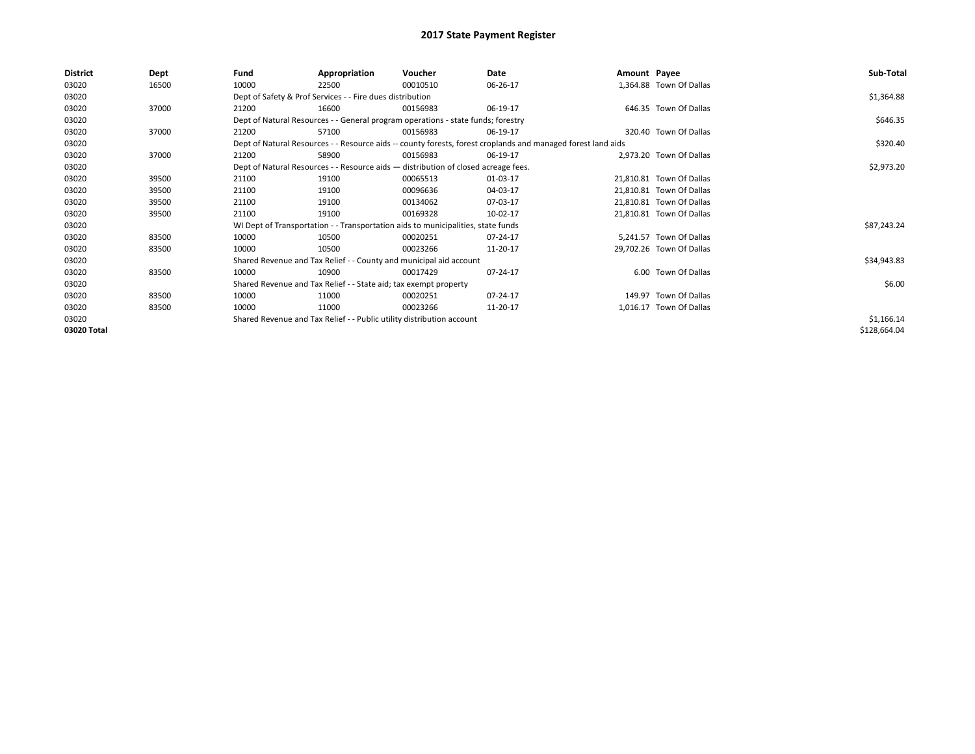| <b>District</b> | Dept  | Fund                                                                               | Appropriation                                                                    | Voucher    | Date                                                                                                         | Amount Payee |                          | Sub-Total    |
|-----------------|-------|------------------------------------------------------------------------------------|----------------------------------------------------------------------------------|------------|--------------------------------------------------------------------------------------------------------------|--------------|--------------------------|--------------|
| 03020           | 16500 | 10000                                                                              | 22500                                                                            | 00010510   | 06-26-17                                                                                                     |              | 1,364.88 Town Of Dallas  |              |
| 03020           |       |                                                                                    | Dept of Safety & Prof Services - - Fire dues distribution                        |            |                                                                                                              |              |                          | \$1,364.88   |
| 03020           | 37000 | 21200                                                                              | 16600                                                                            | 00156983   | 06-19-17                                                                                                     |              | 646.35 Town Of Dallas    |              |
| 03020           |       | Dept of Natural Resources - - General program operations - state funds; forestry   |                                                                                  | \$646.35   |                                                                                                              |              |                          |              |
| 03020           | 37000 | 21200                                                                              | 57100                                                                            | 00156983   | 06-19-17                                                                                                     |              | 320.40 Town Of Dallas    |              |
| 03020           |       |                                                                                    |                                                                                  |            | Dept of Natural Resources - - Resource aids -- county forests, forest croplands and managed forest land aids |              |                          | \$320.40     |
| 03020           | 37000 | 21200                                                                              | 58900                                                                            | 00156983   | 06-19-17                                                                                                     |              | 2,973.20 Town Of Dallas  |              |
| 03020           |       | Dept of Natural Resources - - Resource aids - distribution of closed acreage fees. |                                                                                  | \$2,973.20 |                                                                                                              |              |                          |              |
| 03020           | 39500 | 21100                                                                              | 19100                                                                            | 00065513   | 01-03-17                                                                                                     |              | 21,810.81 Town Of Dallas |              |
| 03020           | 39500 | 21100                                                                              | 19100                                                                            | 00096636   | 04-03-17                                                                                                     |              | 21,810.81 Town Of Dallas |              |
| 03020           | 39500 | 21100                                                                              | 19100                                                                            | 00134062   | 07-03-17                                                                                                     |              | 21,810.81 Town Of Dallas |              |
| 03020           | 39500 | 21100                                                                              | 19100                                                                            | 00169328   | 10-02-17                                                                                                     |              | 21,810.81 Town Of Dallas |              |
| 03020           |       |                                                                                    | WI Dept of Transportation - - Transportation aids to municipalities, state funds |            |                                                                                                              |              |                          | \$87,243.24  |
| 03020           | 83500 | 10000                                                                              | 10500                                                                            | 00020251   | 07-24-17                                                                                                     |              | 5,241.57 Town Of Dallas  |              |
| 03020           | 83500 | 10000                                                                              | 10500                                                                            | 00023266   | 11-20-17                                                                                                     |              | 29,702.26 Town Of Dallas |              |
| 03020           |       |                                                                                    | Shared Revenue and Tax Relief - - County and municipal aid account               |            |                                                                                                              |              |                          | \$34,943.83  |
| 03020           | 83500 | 10000                                                                              | 10900                                                                            | 00017429   | 07-24-17                                                                                                     |              | 6.00 Town Of Dallas      |              |
| 03020           |       |                                                                                    | Shared Revenue and Tax Relief - - State aid; tax exempt property                 |            |                                                                                                              |              |                          | \$6.00       |
| 03020           | 83500 | 10000                                                                              | 11000                                                                            | 00020251   | 07-24-17                                                                                                     |              | 149.97 Town Of Dallas    |              |
| 03020           | 83500 | 10000                                                                              | 11000                                                                            | 00023266   | 11-20-17                                                                                                     |              | 1,016.17 Town Of Dallas  |              |
| 03020           |       | Shared Revenue and Tax Relief - - Public utility distribution account              |                                                                                  | \$1,166.14 |                                                                                                              |              |                          |              |
| 03020 Total     |       |                                                                                    |                                                                                  |            |                                                                                                              |              |                          | \$128,664.04 |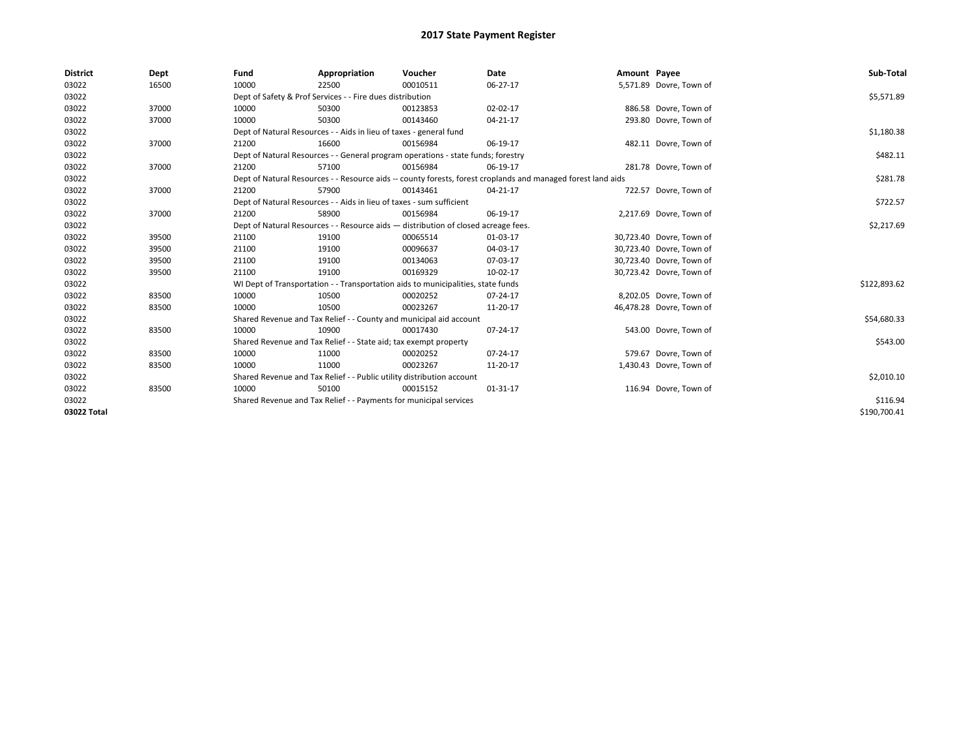| <b>District</b> | Dept  | Fund                                                                                                         | Appropriation                                                                    | Voucher    | Date     | Amount Payee |                          | Sub-Total    |
|-----------------|-------|--------------------------------------------------------------------------------------------------------------|----------------------------------------------------------------------------------|------------|----------|--------------|--------------------------|--------------|
| 03022           | 16500 | 10000                                                                                                        | 22500                                                                            | 00010511   | 06-27-17 |              | 5,571.89 Dovre, Town of  |              |
| 03022           |       |                                                                                                              | Dept of Safety & Prof Services - - Fire dues distribution                        |            |          |              |                          | \$5,571.89   |
| 03022           | 37000 | 10000                                                                                                        | 50300                                                                            | 00123853   | 02-02-17 |              | 886.58 Dovre, Town of    |              |
| 03022           | 37000 | 10000                                                                                                        | 50300                                                                            | 00143460   | 04-21-17 |              | 293.80 Dovre, Town of    |              |
| 03022           |       |                                                                                                              | Dept of Natural Resources - - Aids in lieu of taxes - general fund               |            |          |              |                          | \$1,180.38   |
| 03022           | 37000 | 21200                                                                                                        | 16600                                                                            | 00156984   | 06-19-17 |              | 482.11 Dovre, Town of    |              |
| 03022           |       | Dept of Natural Resources - - General program operations - state funds; forestry                             |                                                                                  | \$482.11   |          |              |                          |              |
| 03022           | 37000 | 21200                                                                                                        | 57100                                                                            | 00156984   | 06-19-17 |              | 281.78 Dovre, Town of    |              |
| 03022           |       | Dept of Natural Resources - - Resource aids -- county forests, forest croplands and managed forest land aids |                                                                                  | \$281.78   |          |              |                          |              |
| 03022           | 37000 | 21200                                                                                                        | 57900                                                                            | 00143461   | 04-21-17 |              | 722.57 Dovre, Town of    |              |
| 03022           |       | Dept of Natural Resources - - Aids in lieu of taxes - sum sufficient                                         |                                                                                  | \$722.57   |          |              |                          |              |
| 03022           | 37000 | 21200                                                                                                        | 58900                                                                            | 00156984   | 06-19-17 |              | 2,217.69 Dovre, Town of  |              |
| 03022           |       | Dept of Natural Resources - - Resource aids - distribution of closed acreage fees.                           |                                                                                  | \$2,217.69 |          |              |                          |              |
| 03022           | 39500 | 21100                                                                                                        | 19100                                                                            | 00065514   | 01-03-17 |              | 30,723.40 Dovre, Town of |              |
| 03022           | 39500 | 21100                                                                                                        | 19100                                                                            | 00096637   | 04-03-17 |              | 30,723.40 Dovre, Town of |              |
| 03022           | 39500 | 21100                                                                                                        | 19100                                                                            | 00134063   | 07-03-17 |              | 30,723.40 Dovre, Town of |              |
| 03022           | 39500 | 21100                                                                                                        | 19100                                                                            | 00169329   | 10-02-17 |              | 30,723.42 Dovre, Town of |              |
| 03022           |       |                                                                                                              | WI Dept of Transportation - - Transportation aids to municipalities, state funds |            |          |              |                          | \$122,893.62 |
| 03022           | 83500 | 10000                                                                                                        | 10500                                                                            | 00020252   | 07-24-17 |              | 8,202.05 Dovre, Town of  |              |
| 03022           | 83500 | 10000                                                                                                        | 10500                                                                            | 00023267   | 11-20-17 |              | 46,478.28 Dovre, Town of |              |
| 03022           |       |                                                                                                              | Shared Revenue and Tax Relief - - County and municipal aid account               |            |          |              |                          | \$54,680.33  |
| 03022           | 83500 | 10000                                                                                                        | 10900                                                                            | 00017430   | 07-24-17 |              | 543.00 Dovre, Town of    |              |
| 03022           |       |                                                                                                              | Shared Revenue and Tax Relief - - State aid; tax exempt property                 |            |          |              |                          | \$543.00     |
| 03022           | 83500 | 10000                                                                                                        | 11000                                                                            | 00020252   | 07-24-17 |              | 579.67 Dovre, Town of    |              |
| 03022           | 83500 | 10000                                                                                                        | 11000                                                                            | 00023267   | 11-20-17 |              | 1,430.43 Dovre, Town of  |              |
| 03022           |       | Shared Revenue and Tax Relief - - Public utility distribution account                                        |                                                                                  | \$2,010.10 |          |              |                          |              |
| 03022           | 83500 | 10000                                                                                                        | 50100                                                                            | 00015152   | 01-31-17 |              | 116.94 Dovre, Town of    |              |
| 03022           |       | Shared Revenue and Tax Relief - - Payments for municipal services                                            |                                                                                  | \$116.94   |          |              |                          |              |
| 03022 Total     |       |                                                                                                              |                                                                                  |            |          |              |                          | \$190,700.41 |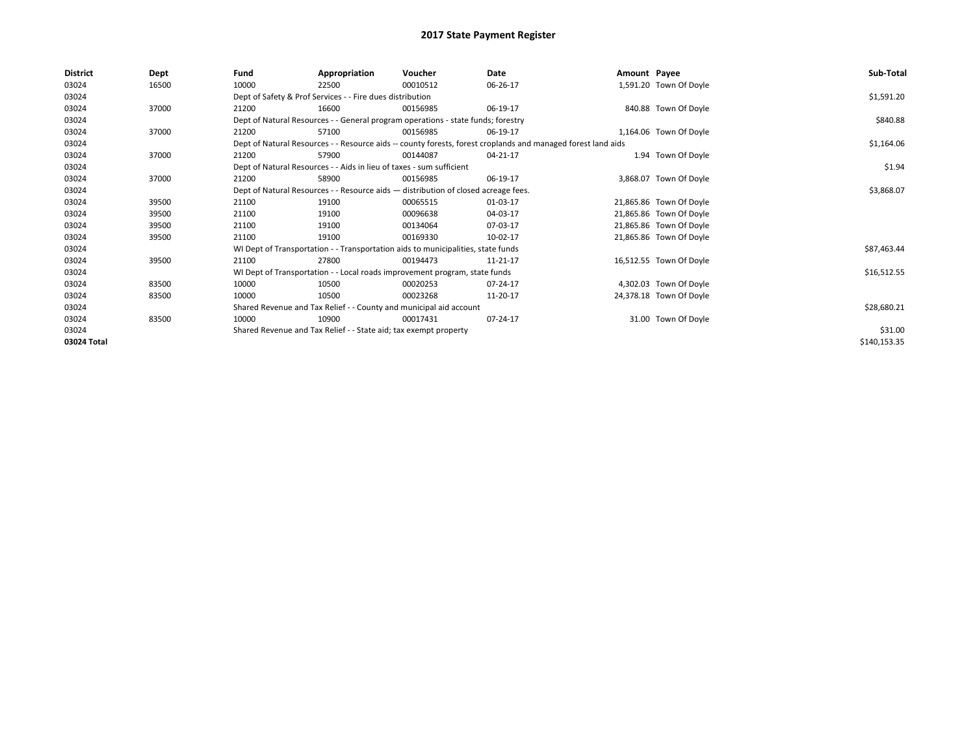| <b>District</b> | Dept  | Fund                                                                               | Appropriation                                                                                                | Voucher    | Date     | Amount Payee |                         | Sub-Total    |  |  |
|-----------------|-------|------------------------------------------------------------------------------------|--------------------------------------------------------------------------------------------------------------|------------|----------|--------------|-------------------------|--------------|--|--|
| 03024           | 16500 | 10000                                                                              | 22500                                                                                                        | 00010512   | 06-26-17 |              | 1,591.20 Town Of Doyle  |              |  |  |
| 03024           |       |                                                                                    | Dept of Safety & Prof Services - - Fire dues distribution                                                    |            |          |              |                         | \$1,591.20   |  |  |
| 03024           | 37000 | 21200                                                                              | 16600                                                                                                        | 00156985   | 06-19-17 |              | 840.88 Town Of Doyle    |              |  |  |
| 03024           |       |                                                                                    | Dept of Natural Resources - - General program operations - state funds; forestry                             |            |          |              |                         | \$840.88     |  |  |
| 03024           | 37000 | 21200                                                                              | 57100                                                                                                        | 00156985   | 06-19-17 |              | 1,164.06 Town Of Doyle  |              |  |  |
| 03024           |       |                                                                                    | Dept of Natural Resources - - Resource aids -- county forests, forest croplands and managed forest land aids |            |          |              |                         |              |  |  |
| 03024           | 37000 | 21200                                                                              | 57900                                                                                                        | 00144087   | 04-21-17 |              | 1.94 Town Of Doyle      |              |  |  |
| 03024           |       |                                                                                    | Dept of Natural Resources - - Aids in lieu of taxes - sum sufficient                                         |            | \$1.94   |              |                         |              |  |  |
| 03024           | 37000 | 21200                                                                              | 58900                                                                                                        | 00156985   | 06-19-17 |              | 3,868.07 Town Of Doyle  |              |  |  |
| 03024           |       | Dept of Natural Resources - - Resource aids - distribution of closed acreage fees. |                                                                                                              | \$3,868.07 |          |              |                         |              |  |  |
| 03024           | 39500 | 21100                                                                              | 19100                                                                                                        | 00065515   | 01-03-17 |              | 21,865.86 Town Of Doyle |              |  |  |
| 03024           | 39500 | 21100                                                                              | 19100                                                                                                        | 00096638   | 04-03-17 |              | 21,865.86 Town Of Doyle |              |  |  |
| 03024           | 39500 | 21100                                                                              | 19100                                                                                                        | 00134064   | 07-03-17 |              | 21,865.86 Town Of Doyle |              |  |  |
| 03024           | 39500 | 21100                                                                              | 19100                                                                                                        | 00169330   | 10-02-17 |              | 21,865.86 Town Of Doyle |              |  |  |
| 03024           |       |                                                                                    | WI Dept of Transportation - - Transportation aids to municipalities, state funds                             |            |          |              |                         | \$87,463.44  |  |  |
| 03024           | 39500 | 21100                                                                              | 27800                                                                                                        | 00194473   | 11-21-17 |              | 16,512.55 Town Of Doyle |              |  |  |
| 03024           |       |                                                                                    | WI Dept of Transportation - - Local roads improvement program, state funds                                   |            |          |              |                         | \$16,512.55  |  |  |
| 03024           | 83500 | 10000                                                                              | 10500                                                                                                        | 00020253   | 07-24-17 |              | 4,302.03 Town Of Doyle  |              |  |  |
| 03024           | 83500 | 10000                                                                              | 10500                                                                                                        | 00023268   | 11-20-17 |              | 24,378.18 Town Of Doyle |              |  |  |
| 03024           |       |                                                                                    | Shared Revenue and Tax Relief - - County and municipal aid account                                           |            |          |              |                         | \$28,680.21  |  |  |
| 03024           | 83500 | 10000                                                                              | 10900                                                                                                        | 00017431   | 07-24-17 |              | 31.00 Town Of Doyle     |              |  |  |
| 03024           |       |                                                                                    | Shared Revenue and Tax Relief - - State aid; tax exempt property                                             |            |          |              |                         | \$31.00      |  |  |
| 03024 Total     |       |                                                                                    |                                                                                                              |            |          |              |                         | \$140,153.35 |  |  |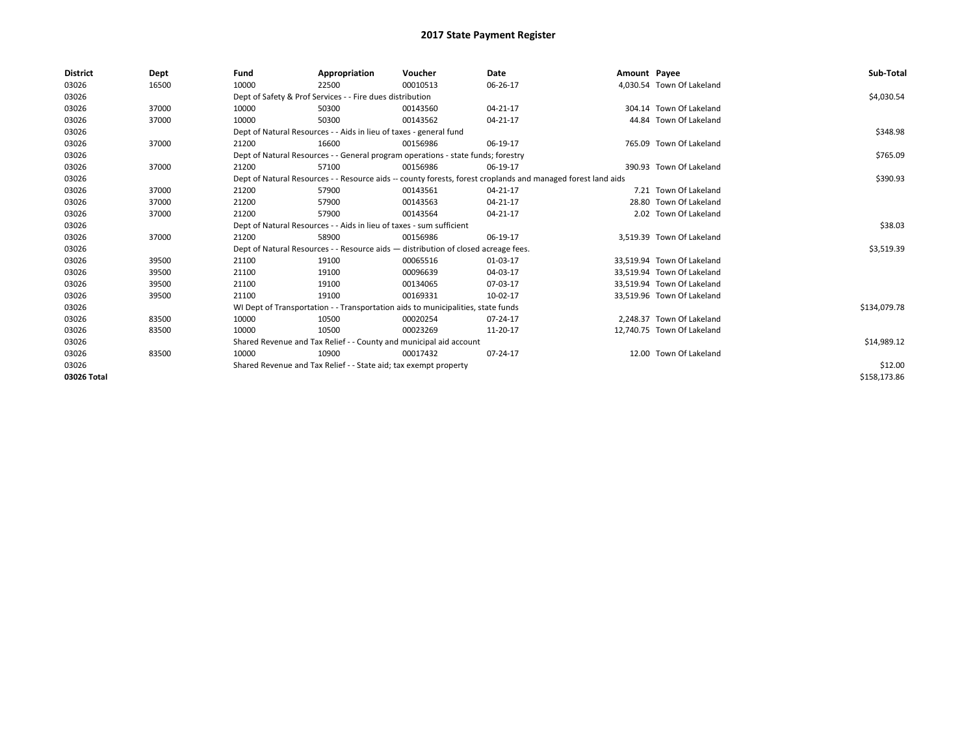| <b>District</b> | Dept  | Fund  | Appropriation                                                                                                | Voucher  | <b>Date</b> | Amount Payee |                            | Sub-Total    |  |  |
|-----------------|-------|-------|--------------------------------------------------------------------------------------------------------------|----------|-------------|--------------|----------------------------|--------------|--|--|
| 03026           | 16500 | 10000 | 22500                                                                                                        | 00010513 | 06-26-17    |              | 4,030.54 Town Of Lakeland  |              |  |  |
| 03026           |       |       | Dept of Safety & Prof Services - - Fire dues distribution                                                    |          |             |              |                            | \$4,030.54   |  |  |
| 03026           | 37000 | 10000 | 50300                                                                                                        | 00143560 | 04-21-17    |              | 304.14 Town Of Lakeland    |              |  |  |
| 03026           | 37000 | 10000 | 50300                                                                                                        | 00143562 | 04-21-17    |              | 44.84 Town Of Lakeland     |              |  |  |
| 03026           |       |       | Dept of Natural Resources - - Aids in lieu of taxes - general fund                                           |          |             |              |                            |              |  |  |
| 03026           | 37000 | 21200 | 16600                                                                                                        | 00156986 | 06-19-17    |              | 765.09 Town Of Lakeland    |              |  |  |
| 03026           |       |       | Dept of Natural Resources - - General program operations - state funds; forestry                             |          | \$765.09    |              |                            |              |  |  |
| 03026           | 37000 | 21200 | 57100                                                                                                        | 00156986 | 06-19-17    |              | 390.93 Town Of Lakeland    |              |  |  |
| 03026           |       |       | Dept of Natural Resources - - Resource aids -- county forests, forest croplands and managed forest land aids |          | \$390.93    |              |                            |              |  |  |
| 03026           | 37000 | 21200 | 57900                                                                                                        | 00143561 | 04-21-17    |              | 7.21 Town Of Lakeland      |              |  |  |
| 03026           | 37000 | 21200 | 57900                                                                                                        | 00143563 | 04-21-17    |              | 28.80 Town Of Lakeland     |              |  |  |
| 03026           | 37000 | 21200 | 57900                                                                                                        | 00143564 | 04-21-17    |              | 2.02 Town Of Lakeland      |              |  |  |
| 03026           |       |       | Dept of Natural Resources - - Aids in lieu of taxes - sum sufficient                                         |          |             |              |                            |              |  |  |
| 03026           | 37000 | 21200 | 58900                                                                                                        | 00156986 | 06-19-17    |              | 3,519.39 Town Of Lakeland  |              |  |  |
| 03026           |       |       | Dept of Natural Resources - - Resource aids - distribution of closed acreage fees.                           |          |             |              |                            | \$3,519.39   |  |  |
| 03026           | 39500 | 21100 | 19100                                                                                                        | 00065516 | 01-03-17    |              | 33.519.94 Town Of Lakeland |              |  |  |
| 03026           | 39500 | 21100 | 19100                                                                                                        | 00096639 | 04-03-17    |              | 33.519.94 Town Of Lakeland |              |  |  |
| 03026           | 39500 | 21100 | 19100                                                                                                        | 00134065 | 07-03-17    |              | 33.519.94 Town Of Lakeland |              |  |  |
| 03026           | 39500 | 21100 | 19100                                                                                                        | 00169331 | 10-02-17    |              | 33,519.96 Town Of Lakeland |              |  |  |
| 03026           |       |       | WI Dept of Transportation - - Transportation aids to municipalities, state funds                             |          |             |              |                            | \$134,079.78 |  |  |
| 03026           | 83500 | 10000 | 10500                                                                                                        | 00020254 | 07-24-17    |              | 2.248.37 Town Of Lakeland  |              |  |  |
| 03026           | 83500 | 10000 | 10500                                                                                                        | 00023269 | 11-20-17    |              | 12,740.75 Town Of Lakeland |              |  |  |
| 03026           |       |       | Shared Revenue and Tax Relief - - County and municipal aid account                                           |          |             |              |                            |              |  |  |
| 03026           | 83500 | 10000 | 10900                                                                                                        | 00017432 | 07-24-17    |              | 12.00 Town Of Lakeland     |              |  |  |
| 03026           |       |       | Shared Revenue and Tax Relief - - State aid; tax exempt property                                             |          |             |              |                            |              |  |  |
| 03026 Total     |       |       |                                                                                                              |          |             |              |                            | \$158,173.86 |  |  |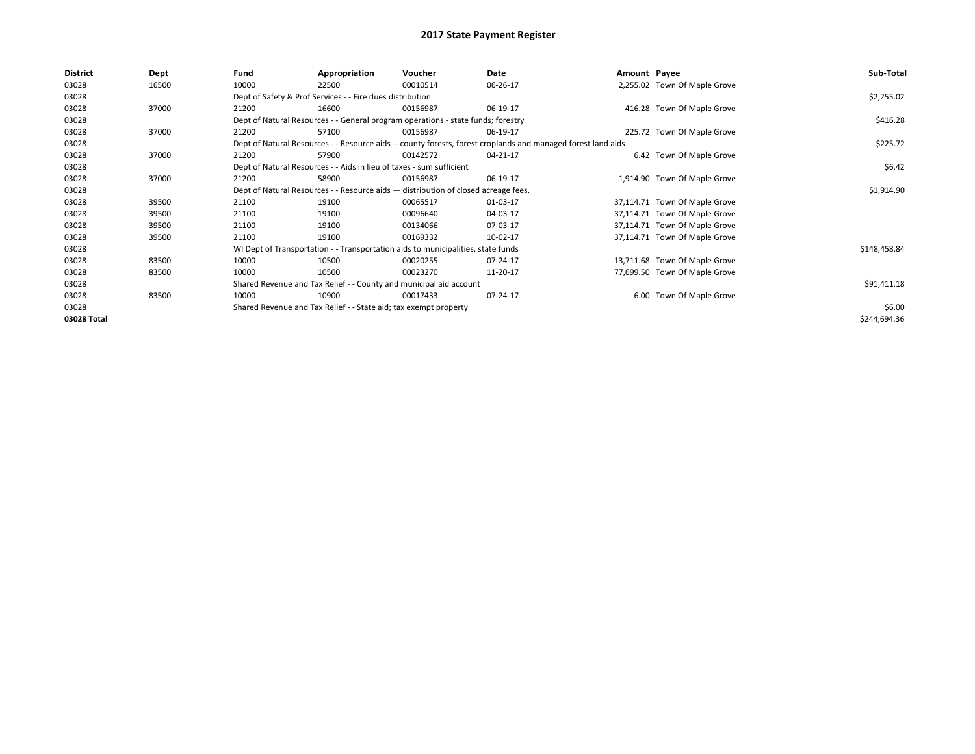| <b>District</b> | Dept  | Fund                                                                                                         | Appropriation                                                                    | Voucher     | Date     | Amount Payee |                               | Sub-Total    |  |  |
|-----------------|-------|--------------------------------------------------------------------------------------------------------------|----------------------------------------------------------------------------------|-------------|----------|--------------|-------------------------------|--------------|--|--|
| 03028           | 16500 | 10000                                                                                                        | 22500                                                                            | 00010514    | 06-26-17 |              | 2,255.02 Town Of Maple Grove  |              |  |  |
| 03028           |       |                                                                                                              | Dept of Safety & Prof Services - - Fire dues distribution                        |             |          |              |                               | \$2,255.02   |  |  |
| 03028           | 37000 | 21200                                                                                                        | 16600                                                                            | 00156987    | 06-19-17 |              | 416.28 Town Of Maple Grove    |              |  |  |
| 03028           |       | Dept of Natural Resources - - General program operations - state funds; forestry                             |                                                                                  | \$416.28    |          |              |                               |              |  |  |
| 03028           | 37000 | 21200                                                                                                        | 57100                                                                            | 00156987    | 06-19-17 |              | 225.72 Town Of Maple Grove    |              |  |  |
| 03028           |       | Dept of Natural Resources - - Resource aids -- county forests, forest croplands and managed forest land aids |                                                                                  | \$225.72    |          |              |                               |              |  |  |
| 03028           | 37000 | 21200                                                                                                        | 57900                                                                            | 00142572    | 04-21-17 |              | 6.42 Town Of Maple Grove      |              |  |  |
| 03028           |       |                                                                                                              | Dept of Natural Resources - - Aids in lieu of taxes - sum sufficient             |             |          |              |                               |              |  |  |
| 03028           | 37000 | 21200                                                                                                        | 58900                                                                            | 00156987    | 06-19-17 |              | 1,914.90 Town Of Maple Grove  |              |  |  |
| 03028           |       | Dept of Natural Resources - - Resource aids - distribution of closed acreage fees.                           |                                                                                  | \$1,914.90  |          |              |                               |              |  |  |
| 03028           | 39500 | 21100                                                                                                        | 19100                                                                            | 00065517    | 01-03-17 |              | 37,114.71 Town Of Maple Grove |              |  |  |
| 03028           | 39500 | 21100                                                                                                        | 19100                                                                            | 00096640    | 04-03-17 |              | 37,114.71 Town Of Maple Grove |              |  |  |
| 03028           | 39500 | 21100                                                                                                        | 19100                                                                            | 00134066    | 07-03-17 |              | 37,114.71 Town Of Maple Grove |              |  |  |
| 03028           | 39500 | 21100                                                                                                        | 19100                                                                            | 00169332    | 10-02-17 |              | 37,114.71 Town Of Maple Grove |              |  |  |
| 03028           |       |                                                                                                              | WI Dept of Transportation - - Transportation aids to municipalities, state funds |             |          |              |                               | \$148,458.84 |  |  |
| 03028           | 83500 | 10000                                                                                                        | 10500                                                                            | 00020255    | 07-24-17 |              | 13,711.68 Town Of Maple Grove |              |  |  |
| 03028           | 83500 | 10000                                                                                                        | 10500                                                                            | 00023270    | 11-20-17 |              | 77,699.50 Town Of Maple Grove |              |  |  |
| 03028           |       | Shared Revenue and Tax Relief - - County and municipal aid account                                           |                                                                                  | \$91,411.18 |          |              |                               |              |  |  |
| 03028           | 83500 | 10000                                                                                                        | 10900                                                                            | 00017433    | 07-24-17 |              | 6.00 Town Of Maple Grove      |              |  |  |
| 03028           |       |                                                                                                              | Shared Revenue and Tax Relief - - State aid; tax exempt property                 |             |          |              |                               | \$6.00       |  |  |
| 03028 Total     |       |                                                                                                              |                                                                                  |             |          |              |                               | \$244,694.36 |  |  |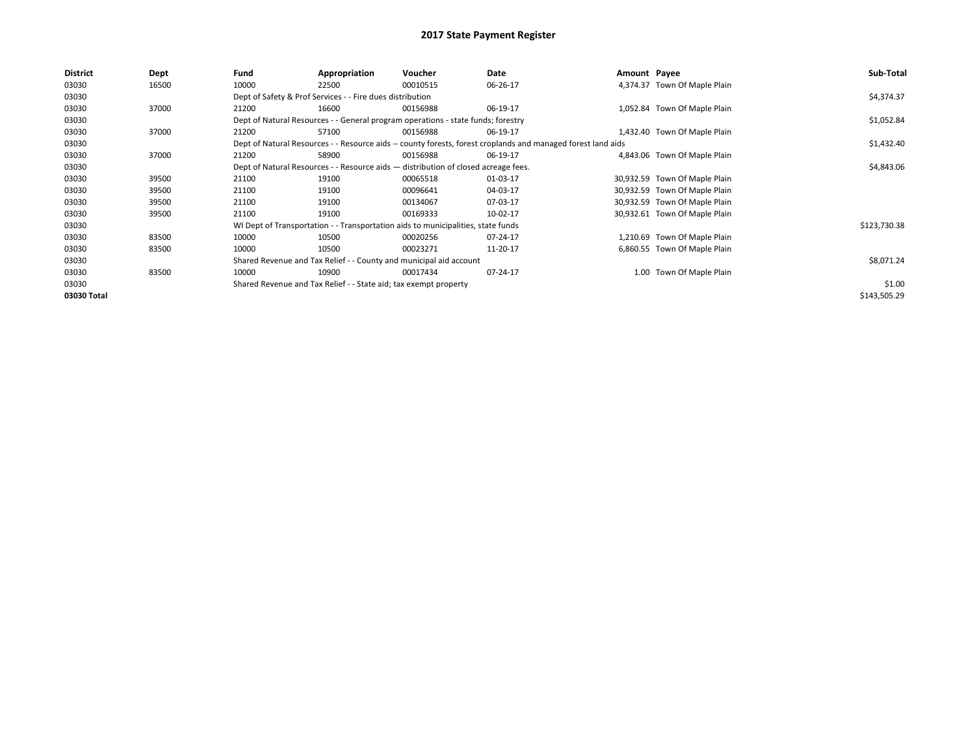| District    | Dept  | Fund                                                                               | Appropriation                                                                                                | Voucher    | Date       | Amount Payee |                               | Sub-Total    |
|-------------|-------|------------------------------------------------------------------------------------|--------------------------------------------------------------------------------------------------------------|------------|------------|--------------|-------------------------------|--------------|
| 03030       | 16500 | 10000                                                                              | 22500                                                                                                        | 00010515   | 06-26-17   |              | 4,374.37 Town Of Maple Plain  |              |
| 03030       |       |                                                                                    | Dept of Safety & Prof Services - - Fire dues distribution                                                    |            |            |              |                               | \$4,374.37   |
| 03030       | 37000 | 21200                                                                              | 16600                                                                                                        | 00156988   | 06-19-17   |              | 1,052.84 Town Of Maple Plain  |              |
| 03030       |       |                                                                                    | Dept of Natural Resources - - General program operations - state funds; forestry                             |            |            |              |                               | \$1,052.84   |
| 03030       | 37000 | 21200                                                                              | 57100                                                                                                        | 00156988   | 06-19-17   |              | 1,432.40 Town Of Maple Plain  |              |
| 03030       |       |                                                                                    | Dept of Natural Resources - - Resource aids -- county forests, forest croplands and managed forest land aids |            | \$1,432.40 |              |                               |              |
| 03030       | 37000 | 21200                                                                              | 58900                                                                                                        | 00156988   | 06-19-17   |              | 4,843.06 Town Of Maple Plain  |              |
| 03030       |       | Dept of Natural Resources - - Resource aids - distribution of closed acreage fees. |                                                                                                              | \$4,843.06 |            |              |                               |              |
| 03030       | 39500 | 21100                                                                              | 19100                                                                                                        | 00065518   | 01-03-17   |              | 30,932.59 Town Of Maple Plain |              |
| 03030       | 39500 | 21100                                                                              | 19100                                                                                                        | 00096641   | 04-03-17   |              | 30,932.59 Town Of Maple Plain |              |
| 03030       | 39500 | 21100                                                                              | 19100                                                                                                        | 00134067   | 07-03-17   |              | 30,932.59 Town Of Maple Plain |              |
| 03030       | 39500 | 21100                                                                              | 19100                                                                                                        | 00169333   | 10-02-17   |              | 30,932.61 Town Of Maple Plain |              |
| 03030       |       |                                                                                    | WI Dept of Transportation - - Transportation aids to municipalities, state funds                             |            |            |              |                               | \$123,730.38 |
| 03030       | 83500 | 10000                                                                              | 10500                                                                                                        | 00020256   | 07-24-17   |              | 1,210.69 Town Of Maple Plain  |              |
| 03030       | 83500 | 10000                                                                              | 10500                                                                                                        | 00023271   | 11-20-17   |              | 6,860.55 Town Of Maple Plain  |              |
| 03030       |       | Shared Revenue and Tax Relief - - County and municipal aid account                 |                                                                                                              | \$8,071.24 |            |              |                               |              |
| 03030       | 83500 | 10000                                                                              | 10900                                                                                                        | 00017434   | 07-24-17   |              | 1.00 Town Of Maple Plain      |              |
| 03030       |       |                                                                                    | Shared Revenue and Tax Relief - - State aid; tax exempt property                                             |            |            |              |                               | \$1.00       |
| 03030 Total |       |                                                                                    |                                                                                                              |            |            |              |                               | \$143,505.29 |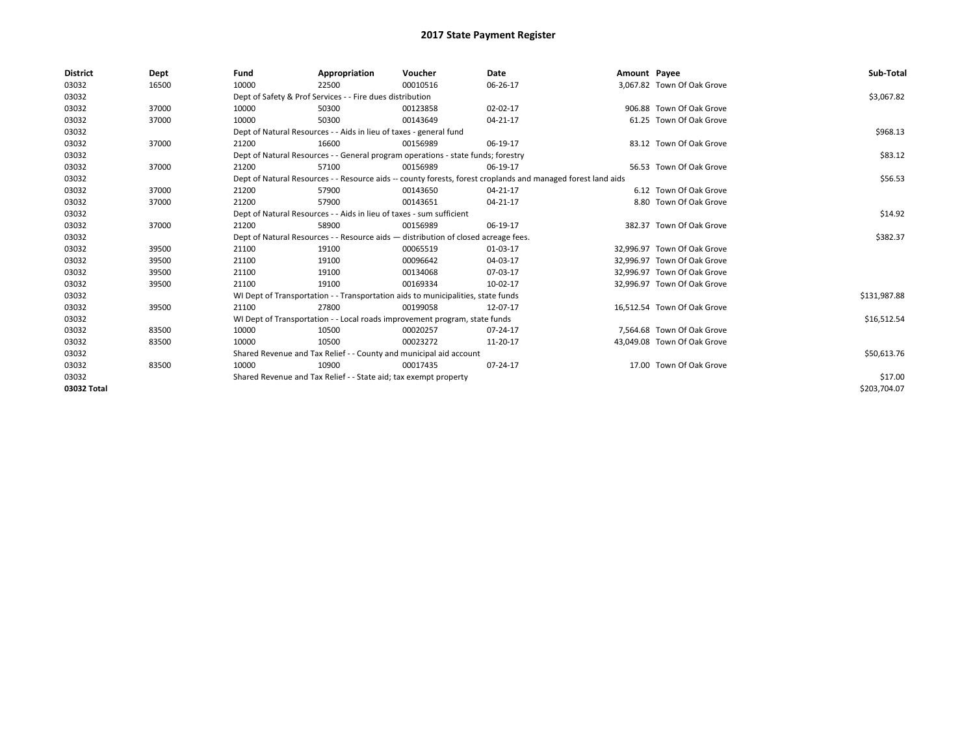| <b>District</b> | Dept  | Fund                                                             | Appropriation                                                                      | Voucher  | Date                                                                                                         | Amount Payee |                             | Sub-Total    |  |  |  |
|-----------------|-------|------------------------------------------------------------------|------------------------------------------------------------------------------------|----------|--------------------------------------------------------------------------------------------------------------|--------------|-----------------------------|--------------|--|--|--|
| 03032           | 16500 | 10000                                                            | 22500                                                                              | 00010516 | 06-26-17                                                                                                     |              | 3,067.82 Town Of Oak Grove  |              |  |  |  |
| 03032           |       |                                                                  | Dept of Safety & Prof Services - - Fire dues distribution                          |          |                                                                                                              |              |                             | \$3,067.82   |  |  |  |
| 03032           | 37000 | 10000                                                            | 50300                                                                              | 00123858 | 02-02-17                                                                                                     |              | 906.88 Town Of Oak Grove    |              |  |  |  |
| 03032           | 37000 | 10000                                                            | 50300                                                                              | 00143649 | 04-21-17                                                                                                     |              | 61.25 Town Of Oak Grove     |              |  |  |  |
| 03032           |       |                                                                  | Dept of Natural Resources - - Aids in lieu of taxes - general fund                 |          |                                                                                                              |              |                             |              |  |  |  |
| 03032           | 37000 | 21200                                                            | 16600                                                                              | 00156989 | 06-19-17                                                                                                     |              | 83.12 Town Of Oak Grove     |              |  |  |  |
| 03032           |       |                                                                  | Dept of Natural Resources - - General program operations - state funds; forestry   |          |                                                                                                              |              |                             |              |  |  |  |
| 03032           | 37000 | 21200                                                            | 57100                                                                              | 00156989 | 06-19-17                                                                                                     |              | 56.53 Town Of Oak Grove     |              |  |  |  |
| 03032           |       |                                                                  |                                                                                    |          | Dept of Natural Resources - - Resource aids -- county forests, forest croplands and managed forest land aids |              |                             | \$56.53      |  |  |  |
| 03032           | 37000 | 21200                                                            | 57900                                                                              | 00143650 | 04-21-17                                                                                                     |              | 6.12 Town Of Oak Grove      |              |  |  |  |
| 03032           | 37000 | 21200                                                            | 57900                                                                              | 00143651 | 04-21-17                                                                                                     |              | 8.80 Town Of Oak Grove      |              |  |  |  |
| 03032           |       |                                                                  | Dept of Natural Resources - - Aids in lieu of taxes - sum sufficient               |          |                                                                                                              |              |                             |              |  |  |  |
| 03032           | 37000 | 21200                                                            | 58900                                                                              | 00156989 | 06-19-17                                                                                                     |              | 382.37 Town Of Oak Grove    |              |  |  |  |
| 03032           |       |                                                                  | Dept of Natural Resources - - Resource aids - distribution of closed acreage fees. |          |                                                                                                              |              |                             | \$382.37     |  |  |  |
| 03032           | 39500 | 21100                                                            | 19100                                                                              | 00065519 | 01-03-17                                                                                                     |              | 32,996.97 Town Of Oak Grove |              |  |  |  |
| 03032           | 39500 | 21100                                                            | 19100                                                                              | 00096642 | 04-03-17                                                                                                     |              | 32.996.97 Town Of Oak Grove |              |  |  |  |
| 03032           | 39500 | 21100                                                            | 19100                                                                              | 00134068 | 07-03-17                                                                                                     |              | 32.996.97 Town Of Oak Grove |              |  |  |  |
| 03032           | 39500 | 21100                                                            | 19100                                                                              | 00169334 | 10-02-17                                                                                                     |              | 32,996.97 Town Of Oak Grove |              |  |  |  |
| 03032           |       |                                                                  | WI Dept of Transportation - - Transportation aids to municipalities, state funds   |          |                                                                                                              |              |                             | \$131,987.88 |  |  |  |
| 03032           | 39500 | 21100                                                            | 27800                                                                              | 00199058 | 12-07-17                                                                                                     |              | 16,512.54 Town Of Oak Grove |              |  |  |  |
| 03032           |       |                                                                  | WI Dept of Transportation - - Local roads improvement program, state funds         |          |                                                                                                              |              |                             | \$16,512.54  |  |  |  |
| 03032           | 83500 | 10000                                                            | 10500                                                                              | 00020257 | 07-24-17                                                                                                     |              | 7.564.68 Town Of Oak Grove  |              |  |  |  |
| 03032           | 83500 | 10000                                                            | 10500                                                                              | 00023272 | 11-20-17                                                                                                     |              | 43,049.08 Town Of Oak Grove |              |  |  |  |
| 03032           |       |                                                                  | Shared Revenue and Tax Relief - - County and municipal aid account                 |          |                                                                                                              |              |                             | \$50,613.76  |  |  |  |
| 03032           | 83500 | 10000                                                            | 10900                                                                              | 00017435 | 07-24-17                                                                                                     |              | 17.00 Town Of Oak Grove     |              |  |  |  |
| 03032           |       | Shared Revenue and Tax Relief - - State aid; tax exempt property |                                                                                    | \$17.00  |                                                                                                              |              |                             |              |  |  |  |
| 03032 Total     |       |                                                                  |                                                                                    |          |                                                                                                              |              |                             | \$203,704.07 |  |  |  |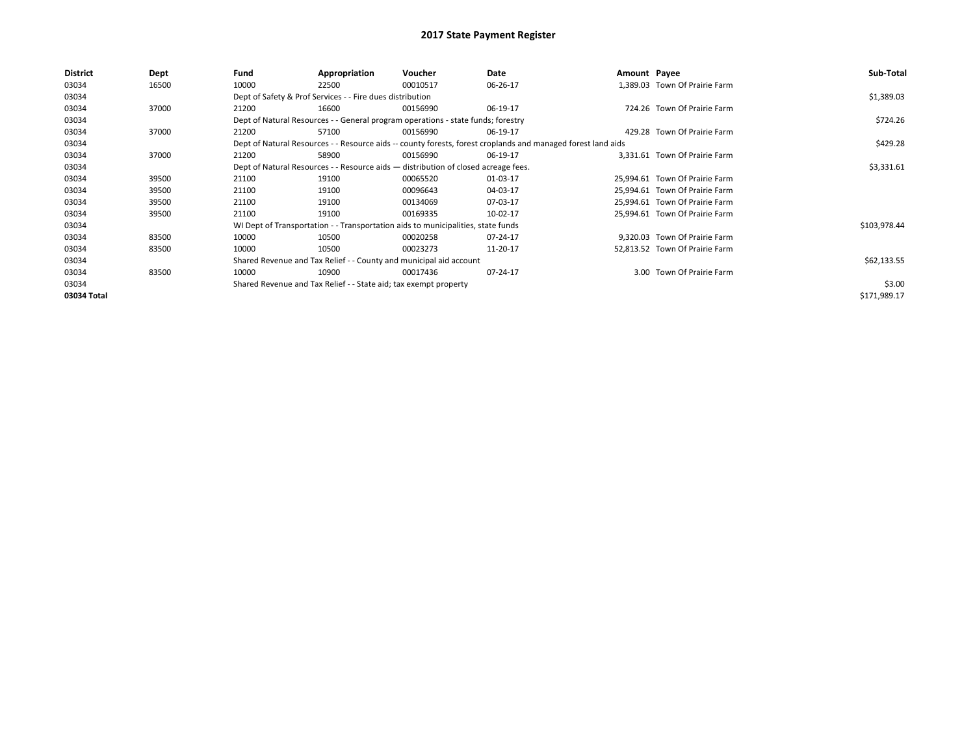| District    | Dept  | Fund  | Appropriation                                                                      | Voucher  | Date                                                                                                         | Amount Payee |                                | Sub-Total    |
|-------------|-------|-------|------------------------------------------------------------------------------------|----------|--------------------------------------------------------------------------------------------------------------|--------------|--------------------------------|--------------|
| 03034       | 16500 | 10000 | 22500                                                                              | 00010517 | 06-26-17                                                                                                     |              | 1.389.03 Town Of Prairie Farm  |              |
| 03034       |       |       | Dept of Safety & Prof Services - - Fire dues distribution                          |          |                                                                                                              |              |                                | \$1,389.03   |
| 03034       | 37000 | 21200 | 16600                                                                              | 00156990 | 06-19-17                                                                                                     |              | 724.26 Town Of Prairie Farm    |              |
| 03034       |       |       | Dept of Natural Resources - - General program operations - state funds; forestry   |          |                                                                                                              |              |                                | \$724.26     |
| 03034       | 37000 | 21200 | 57100                                                                              | 00156990 | 06-19-17                                                                                                     |              | 429.28 Town Of Prairie Farm    |              |
| 03034       |       |       |                                                                                    |          | Dept of Natural Resources - - Resource aids -- county forests, forest croplands and managed forest land aids |              |                                | \$429.28     |
| 03034       | 37000 | 21200 | 58900                                                                              | 00156990 | 06-19-17                                                                                                     |              | 3.331.61 Town Of Prairie Farm  |              |
| 03034       |       |       | Dept of Natural Resources - - Resource aids - distribution of closed acreage fees. |          | \$3,331.61                                                                                                   |              |                                |              |
| 03034       | 39500 | 21100 | 19100                                                                              | 00065520 | 01-03-17                                                                                                     |              | 25.994.61 Town Of Prairie Farm |              |
| 03034       | 39500 | 21100 | 19100                                                                              | 00096643 | 04-03-17                                                                                                     |              | 25,994.61 Town Of Prairie Farm |              |
| 03034       | 39500 | 21100 | 19100                                                                              | 00134069 | 07-03-17                                                                                                     |              | 25,994.61 Town Of Prairie Farm |              |
| 03034       | 39500 | 21100 | 19100                                                                              | 00169335 | 10-02-17                                                                                                     |              | 25.994.61 Town Of Prairie Farm |              |
| 03034       |       |       | WI Dept of Transportation - - Transportation aids to municipalities, state funds   |          |                                                                                                              |              |                                | \$103,978.44 |
| 03034       | 83500 | 10000 | 10500                                                                              | 00020258 | 07-24-17                                                                                                     |              | 9.320.03 Town Of Prairie Farm  |              |
| 03034       | 83500 | 10000 | 10500                                                                              | 00023273 | 11-20-17                                                                                                     |              | 52.813.52 Town Of Prairie Farm |              |
| 03034       |       |       | Shared Revenue and Tax Relief - - County and municipal aid account                 |          |                                                                                                              |              |                                | \$62,133.55  |
| 03034       | 83500 | 10000 | 10900                                                                              | 00017436 | 07-24-17                                                                                                     |              | 3.00 Town Of Prairie Farm      |              |
| 03034       |       |       | Shared Revenue and Tax Relief - - State aid; tax exempt property                   |          |                                                                                                              |              |                                | \$3.00       |
| 03034 Total |       |       |                                                                                    |          |                                                                                                              |              |                                | \$171,989.17 |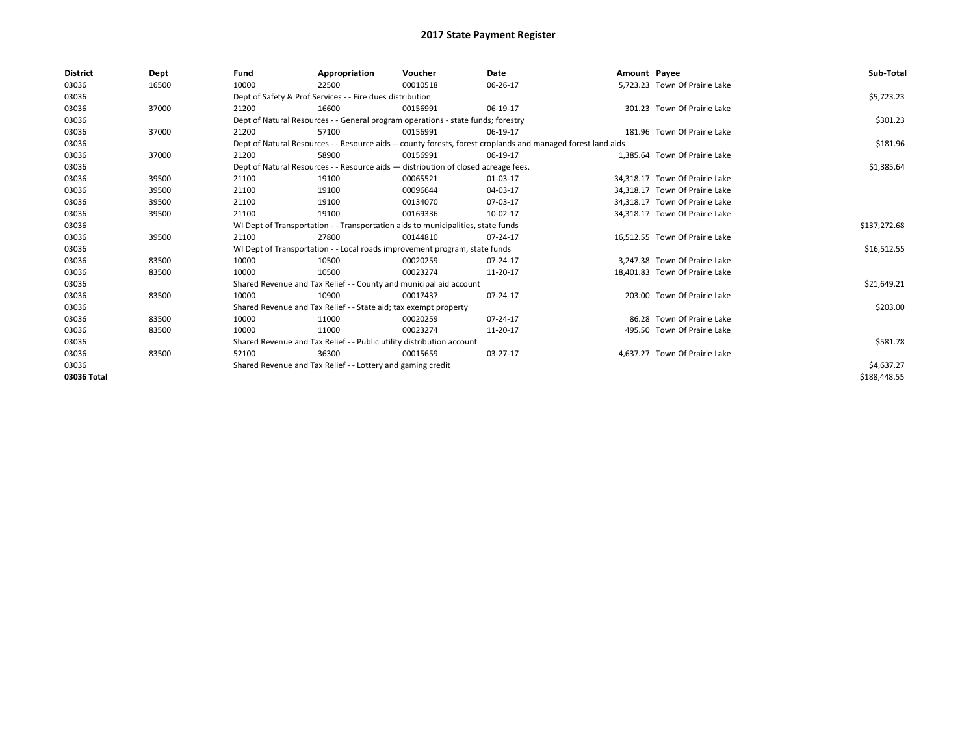| <b>District</b> | Dept  | Fund                                                                                                         | Appropriation                                                      | Voucher                                                                            | Date     | Amount Payee |                                | Sub-Total    |
|-----------------|-------|--------------------------------------------------------------------------------------------------------------|--------------------------------------------------------------------|------------------------------------------------------------------------------------|----------|--------------|--------------------------------|--------------|
| 03036           | 16500 | 10000                                                                                                        | 22500                                                              | 00010518                                                                           | 06-26-17 |              | 5.723.23 Town Of Prairie Lake  |              |
| 03036           |       |                                                                                                              | Dept of Safety & Prof Services - - Fire dues distribution          |                                                                                    |          |              |                                | \$5,723.23   |
| 03036           | 37000 | 21200                                                                                                        | 16600                                                              | 00156991                                                                           | 06-19-17 |              | 301.23 Town Of Prairie Lake    |              |
| 03036           |       |                                                                                                              |                                                                    | Dept of Natural Resources - - General program operations - state funds; forestry   |          |              |                                | \$301.23     |
| 03036           | 37000 | 21200                                                                                                        | 57100                                                              | 00156991                                                                           | 06-19-17 |              | 181.96 Town Of Prairie Lake    |              |
| 03036           |       | Dept of Natural Resources - - Resource aids -- county forests, forest croplands and managed forest land aids |                                                                    | \$181.96                                                                           |          |              |                                |              |
| 03036           | 37000 | 21200                                                                                                        | 58900                                                              | 00156991                                                                           | 06-19-17 |              | 1,385.64 Town Of Prairie Lake  |              |
| 03036           |       |                                                                                                              |                                                                    | Dept of Natural Resources - - Resource aids - distribution of closed acreage fees. |          |              |                                | \$1,385.64   |
| 03036           | 39500 | 21100                                                                                                        | 19100                                                              | 00065521                                                                           | 01-03-17 |              | 34,318.17 Town Of Prairie Lake |              |
| 03036           | 39500 | 21100                                                                                                        | 19100                                                              | 00096644                                                                           | 04-03-17 |              | 34.318.17 Town Of Prairie Lake |              |
| 03036           | 39500 | 21100                                                                                                        | 19100                                                              | 00134070                                                                           | 07-03-17 |              | 34.318.17 Town Of Prairie Lake |              |
| 03036           | 39500 | 21100                                                                                                        | 19100                                                              | 00169336                                                                           | 10-02-17 |              | 34,318.17 Town Of Prairie Lake |              |
| 03036           |       | WI Dept of Transportation - - Transportation aids to municipalities, state funds                             |                                                                    | \$137,272.68                                                                       |          |              |                                |              |
| 03036           | 39500 | 21100                                                                                                        | 27800                                                              | 00144810                                                                           | 07-24-17 |              | 16,512.55 Town Of Prairie Lake |              |
| 03036           |       |                                                                                                              |                                                                    | WI Dept of Transportation - - Local roads improvement program, state funds         |          |              |                                | \$16,512.55  |
| 03036           | 83500 | 10000                                                                                                        | 10500                                                              | 00020259                                                                           | 07-24-17 |              | 3.247.38 Town Of Prairie Lake  |              |
| 03036           | 83500 | 10000                                                                                                        | 10500                                                              | 00023274                                                                           | 11-20-17 |              | 18,401.83 Town Of Prairie Lake |              |
| 03036           |       |                                                                                                              | Shared Revenue and Tax Relief - - County and municipal aid account |                                                                                    |          |              |                                | \$21,649.21  |
| 03036           | 83500 | 10000                                                                                                        | 10900                                                              | 00017437                                                                           | 07-24-17 |              | 203.00 Town Of Prairie Lake    |              |
| 03036           |       |                                                                                                              | Shared Revenue and Tax Relief - - State aid; tax exempt property   |                                                                                    |          |              |                                | \$203.00     |
| 03036           | 83500 | 10000                                                                                                        | 11000                                                              | 00020259                                                                           | 07-24-17 |              | 86.28 Town Of Prairie Lake     |              |
| 03036           | 83500 | 10000                                                                                                        | 11000                                                              | 00023274                                                                           | 11-20-17 |              | 495.50 Town Of Prairie Lake    |              |
| 03036           |       | Shared Revenue and Tax Relief - - Public utility distribution account                                        |                                                                    | \$581.78                                                                           |          |              |                                |              |
| 03036           | 83500 | 52100                                                                                                        | 36300                                                              | 00015659                                                                           | 03-27-17 |              | 4,637.27 Town Of Prairie Lake  |              |
| 03036           |       |                                                                                                              | Shared Revenue and Tax Relief - - Lottery and gaming credit        |                                                                                    |          |              |                                | \$4,637.27   |
| 03036 Total     |       |                                                                                                              |                                                                    |                                                                                    |          |              |                                | \$188,448.55 |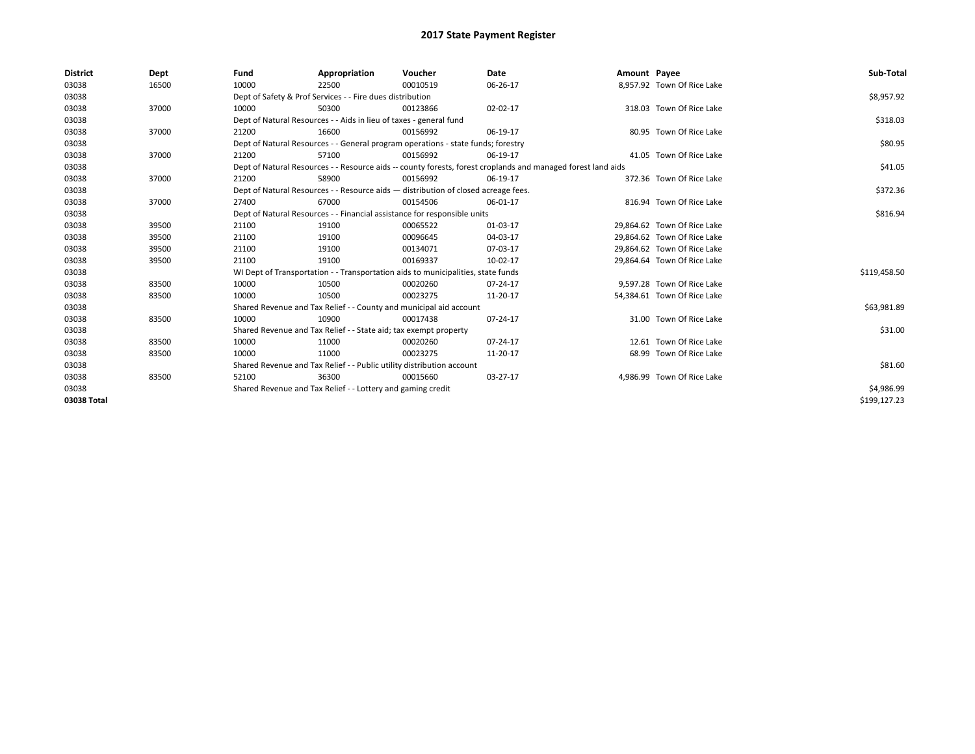| <b>District</b> | Dept  | Fund                                                                  | Appropriation                                                                                                | Voucher  | Date     | Amount Payee |                             | Sub-Total    |  |  |
|-----------------|-------|-----------------------------------------------------------------------|--------------------------------------------------------------------------------------------------------------|----------|----------|--------------|-----------------------------|--------------|--|--|
| 03038           | 16500 | 10000                                                                 | 22500                                                                                                        | 00010519 | 06-26-17 |              | 8,957.92 Town Of Rice Lake  |              |  |  |
| 03038           |       |                                                                       | Dept of Safety & Prof Services - - Fire dues distribution                                                    |          |          |              |                             | \$8,957.92   |  |  |
| 03038           | 37000 | 10000                                                                 | 50300                                                                                                        | 00123866 | 02-02-17 |              | 318.03 Town Of Rice Lake    |              |  |  |
| 03038           |       |                                                                       | Dept of Natural Resources - - Aids in lieu of taxes - general fund                                           |          |          |              |                             |              |  |  |
| 03038           | 37000 | 21200                                                                 | 16600                                                                                                        | 00156992 | 06-19-17 |              | 80.95 Town Of Rice Lake     |              |  |  |
| 03038           |       |                                                                       | Dept of Natural Resources - - General program operations - state funds; forestry                             |          |          |              |                             |              |  |  |
| 03038           | 37000 | 21200                                                                 | 57100                                                                                                        | 00156992 | 06-19-17 |              | 41.05 Town Of Rice Lake     |              |  |  |
| 03038           |       |                                                                       | Dept of Natural Resources - - Resource aids -- county forests, forest croplands and managed forest land aids |          |          |              |                             |              |  |  |
| 03038           | 37000 | 21200                                                                 | 58900                                                                                                        | 00156992 | 06-19-17 |              | 372.36 Town Of Rice Lake    |              |  |  |
| 03038           |       |                                                                       | Dept of Natural Resources - - Resource aids - distribution of closed acreage fees.                           |          |          |              |                             |              |  |  |
| 03038           | 37000 | 27400                                                                 | 67000                                                                                                        | 00154506 | 06-01-17 |              | 816.94 Town Of Rice Lake    |              |  |  |
| 03038           |       |                                                                       | Dept of Natural Resources - - Financial assistance for responsible units                                     |          |          |              |                             |              |  |  |
| 03038           | 39500 | 21100                                                                 | 19100                                                                                                        | 00065522 | 01-03-17 |              | 29,864.62 Town Of Rice Lake |              |  |  |
| 03038           | 39500 | 21100                                                                 | 19100                                                                                                        | 00096645 | 04-03-17 |              | 29,864.62 Town Of Rice Lake |              |  |  |
| 03038           | 39500 | 21100                                                                 | 19100                                                                                                        | 00134071 | 07-03-17 |              | 29,864.62 Town Of Rice Lake |              |  |  |
| 03038           | 39500 | 21100                                                                 | 19100                                                                                                        | 00169337 | 10-02-17 |              | 29,864.64 Town Of Rice Lake |              |  |  |
| 03038           |       |                                                                       | WI Dept of Transportation - - Transportation aids to municipalities, state funds                             |          |          |              |                             | \$119,458.50 |  |  |
| 03038           | 83500 | 10000                                                                 | 10500                                                                                                        | 00020260 | 07-24-17 |              | 9,597.28 Town Of Rice Lake  |              |  |  |
| 03038           | 83500 | 10000                                                                 | 10500                                                                                                        | 00023275 | 11-20-17 |              | 54,384.61 Town Of Rice Lake |              |  |  |
| 03038           |       |                                                                       | Shared Revenue and Tax Relief - - County and municipal aid account                                           |          |          |              |                             | \$63,981.89  |  |  |
| 03038           | 83500 | 10000                                                                 | 10900                                                                                                        | 00017438 | 07-24-17 |              | 31.00 Town Of Rice Lake     |              |  |  |
| 03038           |       |                                                                       | Shared Revenue and Tax Relief - - State aid; tax exempt property                                             |          |          |              |                             | \$31.00      |  |  |
| 03038           | 83500 | 10000                                                                 | 11000                                                                                                        | 00020260 | 07-24-17 |              | 12.61 Town Of Rice Lake     |              |  |  |
| 03038           | 83500 | 10000                                                                 | 11000                                                                                                        | 00023275 | 11-20-17 |              | 68.99 Town Of Rice Lake     |              |  |  |
| 03038           |       | Shared Revenue and Tax Relief - - Public utility distribution account |                                                                                                              | \$81.60  |          |              |                             |              |  |  |
| 03038           | 83500 | 52100                                                                 | 36300                                                                                                        | 00015660 | 03-27-17 |              | 4,986.99 Town Of Rice Lake  |              |  |  |
| 03038           |       |                                                                       | Shared Revenue and Tax Relief - - Lottery and gaming credit                                                  |          |          |              |                             | \$4,986.99   |  |  |
| 03038 Total     |       |                                                                       |                                                                                                              |          |          |              |                             | \$199,127.23 |  |  |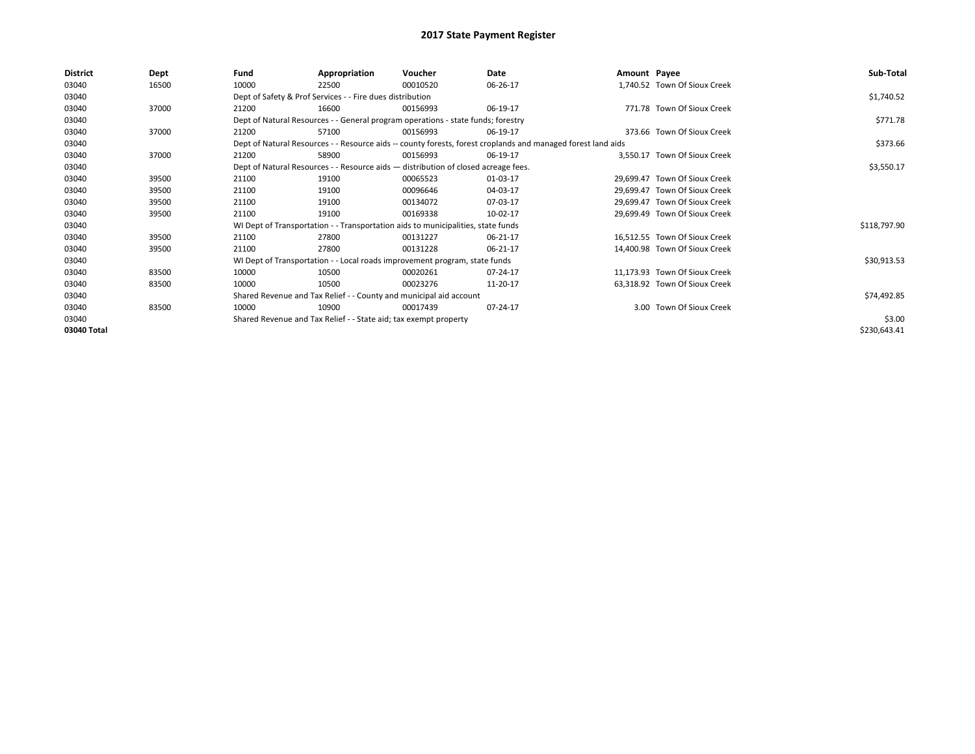| <b>District</b> | Dept  | Fund  | Appropriation                                                                                                | Voucher  | Date     | Amount Payee |                               | Sub-Total    |
|-----------------|-------|-------|--------------------------------------------------------------------------------------------------------------|----------|----------|--------------|-------------------------------|--------------|
| 03040           | 16500 | 10000 | 22500                                                                                                        | 00010520 | 06-26-17 |              | 1,740.52 Town Of Sioux Creek  |              |
| 03040           |       |       | Dept of Safety & Prof Services - - Fire dues distribution                                                    |          |          |              |                               | \$1,740.52   |
| 03040           | 37000 | 21200 | 16600                                                                                                        | 00156993 | 06-19-17 |              | 771.78 Town Of Sioux Creek    |              |
| 03040           |       |       | Dept of Natural Resources - - General program operations - state funds; forestry                             |          |          |              |                               | \$771.78     |
| 03040           | 37000 | 21200 | 57100                                                                                                        | 00156993 | 06-19-17 |              | 373.66 Town Of Sioux Creek    |              |
| 03040           |       |       | Dept of Natural Resources - - Resource aids -- county forests, forest croplands and managed forest land aids |          |          |              |                               | \$373.66     |
| 03040           | 37000 | 21200 | 58900                                                                                                        | 00156993 | 06-19-17 |              | 3.550.17 Town Of Sioux Creek  |              |
| 03040           |       |       | Dept of Natural Resources - - Resource aids - distribution of closed acreage fees.                           |          |          |              |                               | \$3,550.17   |
| 03040           | 39500 | 21100 | 19100                                                                                                        | 00065523 | 01-03-17 |              | 29,699.47 Town Of Sioux Creek |              |
| 03040           | 39500 | 21100 | 19100                                                                                                        | 00096646 | 04-03-17 |              | 29.699.47 Town Of Sioux Creek |              |
| 03040           | 39500 | 21100 | 19100                                                                                                        | 00134072 | 07-03-17 |              | 29,699.47 Town Of Sioux Creek |              |
| 03040           | 39500 | 21100 | 19100                                                                                                        | 00169338 | 10-02-17 |              | 29,699.49 Town Of Sioux Creek |              |
| 03040           |       |       | WI Dept of Transportation - - Transportation aids to municipalities, state funds                             |          |          |              |                               | \$118,797.90 |
| 03040           | 39500 | 21100 | 27800                                                                                                        | 00131227 | 06-21-17 |              | 16,512.55 Town Of Sioux Creek |              |
| 03040           | 39500 | 21100 | 27800                                                                                                        | 00131228 | 06-21-17 |              | 14,400.98 Town Of Sioux Creek |              |
| 03040           |       |       | WI Dept of Transportation - - Local roads improvement program, state funds                                   |          |          |              |                               | \$30,913.53  |
| 03040           | 83500 | 10000 | 10500                                                                                                        | 00020261 | 07-24-17 |              | 11,173.93 Town Of Sioux Creek |              |
| 03040           | 83500 | 10000 | 10500                                                                                                        | 00023276 | 11-20-17 |              | 63,318.92 Town Of Sioux Creek |              |
| 03040           |       |       | Shared Revenue and Tax Relief - - County and municipal aid account                                           |          |          |              |                               | \$74,492.85  |
| 03040           | 83500 | 10000 | 10900                                                                                                        | 00017439 | 07-24-17 |              | 3.00 Town Of Sioux Creek      |              |
| 03040           |       |       | Shared Revenue and Tax Relief - - State aid; tax exempt property                                             |          |          |              |                               | \$3.00       |
| 03040 Total     |       |       |                                                                                                              |          |          |              |                               | \$230,643.41 |
|                 |       |       |                                                                                                              |          |          |              |                               |              |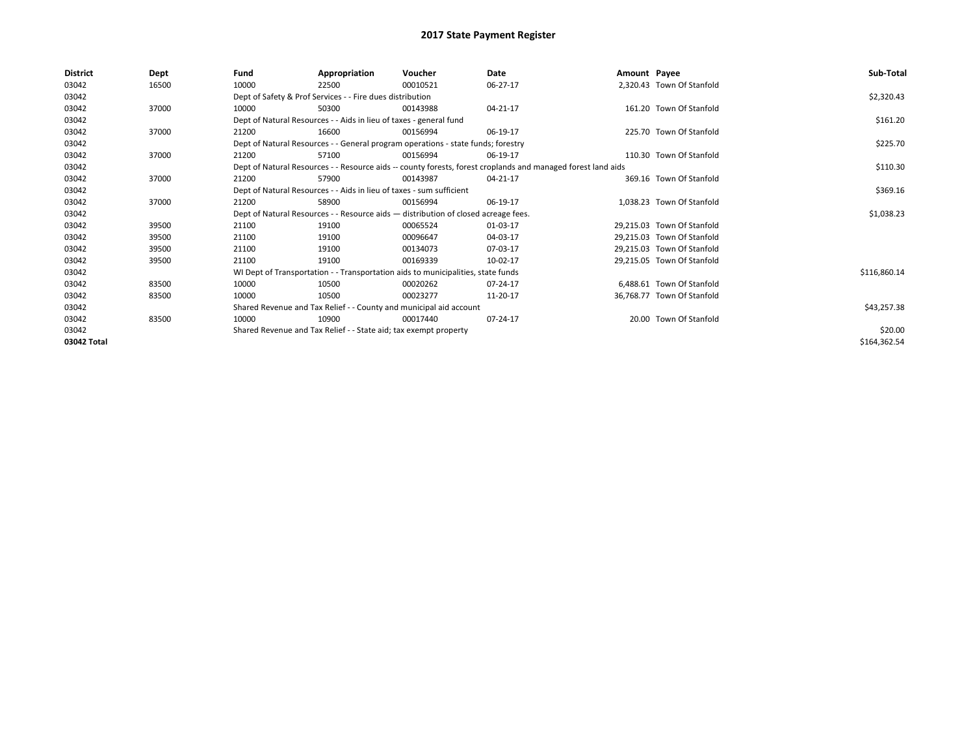| 03042<br>10000<br>2,320.43 Town Of Stanfold<br>16500<br>22500<br>00010521<br>06-27-17<br>03042<br>Dept of Safety & Prof Services - - Fire dues distribution<br>03042<br>161.20 Town Of Stanfold<br>37000<br>10000<br>00143988<br>04-21-17<br>50300 | \$2,320.43<br>\$161.20<br>\$225.70 |
|----------------------------------------------------------------------------------------------------------------------------------------------------------------------------------------------------------------------------------------------------|------------------------------------|
|                                                                                                                                                                                                                                                    |                                    |
|                                                                                                                                                                                                                                                    |                                    |
|                                                                                                                                                                                                                                                    |                                    |
| 03042<br>Dept of Natural Resources - - Aids in lieu of taxes - general fund                                                                                                                                                                        |                                    |
| 03042<br>37000<br>06-19-17<br>225.70 Town Of Stanfold<br>21200<br>16600<br>00156994                                                                                                                                                                |                                    |
| 03042<br>Dept of Natural Resources - - General program operations - state funds; forestry                                                                                                                                                          |                                    |
| 03042<br>110.30 Town Of Stanfold<br>37000<br>21200<br>57100<br>06-19-17<br>00156994                                                                                                                                                                |                                    |
| 03042<br>Dept of Natural Resources - - Resource aids -- county forests, forest croplands and managed forest land aids                                                                                                                              | \$110.30                           |
| 03042<br>369.16 Town Of Stanfold<br>37000<br>57900<br>21200<br>00143987<br>04-21-17                                                                                                                                                                |                                    |
| 03042<br>Dept of Natural Resources - - Aids in lieu of taxes - sum sufficient                                                                                                                                                                      | \$369.16                           |
| 03042<br>37000<br>58900<br>06-19-17<br>1.038.23 Town Of Stanfold<br>21200<br>00156994                                                                                                                                                              |                                    |
| 03042<br>Dept of Natural Resources - - Resource aids - distribution of closed acreage fees.                                                                                                                                                        | \$1,038.23                         |
| 03042<br>29.215.03 Town Of Stanfold<br>39500<br>21100<br>19100<br>00065524<br>01-03-17                                                                                                                                                             |                                    |
| 03042<br>21100<br>04-03-17<br>29.215.03 Town Of Stanfold<br>39500<br>19100<br>00096647                                                                                                                                                             |                                    |
| 03042<br>21100<br>00134073<br>07-03-17<br>29.215.03 Town Of Stanfold<br>39500<br>19100                                                                                                                                                             |                                    |
| 03042<br>21100<br>10-02-17<br>39500<br>19100<br>00169339<br>29,215.05 Town Of Stanfold                                                                                                                                                             |                                    |
| 03042<br>WI Dept of Transportation - - Transportation aids to municipalities, state funds                                                                                                                                                          | \$116,860.14                       |
| 03042<br>83500<br>6.488.61 Town Of Stanfold<br>10000<br>10500<br>00020262<br>07-24-17                                                                                                                                                              |                                    |
| 03042<br>83500<br>10000<br>10500<br>00023277<br>11-20-17<br>36,768.77 Town Of Stanfold                                                                                                                                                             |                                    |
| 03042<br>Shared Revenue and Tax Relief - - County and municipal aid account                                                                                                                                                                        | \$43,257.38                        |
| 20.00 Town Of Stanfold<br>03042<br>83500<br>10000<br>10900<br>07-24-17<br>00017440                                                                                                                                                                 |                                    |
| 03042<br>Shared Revenue and Tax Relief - - State aid; tax exempt property                                                                                                                                                                          | \$20.00                            |
| 03042 Total                                                                                                                                                                                                                                        | \$164,362.54                       |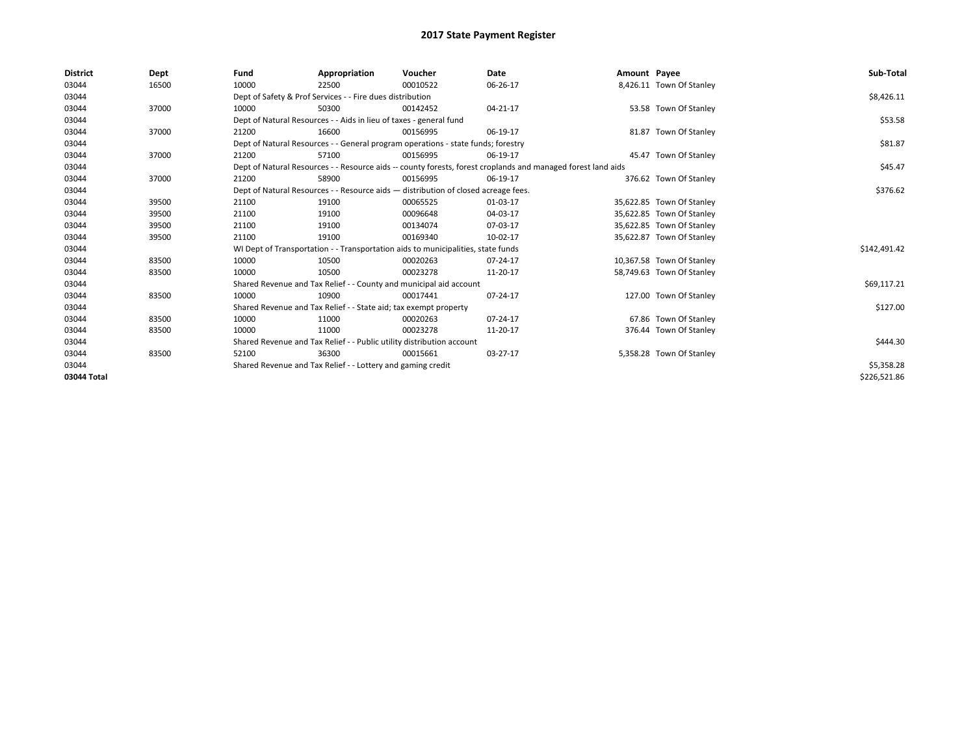| <b>District</b> | Dept  | Fund  | Appropriation                                                                      | Voucher  | <b>Date</b>                                                                                                  | Amount Payee |                           | Sub-Total    |  |  |
|-----------------|-------|-------|------------------------------------------------------------------------------------|----------|--------------------------------------------------------------------------------------------------------------|--------------|---------------------------|--------------|--|--|
| 03044           | 16500 | 10000 | 22500                                                                              | 00010522 | 06-26-17                                                                                                     |              | 8,426.11 Town Of Stanley  |              |  |  |
| 03044           |       |       | Dept of Safety & Prof Services - - Fire dues distribution                          |          |                                                                                                              |              |                           | \$8,426.11   |  |  |
| 03044           | 37000 | 10000 | 50300                                                                              | 00142452 | 04-21-17                                                                                                     |              | 53.58 Town Of Stanley     |              |  |  |
| 03044           |       |       | Dept of Natural Resources - - Aids in lieu of taxes - general fund                 |          |                                                                                                              |              |                           | \$53.58      |  |  |
| 03044           | 37000 | 21200 | 16600                                                                              | 00156995 | 06-19-17                                                                                                     |              | 81.87 Town Of Stanley     |              |  |  |
| 03044           |       |       | Dept of Natural Resources - - General program operations - state funds; forestry   |          |                                                                                                              |              |                           |              |  |  |
| 03044           | 37000 | 21200 | 57100                                                                              | 00156995 | 06-19-17                                                                                                     |              | 45.47 Town Of Stanley     |              |  |  |
| 03044           |       |       |                                                                                    |          | Dept of Natural Resources - - Resource aids -- county forests, forest croplands and managed forest land aids |              |                           | \$45.47      |  |  |
| 03044           | 37000 | 21200 | 58900                                                                              | 00156995 | 06-19-17                                                                                                     |              | 376.62 Town Of Stanley    |              |  |  |
| 03044           |       |       | Dept of Natural Resources - - Resource aids - distribution of closed acreage fees. |          |                                                                                                              |              |                           | \$376.62     |  |  |
| 03044           | 39500 | 21100 | 19100                                                                              | 00065525 | 01-03-17                                                                                                     |              | 35,622.85 Town Of Stanley |              |  |  |
| 03044           | 39500 | 21100 | 19100                                                                              | 00096648 | 04-03-17                                                                                                     |              | 35,622.85 Town Of Stanley |              |  |  |
| 03044           | 39500 | 21100 | 19100                                                                              | 00134074 | 07-03-17                                                                                                     |              | 35,622.85 Town Of Stanley |              |  |  |
| 03044           | 39500 | 21100 | 19100                                                                              | 00169340 | 10-02-17                                                                                                     |              | 35,622.87 Town Of Stanley |              |  |  |
| 03044           |       |       | WI Dept of Transportation - - Transportation aids to municipalities, state funds   |          |                                                                                                              |              |                           | \$142,491.42 |  |  |
| 03044           | 83500 | 10000 | 10500                                                                              | 00020263 | 07-24-17                                                                                                     |              | 10,367.58 Town Of Stanley |              |  |  |
| 03044           | 83500 | 10000 | 10500                                                                              | 00023278 | 11-20-17                                                                                                     |              | 58,749.63 Town Of Stanley |              |  |  |
| 03044           |       |       | Shared Revenue and Tax Relief - - County and municipal aid account                 |          |                                                                                                              |              |                           | \$69,117.21  |  |  |
| 03044           | 83500 | 10000 | 10900                                                                              | 00017441 | 07-24-17                                                                                                     |              | 127.00 Town Of Stanley    |              |  |  |
| 03044           |       |       | Shared Revenue and Tax Relief - - State aid; tax exempt property                   |          |                                                                                                              |              |                           | \$127.00     |  |  |
| 03044           | 83500 | 10000 | 11000                                                                              | 00020263 | 07-24-17                                                                                                     |              | 67.86 Town Of Stanley     |              |  |  |
| 03044           | 83500 | 10000 | 11000                                                                              | 00023278 | 11-20-17                                                                                                     |              | 376.44 Town Of Stanley    |              |  |  |
| 03044           |       |       | Shared Revenue and Tax Relief - - Public utility distribution account              |          |                                                                                                              |              |                           | \$444.30     |  |  |
| 03044           | 83500 | 52100 | 36300                                                                              | 00015661 | 03-27-17                                                                                                     |              | 5,358.28 Town Of Stanley  |              |  |  |
| 03044           |       |       | Shared Revenue and Tax Relief - - Lottery and gaming credit                        |          |                                                                                                              |              |                           | \$5,358.28   |  |  |
| 03044 Total     |       |       |                                                                                    |          |                                                                                                              |              |                           | \$226,521.86 |  |  |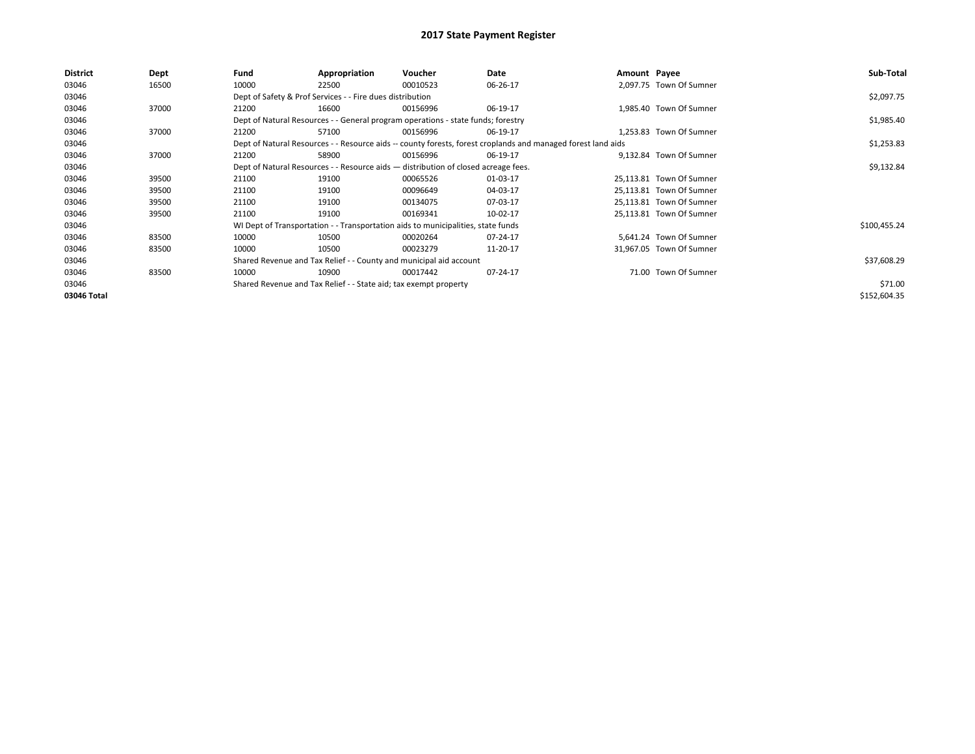| District    | Dept  | Fund  | Appropriation                                                                      | Voucher  | Date                                                                                                         | Amount Payee |                          | Sub-Total    |
|-------------|-------|-------|------------------------------------------------------------------------------------|----------|--------------------------------------------------------------------------------------------------------------|--------------|--------------------------|--------------|
| 03046       | 16500 | 10000 | 22500                                                                              | 00010523 | 06-26-17                                                                                                     |              | 2.097.75 Town Of Sumner  |              |
| 03046       |       |       | Dept of Safety & Prof Services - - Fire dues distribution                          |          |                                                                                                              |              |                          | \$2,097.75   |
| 03046       | 37000 | 21200 | 16600                                                                              | 00156996 | 06-19-17                                                                                                     |              | 1.985.40 Town Of Sumner  |              |
| 03046       |       |       | Dept of Natural Resources - - General program operations - state funds; forestry   |          |                                                                                                              |              |                          | \$1,985.40   |
| 03046       | 37000 | 21200 | 57100                                                                              | 00156996 | 06-19-17                                                                                                     |              | 1,253.83 Town Of Sumner  |              |
| 03046       |       |       |                                                                                    |          | Dept of Natural Resources - - Resource aids -- county forests, forest croplands and managed forest land aids |              |                          | \$1,253.83   |
| 03046       | 37000 | 21200 | 58900                                                                              | 00156996 | 06-19-17                                                                                                     |              | 9,132.84 Town Of Sumner  |              |
| 03046       |       |       | Dept of Natural Resources - - Resource aids - distribution of closed acreage fees. |          |                                                                                                              |              |                          | \$9,132.84   |
| 03046       | 39500 | 21100 | 19100                                                                              | 00065526 | 01-03-17                                                                                                     |              | 25,113.81 Town Of Sumner |              |
| 03046       | 39500 | 21100 | 19100                                                                              | 00096649 | 04-03-17                                                                                                     |              | 25,113.81 Town Of Sumner |              |
| 03046       | 39500 | 21100 | 19100                                                                              | 00134075 | 07-03-17                                                                                                     |              | 25,113.81 Town Of Sumner |              |
| 03046       | 39500 | 21100 | 19100                                                                              | 00169341 | 10-02-17                                                                                                     |              | 25,113.81 Town Of Sumner |              |
| 03046       |       |       | WI Dept of Transportation - - Transportation aids to municipalities, state funds   |          |                                                                                                              |              |                          | \$100,455.24 |
| 03046       | 83500 | 10000 | 10500                                                                              | 00020264 | 07-24-17                                                                                                     |              | 5.641.24 Town Of Sumner  |              |
| 03046       | 83500 | 10000 | 10500                                                                              | 00023279 | 11-20-17                                                                                                     |              | 31,967.05 Town Of Sumner |              |
| 03046       |       |       | Shared Revenue and Tax Relief - - County and municipal aid account                 |          |                                                                                                              |              |                          | \$37,608.29  |
| 03046       | 83500 | 10000 | 10900                                                                              | 00017442 | 07-24-17                                                                                                     |              | 71.00 Town Of Sumner     |              |
| 03046       |       |       | Shared Revenue and Tax Relief - - State aid; tax exempt property                   |          |                                                                                                              |              |                          | \$71.00      |
| 03046 Total |       |       |                                                                                    |          |                                                                                                              |              |                          | \$152,604.35 |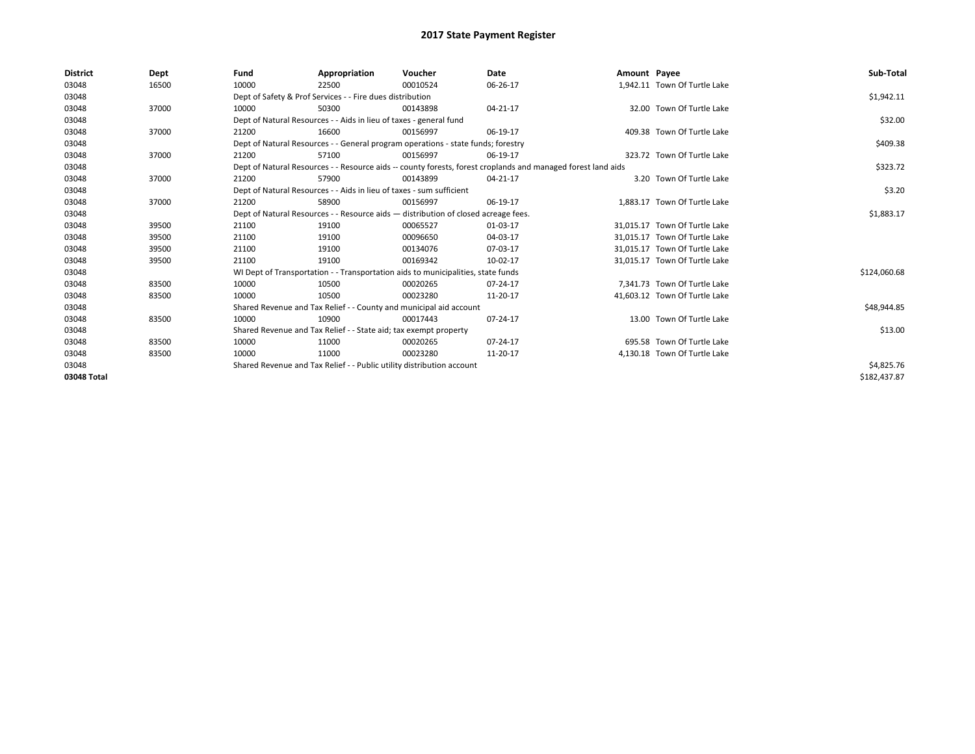| <b>District</b> | Dept  | Fund  | Appropriation                                                                                                | Voucher  | Date     | Amount Payee |                               | Sub-Total    |
|-----------------|-------|-------|--------------------------------------------------------------------------------------------------------------|----------|----------|--------------|-------------------------------|--------------|
| 03048           | 16500 | 10000 | 22500                                                                                                        | 00010524 | 06-26-17 |              | 1,942.11 Town Of Turtle Lake  |              |
| 03048           |       |       | Dept of Safety & Prof Services - - Fire dues distribution                                                    |          |          |              |                               | \$1,942.11   |
| 03048           | 37000 | 10000 | 50300                                                                                                        | 00143898 | 04-21-17 |              | 32.00 Town Of Turtle Lake     |              |
| 03048           |       |       | Dept of Natural Resources - - Aids in lieu of taxes - general fund                                           |          |          |              |                               | \$32.00      |
| 03048           | 37000 | 21200 | 16600                                                                                                        | 00156997 | 06-19-17 |              | 409.38 Town Of Turtle Lake    |              |
| 03048           |       |       | Dept of Natural Resources - - General program operations - state funds; forestry                             |          |          |              |                               | \$409.38     |
| 03048           | 37000 | 21200 | 57100                                                                                                        | 00156997 | 06-19-17 |              | 323.72 Town Of Turtle Lake    |              |
| 03048           |       |       | Dept of Natural Resources - - Resource aids -- county forests, forest croplands and managed forest land aids |          |          |              |                               | \$323.72     |
| 03048           | 37000 | 21200 | 57900                                                                                                        | 00143899 | 04-21-17 |              | 3.20 Town Of Turtle Lake      |              |
| 03048           |       |       | Dept of Natural Resources - - Aids in lieu of taxes - sum sufficient                                         |          |          |              |                               | \$3.20       |
| 03048           | 37000 | 21200 | 58900                                                                                                        | 00156997 | 06-19-17 |              | 1.883.17 Town Of Turtle Lake  |              |
| 03048           |       |       | Dept of Natural Resources - - Resource aids - distribution of closed acreage fees.                           |          |          |              |                               | \$1,883.17   |
| 03048           | 39500 | 21100 | 19100                                                                                                        | 00065527 | 01-03-17 |              | 31.015.17 Town Of Turtle Lake |              |
| 03048           | 39500 | 21100 | 19100                                                                                                        | 00096650 | 04-03-17 |              | 31.015.17 Town Of Turtle Lake |              |
| 03048           | 39500 | 21100 | 19100                                                                                                        | 00134076 | 07-03-17 |              | 31,015.17 Town Of Turtle Lake |              |
| 03048           | 39500 | 21100 | 19100                                                                                                        | 00169342 | 10-02-17 |              | 31,015.17 Town Of Turtle Lake |              |
| 03048           |       |       | WI Dept of Transportation - - Transportation aids to municipalities, state funds                             |          |          |              |                               | \$124,060.68 |
| 03048           | 83500 | 10000 | 10500                                                                                                        | 00020265 | 07-24-17 |              | 7.341.73 Town Of Turtle Lake  |              |
| 03048           | 83500 | 10000 | 10500                                                                                                        | 00023280 | 11-20-17 |              | 41,603.12 Town Of Turtle Lake |              |
| 03048           |       |       | Shared Revenue and Tax Relief - - County and municipal aid account                                           |          |          |              |                               | \$48,944.85  |
| 03048           | 83500 | 10000 | 10900                                                                                                        | 00017443 | 07-24-17 |              | 13.00 Town Of Turtle Lake     |              |
| 03048           |       |       | Shared Revenue and Tax Relief - - State aid; tax exempt property                                             |          |          |              |                               | \$13.00      |
| 03048           | 83500 | 10000 | 11000                                                                                                        | 00020265 | 07-24-17 |              | 695.58 Town Of Turtle Lake    |              |
| 03048           | 83500 | 10000 | 11000                                                                                                        | 00023280 | 11-20-17 |              | 4.130.18 Town Of Turtle Lake  |              |
| 03048           |       |       | Shared Revenue and Tax Relief - - Public utility distribution account                                        |          |          |              |                               | \$4,825.76   |
| 03048 Total     |       |       |                                                                                                              |          |          |              |                               | \$182,437.87 |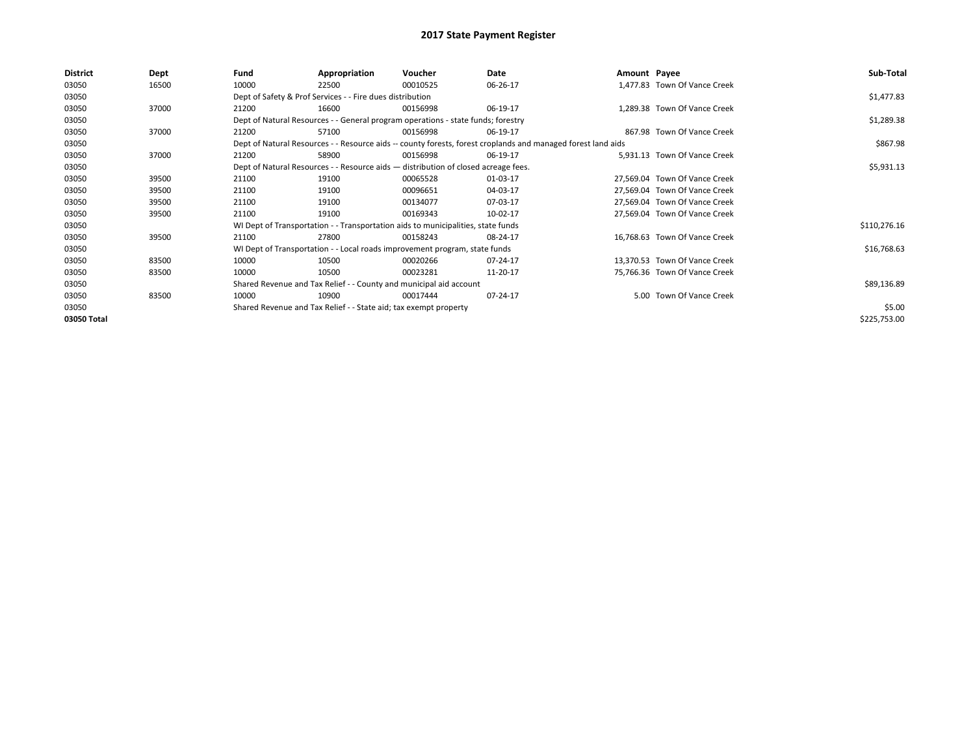| Dept  | Fund  | Appropriation | Voucher  | Date                                                                                                                                                                                                |                                                                                                                                                                                                                                                                                                                                          |                                                                                                              | Sub-Total                                                                                                                                                                                                                                                                                                                                                                                                     |
|-------|-------|---------------|----------|-----------------------------------------------------------------------------------------------------------------------------------------------------------------------------------------------------|------------------------------------------------------------------------------------------------------------------------------------------------------------------------------------------------------------------------------------------------------------------------------------------------------------------------------------------|--------------------------------------------------------------------------------------------------------------|---------------------------------------------------------------------------------------------------------------------------------------------------------------------------------------------------------------------------------------------------------------------------------------------------------------------------------------------------------------------------------------------------------------|
| 16500 | 10000 | 22500         | 00010525 | 06-26-17                                                                                                                                                                                            |                                                                                                                                                                                                                                                                                                                                          |                                                                                                              |                                                                                                                                                                                                                                                                                                                                                                                                               |
|       |       |               |          |                                                                                                                                                                                                     |                                                                                                                                                                                                                                                                                                                                          |                                                                                                              | \$1,477.83                                                                                                                                                                                                                                                                                                                                                                                                    |
| 37000 | 21200 | 16600         | 00156998 | 06-19-17                                                                                                                                                                                            |                                                                                                                                                                                                                                                                                                                                          |                                                                                                              |                                                                                                                                                                                                                                                                                                                                                                                                               |
|       |       |               |          |                                                                                                                                                                                                     |                                                                                                                                                                                                                                                                                                                                          |                                                                                                              | \$1,289.38                                                                                                                                                                                                                                                                                                                                                                                                    |
| 37000 | 21200 | 57100         | 00156998 | 06-19-17                                                                                                                                                                                            |                                                                                                                                                                                                                                                                                                                                          |                                                                                                              |                                                                                                                                                                                                                                                                                                                                                                                                               |
|       |       |               |          |                                                                                                                                                                                                     |                                                                                                                                                                                                                                                                                                                                          |                                                                                                              | \$867.98                                                                                                                                                                                                                                                                                                                                                                                                      |
| 37000 | 21200 | 58900         | 00156998 | 06-19-17                                                                                                                                                                                            |                                                                                                                                                                                                                                                                                                                                          |                                                                                                              |                                                                                                                                                                                                                                                                                                                                                                                                               |
|       |       |               |          |                                                                                                                                                                                                     |                                                                                                                                                                                                                                                                                                                                          |                                                                                                              | \$5,931.13                                                                                                                                                                                                                                                                                                                                                                                                    |
| 39500 | 21100 | 19100         | 00065528 | 01-03-17                                                                                                                                                                                            |                                                                                                                                                                                                                                                                                                                                          |                                                                                                              |                                                                                                                                                                                                                                                                                                                                                                                                               |
| 39500 | 21100 | 19100         | 00096651 | 04-03-17                                                                                                                                                                                            |                                                                                                                                                                                                                                                                                                                                          |                                                                                                              |                                                                                                                                                                                                                                                                                                                                                                                                               |
| 39500 | 21100 | 19100         | 00134077 | 07-03-17                                                                                                                                                                                            |                                                                                                                                                                                                                                                                                                                                          |                                                                                                              |                                                                                                                                                                                                                                                                                                                                                                                                               |
| 39500 | 21100 | 19100         | 00169343 | 10-02-17                                                                                                                                                                                            |                                                                                                                                                                                                                                                                                                                                          |                                                                                                              |                                                                                                                                                                                                                                                                                                                                                                                                               |
|       |       |               |          |                                                                                                                                                                                                     |                                                                                                                                                                                                                                                                                                                                          |                                                                                                              | \$110,276.16                                                                                                                                                                                                                                                                                                                                                                                                  |
| 39500 | 21100 | 27800         | 00158243 | 08-24-17                                                                                                                                                                                            |                                                                                                                                                                                                                                                                                                                                          |                                                                                                              |                                                                                                                                                                                                                                                                                                                                                                                                               |
|       |       |               |          |                                                                                                                                                                                                     |                                                                                                                                                                                                                                                                                                                                          |                                                                                                              | \$16,768.63                                                                                                                                                                                                                                                                                                                                                                                                   |
| 83500 | 10000 | 10500         | 00020266 | 07-24-17                                                                                                                                                                                            |                                                                                                                                                                                                                                                                                                                                          |                                                                                                              |                                                                                                                                                                                                                                                                                                                                                                                                               |
| 83500 | 10000 | 10500         | 00023281 | 11-20-17                                                                                                                                                                                            |                                                                                                                                                                                                                                                                                                                                          |                                                                                                              |                                                                                                                                                                                                                                                                                                                                                                                                               |
|       |       |               |          |                                                                                                                                                                                                     |                                                                                                                                                                                                                                                                                                                                          |                                                                                                              | \$89,136.89                                                                                                                                                                                                                                                                                                                                                                                                   |
| 83500 | 10000 | 10900         | 00017444 | 07-24-17                                                                                                                                                                                            |                                                                                                                                                                                                                                                                                                                                          |                                                                                                              |                                                                                                                                                                                                                                                                                                                                                                                                               |
|       |       |               |          |                                                                                                                                                                                                     |                                                                                                                                                                                                                                                                                                                                          |                                                                                                              | \$5.00                                                                                                                                                                                                                                                                                                                                                                                                        |
|       |       |               |          |                                                                                                                                                                                                     |                                                                                                                                                                                                                                                                                                                                          |                                                                                                              | \$225,753.00                                                                                                                                                                                                                                                                                                                                                                                                  |
|       |       |               |          | Dept of Safety & Prof Services - - Fire dues distribution<br>Shared Revenue and Tax Relief - - County and municipal aid account<br>Shared Revenue and Tax Relief - - State aid; tax exempt property | Dept of Natural Resources - - General program operations - state funds; forestry<br>Dept of Natural Resources - - Resource aids - distribution of closed acreage fees.<br>WI Dept of Transportation - - Transportation aids to municipalities, state funds<br>WI Dept of Transportation - - Local roads improvement program, state funds | Dept of Natural Resources - - Resource aids -- county forests, forest croplands and managed forest land aids | Amount Payee<br>1,477.83 Town Of Vance Creek<br>1,289.38 Town Of Vance Creek<br>867.98 Town Of Vance Creek<br>5.931.13 Town Of Vance Creek<br>27,569.04 Town Of Vance Creek<br>27,569.04 Town Of Vance Creek<br>27,569.04 Town Of Vance Creek<br>27,569.04 Town Of Vance Creek<br>16,768.63 Town Of Vance Creek<br>13.370.53 Town Of Vance Creek<br>75,766.36 Town Of Vance Creek<br>5.00 Town Of Vance Creek |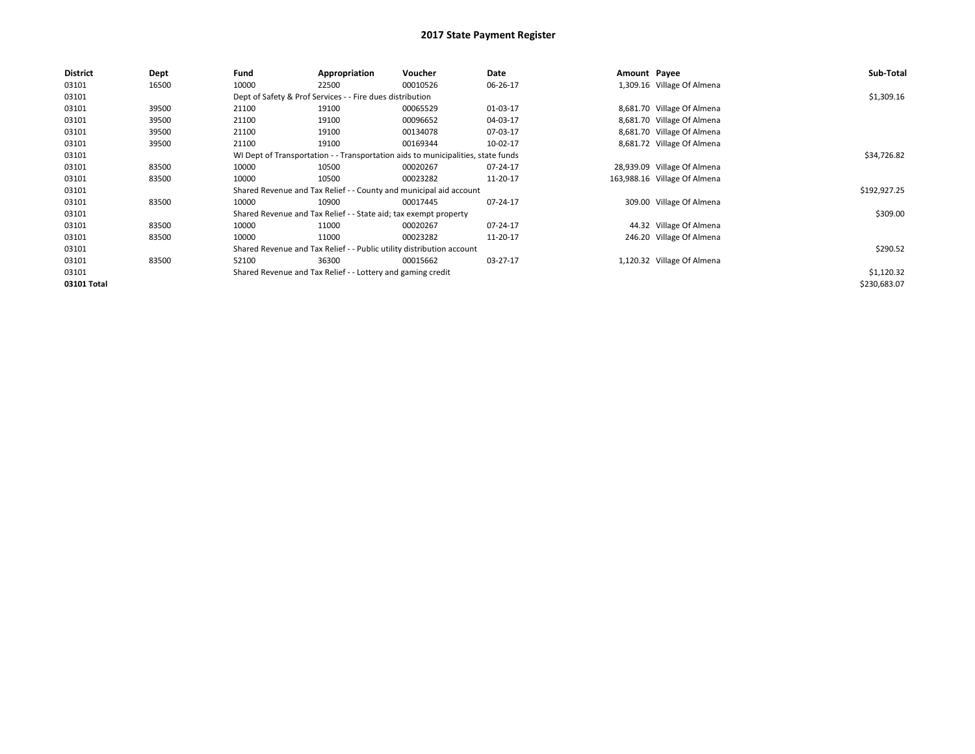| <b>District</b> | Dept  | Fund  | Appropriation                                                                    | Voucher  | Date     | Amount Payee |                              | Sub-Total    |
|-----------------|-------|-------|----------------------------------------------------------------------------------|----------|----------|--------------|------------------------------|--------------|
| 03101           | 16500 | 10000 | 22500                                                                            | 00010526 | 06-26-17 |              | 1,309.16 Village Of Almena   |              |
| 03101           |       |       | Dept of Safety & Prof Services - - Fire dues distribution                        |          |          |              |                              | \$1,309.16   |
| 03101           | 39500 | 21100 | 19100                                                                            | 00065529 | 01-03-17 |              | 8,681.70 Village Of Almena   |              |
| 03101           | 39500 | 21100 | 19100                                                                            | 00096652 | 04-03-17 |              | 8,681.70 Village Of Almena   |              |
| 03101           | 39500 | 21100 | 19100                                                                            | 00134078 | 07-03-17 |              | 8,681.70 Village Of Almena   |              |
| 03101           | 39500 | 21100 | 19100                                                                            | 00169344 | 10-02-17 |              | 8,681.72 Village Of Almena   |              |
| 03101           |       |       | WI Dept of Transportation - - Transportation aids to municipalities, state funds |          |          |              |                              | \$34,726.82  |
| 03101           | 83500 | 10000 | 10500                                                                            | 00020267 | 07-24-17 |              | 28,939.09 Village Of Almena  |              |
| 03101           | 83500 | 10000 | 10500                                                                            | 00023282 | 11-20-17 |              | 163,988.16 Village Of Almena |              |
| 03101           |       |       | Shared Revenue and Tax Relief - - County and municipal aid account               |          |          |              |                              | \$192,927.25 |
| 03101           | 83500 | 10000 | 10900                                                                            | 00017445 | 07-24-17 |              | 309.00 Village Of Almena     |              |
| 03101           |       |       | Shared Revenue and Tax Relief - - State aid; tax exempt property                 |          |          |              |                              | \$309.00     |
| 03101           | 83500 | 10000 | 11000                                                                            | 00020267 | 07-24-17 |              | 44.32 Village Of Almena      |              |
| 03101           | 83500 | 10000 | 11000                                                                            | 00023282 | 11-20-17 |              | 246.20 Village Of Almena     |              |
| 03101           |       |       | Shared Revenue and Tax Relief - - Public utility distribution account            |          |          |              |                              | \$290.52     |
| 03101           | 83500 | 52100 | 36300                                                                            | 00015662 | 03-27-17 |              | 1,120.32 Village Of Almena   |              |
| 03101           |       |       | Shared Revenue and Tax Relief - - Lottery and gaming credit                      |          |          |              |                              | \$1,120.32   |
| 03101 Total     |       |       |                                                                                  |          |          |              |                              | \$230,683.07 |
|                 |       |       |                                                                                  |          |          |              |                              |              |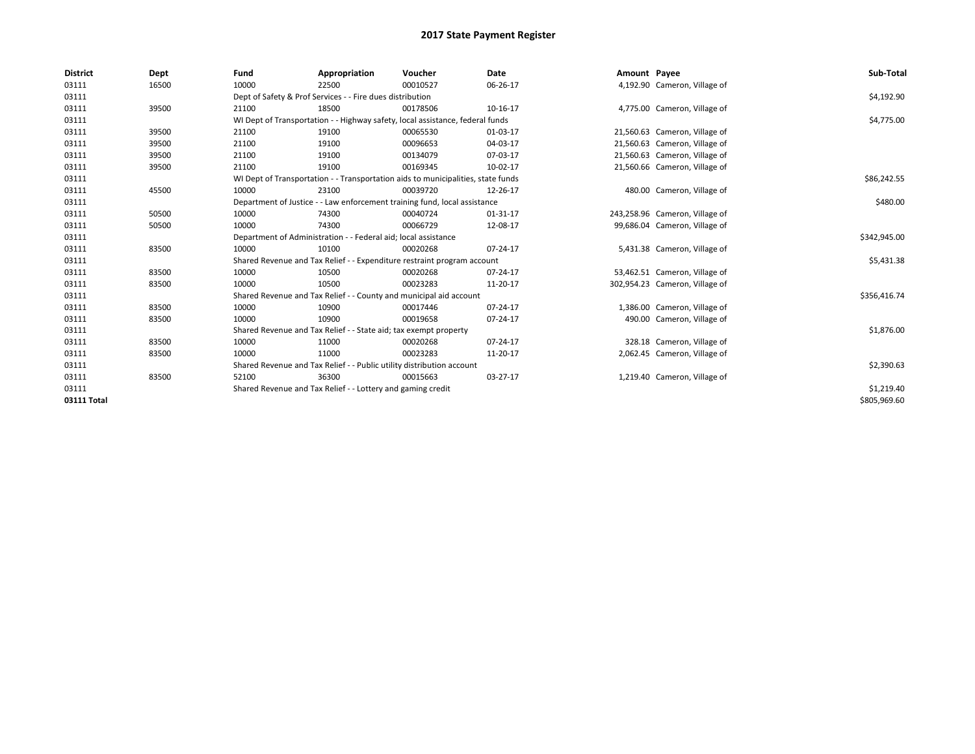| <b>District</b> | Dept  | Fund  | Appropriation                                                                    | Voucher  | Date     | Amount Payee |                                | Sub-Total    |
|-----------------|-------|-------|----------------------------------------------------------------------------------|----------|----------|--------------|--------------------------------|--------------|
| 03111           | 16500 | 10000 | 22500                                                                            | 00010527 | 06-26-17 |              | 4,192.90 Cameron, Village of   |              |
| 03111           |       |       | Dept of Safety & Prof Services - - Fire dues distribution                        |          |          |              |                                | \$4,192.90   |
| 03111           | 39500 | 21100 | 18500                                                                            | 00178506 | 10-16-17 |              | 4,775.00 Cameron, Village of   |              |
| 03111           |       |       | WI Dept of Transportation - - Highway safety, local assistance, federal funds    |          |          |              |                                | \$4,775.00   |
| 03111           | 39500 | 21100 | 19100                                                                            | 00065530 | 01-03-17 |              | 21,560.63 Cameron, Village of  |              |
| 03111           | 39500 | 21100 | 19100                                                                            | 00096653 | 04-03-17 |              | 21,560.63 Cameron, Village of  |              |
| 03111           | 39500 | 21100 | 19100                                                                            | 00134079 | 07-03-17 |              | 21,560.63 Cameron, Village of  |              |
| 03111           | 39500 | 21100 | 19100                                                                            | 00169345 | 10-02-17 |              | 21,560.66 Cameron, Village of  |              |
| 03111           |       |       | WI Dept of Transportation - - Transportation aids to municipalities, state funds |          |          |              |                                | \$86,242.55  |
| 03111           | 45500 | 10000 | 23100                                                                            | 00039720 | 12-26-17 |              | 480.00 Cameron, Village of     |              |
| 03111           |       |       | Department of Justice - - Law enforcement training fund, local assistance        |          |          |              |                                | \$480.00     |
| 03111           | 50500 | 10000 | 74300                                                                            | 00040724 | 01-31-17 |              | 243,258.96 Cameron, Village of |              |
| 03111           | 50500 | 10000 | 74300                                                                            | 00066729 | 12-08-17 |              | 99,686.04 Cameron, Village of  |              |
| 03111           |       |       | Department of Administration - - Federal aid; local assistance                   |          |          |              |                                | \$342,945.00 |
| 03111           | 83500 | 10000 | 10100                                                                            | 00020268 | 07-24-17 |              | 5,431.38 Cameron, Village of   |              |
| 03111           |       |       | Shared Revenue and Tax Relief - - Expenditure restraint program account          |          |          |              |                                | \$5,431.38   |
| 03111           | 83500 | 10000 | 10500                                                                            | 00020268 | 07-24-17 |              | 53,462.51 Cameron, Village of  |              |
| 03111           | 83500 | 10000 | 10500                                                                            | 00023283 | 11-20-17 |              | 302,954.23 Cameron, Village of |              |
| 03111           |       |       | Shared Revenue and Tax Relief - - County and municipal aid account               |          |          |              |                                | \$356,416.74 |
| 03111           | 83500 | 10000 | 10900                                                                            | 00017446 | 07-24-17 |              | 1,386.00 Cameron, Village of   |              |
| 03111           | 83500 | 10000 | 10900                                                                            | 00019658 | 07-24-17 |              | 490.00 Cameron, Village of     |              |
| 03111           |       |       | Shared Revenue and Tax Relief - - State aid; tax exempt property                 |          |          |              |                                | \$1,876.00   |
| 03111           | 83500 | 10000 | 11000                                                                            | 00020268 | 07-24-17 |              | 328.18 Cameron, Village of     |              |
| 03111           | 83500 | 10000 | 11000                                                                            | 00023283 | 11-20-17 |              | 2,062.45 Cameron, Village of   |              |
| 03111           |       |       | Shared Revenue and Tax Relief - - Public utility distribution account            |          |          |              |                                | \$2,390.63   |
| 03111           | 83500 | 52100 | 36300                                                                            | 00015663 | 03-27-17 |              | 1,219.40 Cameron, Village of   |              |
| 03111           |       |       | Shared Revenue and Tax Relief - - Lottery and gaming credit                      |          |          |              |                                | \$1,219.40   |
| 03111 Total     |       |       |                                                                                  |          |          |              |                                | \$805,969.60 |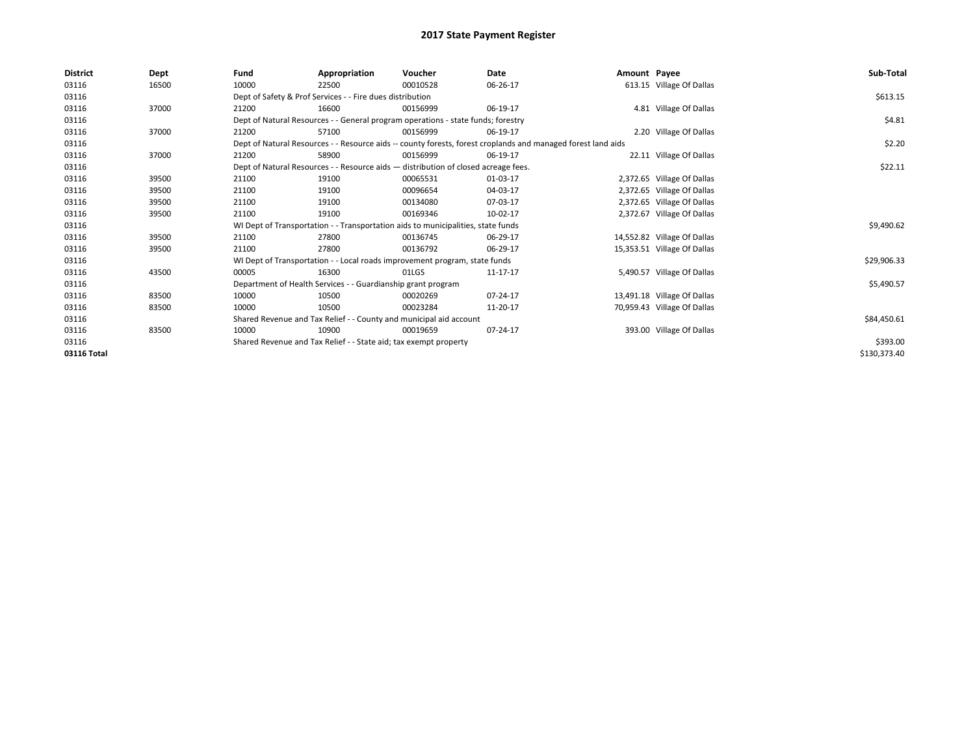| <b>District</b> | Dept  | Fund  | Appropriation                                                    | Voucher                                                                            | Date                                                                                                         | Amount Payee |                             | Sub-Total    |
|-----------------|-------|-------|------------------------------------------------------------------|------------------------------------------------------------------------------------|--------------------------------------------------------------------------------------------------------------|--------------|-----------------------------|--------------|
| 03116           | 16500 | 10000 | 22500                                                            | 00010528                                                                           | 06-26-17                                                                                                     |              | 613.15 Village Of Dallas    |              |
| 03116           |       |       | Dept of Safety & Prof Services - - Fire dues distribution        |                                                                                    |                                                                                                              |              |                             | \$613.15     |
| 03116           | 37000 | 21200 | 16600                                                            | 00156999                                                                           | 06-19-17                                                                                                     |              | 4.81 Village Of Dallas      |              |
| 03116           |       |       |                                                                  | Dept of Natural Resources - - General program operations - state funds; forestry   |                                                                                                              |              |                             | \$4.81       |
| 03116           | 37000 | 21200 | 57100                                                            | 00156999                                                                           | 06-19-17                                                                                                     |              | 2.20 Village Of Dallas      |              |
| 03116           |       |       |                                                                  |                                                                                    | Dept of Natural Resources - - Resource aids -- county forests, forest croplands and managed forest land aids |              |                             | \$2.20       |
| 03116           | 37000 | 21200 | 58900                                                            | 00156999                                                                           | 06-19-17                                                                                                     |              | 22.11 Village Of Dallas     |              |
| 03116           |       |       |                                                                  | Dept of Natural Resources - - Resource aids - distribution of closed acreage fees. |                                                                                                              |              |                             | \$22.11      |
| 03116           | 39500 | 21100 | 19100                                                            | 00065531                                                                           | 01-03-17                                                                                                     |              | 2,372.65 Village Of Dallas  |              |
| 03116           | 39500 | 21100 | 19100                                                            | 00096654                                                                           | 04-03-17                                                                                                     |              | 2,372.65 Village Of Dallas  |              |
| 03116           | 39500 | 21100 | 19100                                                            | 00134080                                                                           | 07-03-17                                                                                                     |              | 2,372.65 Village Of Dallas  |              |
| 03116           | 39500 | 21100 | 19100                                                            | 00169346                                                                           | 10-02-17                                                                                                     |              | 2,372.67 Village Of Dallas  |              |
| 03116           |       |       |                                                                  | WI Dept of Transportation - - Transportation aids to municipalities, state funds   |                                                                                                              |              |                             | \$9,490.62   |
| 03116           | 39500 | 21100 | 27800                                                            | 00136745                                                                           | 06-29-17                                                                                                     |              | 14,552.82 Village Of Dallas |              |
| 03116           | 39500 | 21100 | 27800                                                            | 00136792                                                                           | 06-29-17                                                                                                     |              | 15,353.51 Village Of Dallas |              |
| 03116           |       |       |                                                                  | WI Dept of Transportation - - Local roads improvement program, state funds         |                                                                                                              |              |                             | \$29,906.33  |
| 03116           | 43500 | 00005 | 16300                                                            | 01LGS                                                                              | 11-17-17                                                                                                     |              | 5,490.57 Village Of Dallas  |              |
| 03116           |       |       | Department of Health Services - - Guardianship grant program     |                                                                                    |                                                                                                              |              |                             | \$5,490.57   |
| 03116           | 83500 | 10000 | 10500                                                            | 00020269                                                                           | 07-24-17                                                                                                     |              | 13,491.18 Village Of Dallas |              |
| 03116           | 83500 | 10000 | 10500                                                            | 00023284                                                                           | 11-20-17                                                                                                     |              | 70,959.43 Village Of Dallas |              |
| 03116           |       |       |                                                                  | Shared Revenue and Tax Relief - - County and municipal aid account                 |                                                                                                              |              |                             | \$84,450.61  |
| 03116           | 83500 | 10000 | 10900                                                            | 00019659                                                                           | 07-24-17                                                                                                     |              | 393.00 Village Of Dallas    |              |
| 03116           |       |       | Shared Revenue and Tax Relief - - State aid; tax exempt property |                                                                                    |                                                                                                              |              |                             | \$393.00     |
| 03116 Total     |       |       |                                                                  |                                                                                    |                                                                                                              |              |                             | \$130,373.40 |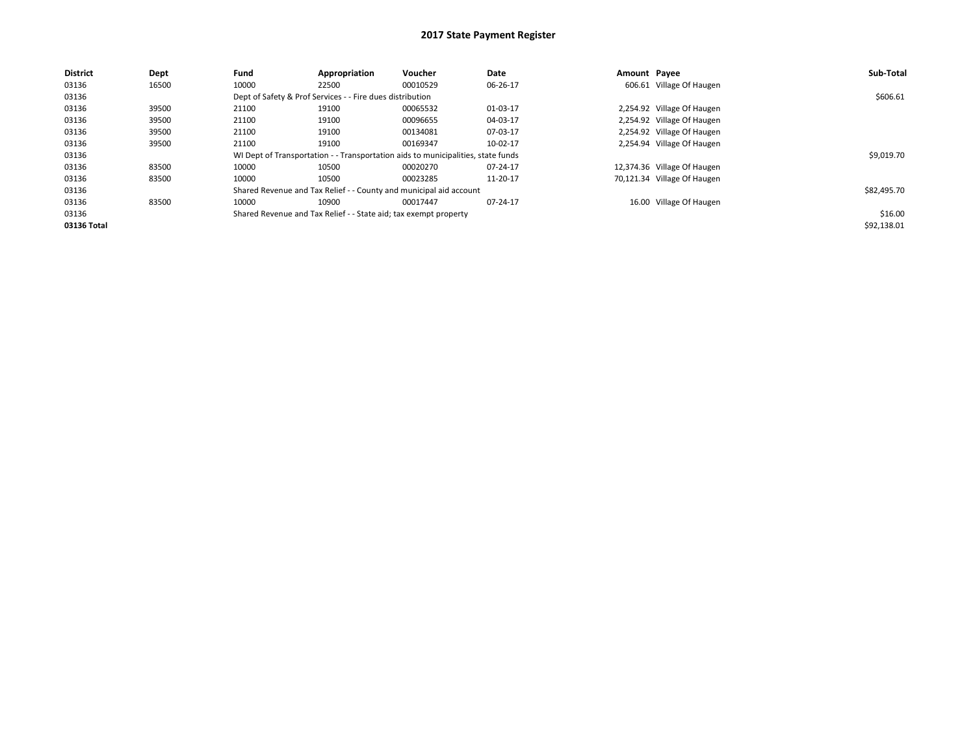| <b>District</b> | Dept  | Fund  | Appropriation                                                    | Voucher                                                                          | Date     | Amount Payee |                             | Sub-Total   |
|-----------------|-------|-------|------------------------------------------------------------------|----------------------------------------------------------------------------------|----------|--------------|-----------------------------|-------------|
| 03136           | 16500 | 10000 | 22500                                                            | 00010529                                                                         | 06-26-17 |              | 606.61 Village Of Haugen    |             |
| 03136           |       |       | Dept of Safety & Prof Services - - Fire dues distribution        |                                                                                  |          |              |                             | \$606.61    |
| 03136           | 39500 | 21100 | 19100                                                            | 00065532                                                                         | 01-03-17 |              | 2,254.92 Village Of Haugen  |             |
| 03136           | 39500 | 21100 | 19100                                                            | 00096655                                                                         | 04-03-17 |              | 2,254.92 Village Of Haugen  |             |
| 03136           | 39500 | 21100 | 19100                                                            | 00134081                                                                         | 07-03-17 |              | 2,254.92 Village Of Haugen  |             |
| 03136           | 39500 | 21100 | 19100                                                            | 00169347                                                                         | 10-02-17 |              | 2,254.94 Village Of Haugen  |             |
| 03136           |       |       |                                                                  | WI Dept of Transportation - - Transportation aids to municipalities, state funds |          |              |                             | \$9,019.70  |
| 03136           | 83500 | 10000 | 10500                                                            | 00020270                                                                         | 07-24-17 |              | 12,374.36 Village Of Haugen |             |
| 03136           | 83500 | 10000 | 10500                                                            | 00023285                                                                         | 11-20-17 |              | 70,121.34 Village Of Haugen |             |
| 03136           |       |       |                                                                  | Shared Revenue and Tax Relief - - County and municipal aid account               |          |              |                             | \$82,495.70 |
| 03136           | 83500 | 10000 | 10900                                                            | 00017447                                                                         | 07-24-17 |              | 16.00 Village Of Haugen     |             |
| 03136           |       |       | Shared Revenue and Tax Relief - - State aid; tax exempt property |                                                                                  |          |              |                             | \$16.00     |
| 03136 Total     |       |       |                                                                  |                                                                                  |          |              |                             | \$92,138.01 |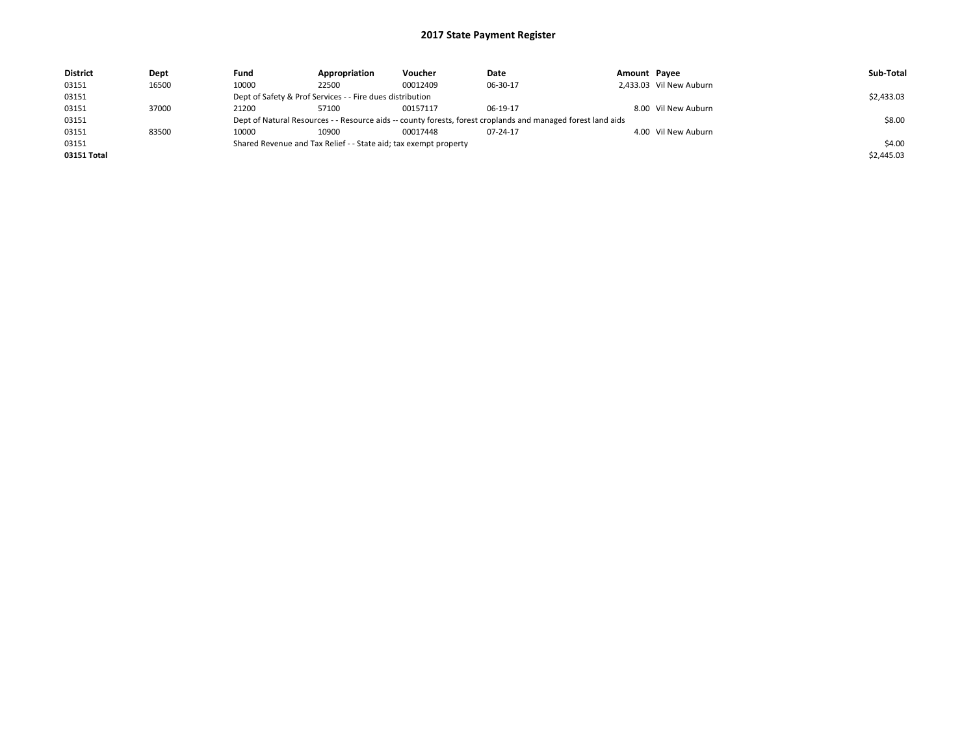| <b>District</b> | Dept  | Fund  | Appropriation                                                    | Voucher  | Date                                                                                                         | Amount Payee |                         | Sub-Total  |
|-----------------|-------|-------|------------------------------------------------------------------|----------|--------------------------------------------------------------------------------------------------------------|--------------|-------------------------|------------|
| 03151           | 16500 | 10000 | 22500                                                            | 00012409 | 06-30-17                                                                                                     |              | 2,433.03 Vil New Auburn |            |
| 03151           |       |       | Dept of Safety & Prof Services - - Fire dues distribution        |          |                                                                                                              |              |                         | \$2,433.03 |
| 03151           | 37000 | 21200 | 57100                                                            | 00157117 | 06-19-17                                                                                                     |              | 8.00 Vil New Auburn     |            |
| 03151           |       |       |                                                                  |          | Dept of Natural Resources - - Resource aids -- county forests, forest croplands and managed forest land aids |              |                         | \$8.00     |
| 03151           | 83500 | 10000 | 10900                                                            | 00017448 | 07-24-17                                                                                                     |              | 4.00 Vil New Auburn     |            |
| 03151           |       |       | Shared Revenue and Tax Relief - - State aid; tax exempt property |          |                                                                                                              |              |                         | \$4.00     |
| 03151 Total     |       |       |                                                                  |          |                                                                                                              |              |                         | \$2,445.03 |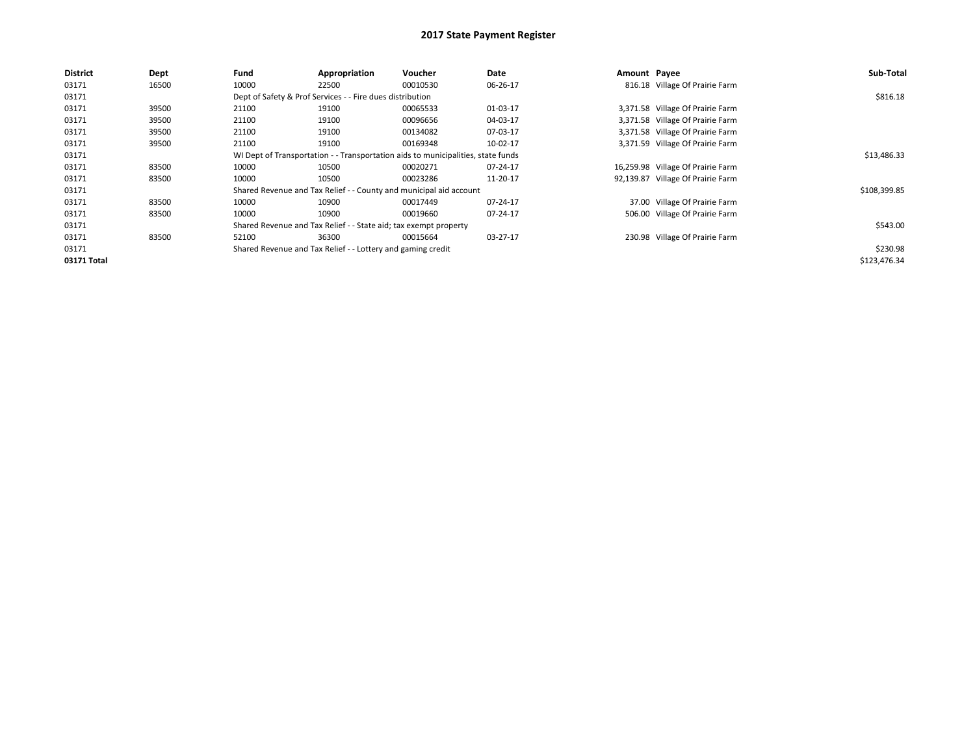| <b>District</b> | Dept  | Fund  | Appropriation                                                                    | Voucher  | Date     | Amount Payee |                                   | Sub-Total    |
|-----------------|-------|-------|----------------------------------------------------------------------------------|----------|----------|--------------|-----------------------------------|--------------|
| 03171           | 16500 | 10000 | 22500                                                                            | 00010530 | 06-26-17 |              | 816.18 Village Of Prairie Farm    |              |
| 03171           |       |       | Dept of Safety & Prof Services - - Fire dues distribution                        |          |          |              |                                   | \$816.18     |
| 03171           | 39500 | 21100 | 19100                                                                            | 00065533 | 01-03-17 |              | 3,371.58 Village Of Prairie Farm  |              |
| 03171           | 39500 | 21100 | 19100                                                                            | 00096656 | 04-03-17 |              | 3,371.58 Village Of Prairie Farm  |              |
| 03171           | 39500 | 21100 | 19100                                                                            | 00134082 | 07-03-17 |              | 3,371.58 Village Of Prairie Farm  |              |
| 03171           | 39500 | 21100 | 19100                                                                            | 00169348 | 10-02-17 |              | 3,371.59 Village Of Prairie Farm  |              |
| 03171           |       |       | WI Dept of Transportation - - Transportation aids to municipalities, state funds |          |          |              |                                   | \$13,486.33  |
| 03171           | 83500 | 10000 | 10500                                                                            | 00020271 | 07-24-17 |              | 16,259.98 Village Of Prairie Farm |              |
| 03171           | 83500 | 10000 | 10500                                                                            | 00023286 | 11-20-17 |              | 92,139.87 Village Of Prairie Farm |              |
| 03171           |       |       | Shared Revenue and Tax Relief - - County and municipal aid account               |          |          |              |                                   | \$108,399.85 |
| 03171           | 83500 | 10000 | 10900                                                                            | 00017449 | 07-24-17 |              | 37.00 Village Of Prairie Farm     |              |
| 03171           | 83500 | 10000 | 10900                                                                            | 00019660 | 07-24-17 |              | 506.00 Village Of Prairie Farm    |              |
| 03171           |       |       | Shared Revenue and Tax Relief - - State aid; tax exempt property                 |          |          |              |                                   | \$543.00     |
| 03171           | 83500 | 52100 | 36300                                                                            | 00015664 | 03-27-17 |              | 230.98 Village Of Prairie Farm    |              |
| 03171           |       |       | Shared Revenue and Tax Relief - - Lottery and gaming credit                      |          |          |              |                                   | \$230.98     |
| 03171 Total     |       |       |                                                                                  |          |          |              |                                   | \$123,476.34 |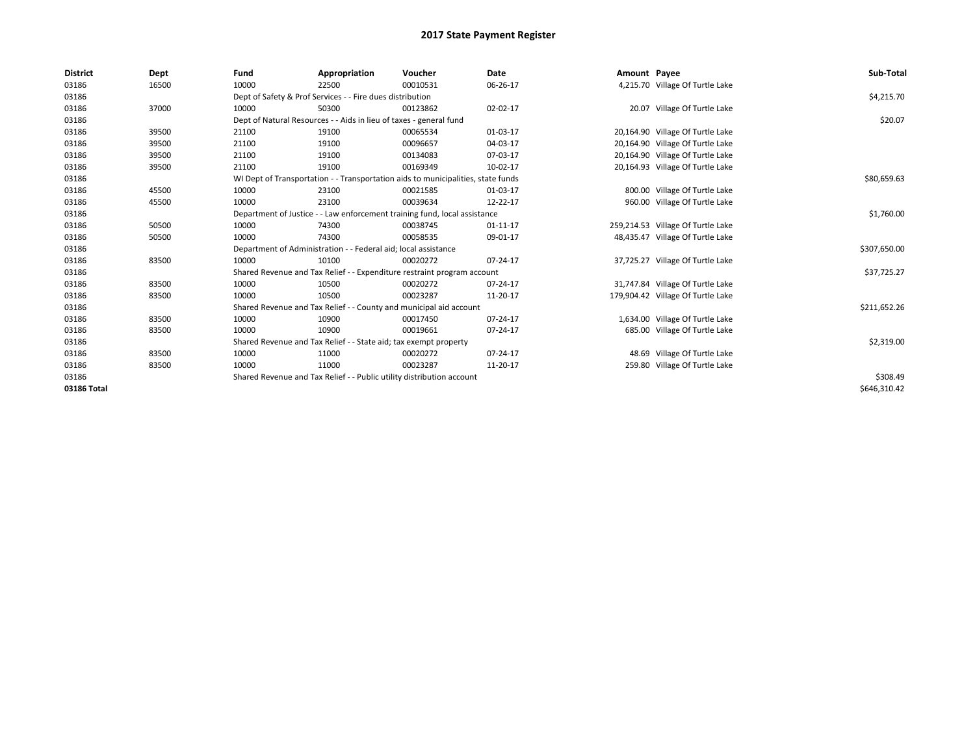| <b>District</b> | Dept  | Fund  | Appropriation                                                         | Voucher                                                                          | Date     | Amount Payee |                                   | Sub-Total    |  |  |
|-----------------|-------|-------|-----------------------------------------------------------------------|----------------------------------------------------------------------------------|----------|--------------|-----------------------------------|--------------|--|--|
| 03186           | 16500 | 10000 | 22500                                                                 | 00010531                                                                         | 06-26-17 |              | 4,215.70 Village Of Turtle Lake   |              |  |  |
| 03186           |       |       | Dept of Safety & Prof Services - - Fire dues distribution             |                                                                                  |          |              |                                   |              |  |  |
| 03186           | 37000 | 10000 | 50300                                                                 | 00123862                                                                         | 02-02-17 |              | 20.07 Village Of Turtle Lake      |              |  |  |
| 03186           |       |       | Dept of Natural Resources - - Aids in lieu of taxes - general fund    |                                                                                  |          |              |                                   | \$20.07      |  |  |
| 03186           | 39500 | 21100 | 19100                                                                 | 00065534                                                                         | 01-03-17 |              | 20,164.90 Village Of Turtle Lake  |              |  |  |
| 03186           | 39500 | 21100 | 19100                                                                 | 00096657                                                                         | 04-03-17 |              | 20,164.90 Village Of Turtle Lake  |              |  |  |
| 03186           | 39500 | 21100 | 19100                                                                 | 00134083                                                                         | 07-03-17 |              | 20,164.90 Village Of Turtle Lake  |              |  |  |
| 03186           | 39500 | 21100 | 19100                                                                 | 00169349                                                                         | 10-02-17 |              | 20,164.93 Village Of Turtle Lake  |              |  |  |
| 03186           |       |       |                                                                       | WI Dept of Transportation - - Transportation aids to municipalities, state funds |          |              |                                   | \$80,659.63  |  |  |
| 03186           | 45500 | 10000 | 23100                                                                 | 00021585                                                                         | 01-03-17 |              | 800.00 Village Of Turtle Lake     |              |  |  |
| 03186           | 45500 | 10000 | 23100                                                                 | 00039634                                                                         | 12-22-17 |              | 960.00 Village Of Turtle Lake     |              |  |  |
| 03186           |       |       |                                                                       | Department of Justice - - Law enforcement training fund, local assistance        |          |              |                                   | \$1,760.00   |  |  |
| 03186           | 50500 | 10000 | 74300                                                                 | 00038745                                                                         | 01-11-17 |              | 259,214.53 Village Of Turtle Lake |              |  |  |
| 03186           | 50500 | 10000 | 74300                                                                 | 00058535                                                                         | 09-01-17 |              | 48,435.47 Village Of Turtle Lake  |              |  |  |
| 03186           |       |       | Department of Administration - - Federal aid; local assistance        |                                                                                  |          |              |                                   | \$307,650.00 |  |  |
| 03186           | 83500 | 10000 | 10100                                                                 | 00020272                                                                         | 07-24-17 |              | 37,725.27 Village Of Turtle Lake  |              |  |  |
| 03186           |       |       |                                                                       | Shared Revenue and Tax Relief - - Expenditure restraint program account          |          |              |                                   | \$37,725.27  |  |  |
| 03186           | 83500 | 10000 | 10500                                                                 | 00020272                                                                         | 07-24-17 |              | 31,747.84 Village Of Turtle Lake  |              |  |  |
| 03186           | 83500 | 10000 | 10500                                                                 | 00023287                                                                         | 11-20-17 |              | 179,904.42 Village Of Turtle Lake |              |  |  |
| 03186           |       |       |                                                                       | Shared Revenue and Tax Relief - - County and municipal aid account               |          |              |                                   | \$211,652.26 |  |  |
| 03186           | 83500 | 10000 | 10900                                                                 | 00017450                                                                         | 07-24-17 |              | 1,634.00 Village Of Turtle Lake   |              |  |  |
| 03186           | 83500 | 10000 | 10900                                                                 | 00019661                                                                         | 07-24-17 |              | 685.00 Village Of Turtle Lake     |              |  |  |
| 03186           |       |       | Shared Revenue and Tax Relief - - State aid; tax exempt property      |                                                                                  |          |              |                                   | \$2,319.00   |  |  |
| 03186           | 83500 | 10000 | 11000                                                                 | 00020272                                                                         | 07-24-17 |              | 48.69 Village Of Turtle Lake      |              |  |  |
| 03186           | 83500 | 10000 | 11000                                                                 | 00023287                                                                         | 11-20-17 |              | 259.80 Village Of Turtle Lake     |              |  |  |
| 03186           |       |       | Shared Revenue and Tax Relief - - Public utility distribution account |                                                                                  |          |              |                                   | \$308.49     |  |  |
| 03186 Total     |       |       |                                                                       |                                                                                  |          |              |                                   | \$646,310.42 |  |  |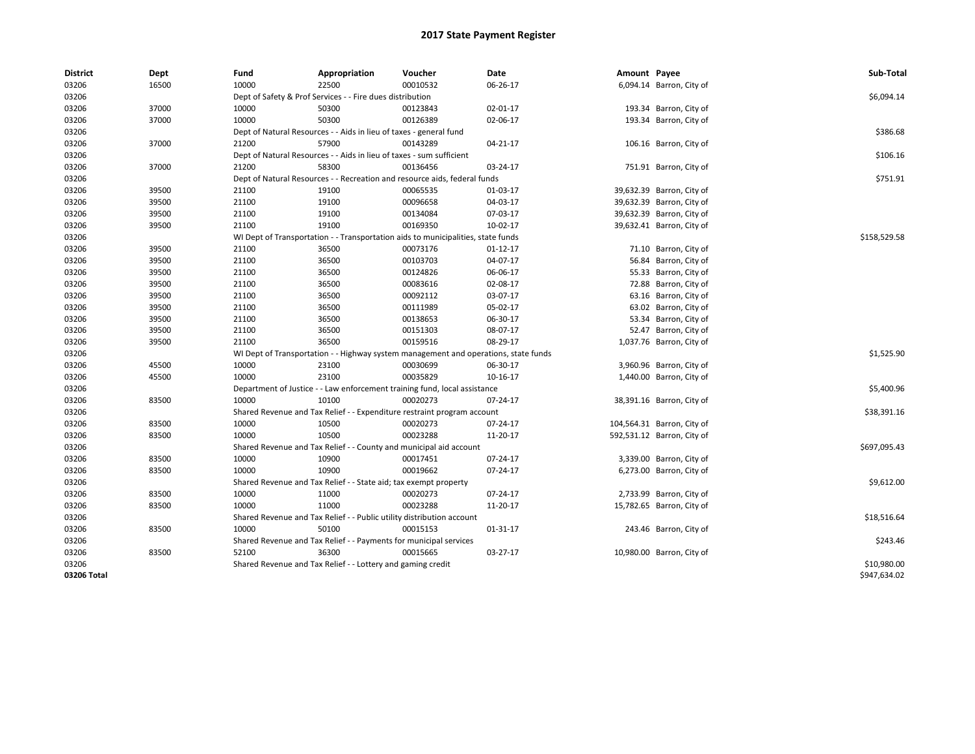| District    | Dept  | Fund                                                               | Appropriation                                                                       | Voucher  | Date     | Amount Payee |                            | Sub-Total    |
|-------------|-------|--------------------------------------------------------------------|-------------------------------------------------------------------------------------|----------|----------|--------------|----------------------------|--------------|
| 03206       | 16500 | 10000                                                              | 22500                                                                               | 00010532 | 06-26-17 |              | 6,094.14 Barron, City of   |              |
| 03206       |       | Dept of Safety & Prof Services - - Fire dues distribution          | \$6,094.14                                                                          |          |          |              |                            |              |
| 03206       | 37000 | 10000                                                              | 50300                                                                               | 00123843 | 02-01-17 |              | 193.34 Barron, City of     |              |
| 03206       | 37000 | 10000                                                              | 50300                                                                               | 00126389 | 02-06-17 |              | 193.34 Barron, City of     |              |
| 03206       |       | Dept of Natural Resources - - Aids in lieu of taxes - general fund | \$386.68                                                                            |          |          |              |                            |              |
| 03206       | 37000 | 21200                                                              | 57900                                                                               | 00143289 | 04-21-17 |              | 106.16 Barron, City of     |              |
| 03206       |       |                                                                    | Dept of Natural Resources - - Aids in lieu of taxes - sum sufficient                |          |          |              |                            | \$106.16     |
| 03206       | 37000 | 21200                                                              | 58300                                                                               | 00136456 | 03-24-17 |              | 751.91 Barron, City of     |              |
| 03206       |       |                                                                    | Dept of Natural Resources - - Recreation and resource aids, federal funds           |          |          |              |                            | \$751.91     |
| 03206       | 39500 | 21100                                                              | 19100                                                                               | 00065535 | 01-03-17 |              | 39,632.39 Barron, City of  |              |
| 03206       | 39500 | 21100                                                              | 19100                                                                               | 00096658 | 04-03-17 |              | 39,632.39 Barron, City of  |              |
| 03206       | 39500 | 21100                                                              | 19100                                                                               | 00134084 | 07-03-17 |              | 39,632.39 Barron, City of  |              |
| 03206       | 39500 | 21100                                                              | 19100                                                                               | 00169350 | 10-02-17 |              | 39,632.41 Barron, City of  |              |
| 03206       |       |                                                                    | WI Dept of Transportation - - Transportation aids to municipalities, state funds    |          |          |              |                            | \$158,529.58 |
| 03206       | 39500 | 21100                                                              | 36500                                                                               | 00073176 | 01-12-17 |              | 71.10 Barron, City of      |              |
| 03206       | 39500 | 21100                                                              | 36500                                                                               | 00103703 | 04-07-17 |              | 56.84 Barron, City of      |              |
| 03206       | 39500 | 21100                                                              | 36500                                                                               | 00124826 | 06-06-17 |              | 55.33 Barron, City of      |              |
| 03206       | 39500 | 21100                                                              | 36500                                                                               | 00083616 | 02-08-17 |              | 72.88 Barron, City of      |              |
| 03206       | 39500 | 21100                                                              | 36500                                                                               | 00092112 | 03-07-17 |              | 63.16 Barron, City of      |              |
| 03206       | 39500 | 21100                                                              | 36500                                                                               | 00111989 | 05-02-17 |              | 63.02 Barron, City of      |              |
| 03206       | 39500 | 21100                                                              | 36500                                                                               | 00138653 | 06-30-17 |              | 53.34 Barron, City of      |              |
| 03206       | 39500 | 21100                                                              | 36500                                                                               | 00151303 | 08-07-17 |              | 52.47 Barron, City of      |              |
| 03206       | 39500 | 21100                                                              | 36500                                                                               | 00159516 | 08-29-17 |              | 1,037.76 Barron, City of   |              |
| 03206       |       |                                                                    | WI Dept of Transportation - - Highway system management and operations, state funds |          |          |              |                            | \$1,525.90   |
| 03206       | 45500 | 10000                                                              | 23100                                                                               | 00030699 | 06-30-17 |              | 3,960.96 Barron, City of   |              |
| 03206       | 45500 | 10000                                                              | 23100                                                                               | 00035829 | 10-16-17 |              | 1,440.00 Barron, City of   |              |
| 03206       |       |                                                                    | Department of Justice - - Law enforcement training fund, local assistance           |          |          |              |                            | \$5,400.96   |
| 03206       | 83500 | 10000                                                              | 10100                                                                               | 00020273 | 07-24-17 |              | 38,391.16 Barron, City of  |              |
| 03206       |       |                                                                    | Shared Revenue and Tax Relief - - Expenditure restraint program account             |          |          |              |                            | \$38,391.16  |
| 03206       | 83500 | 10000                                                              | 10500                                                                               | 00020273 | 07-24-17 |              | 104,564.31 Barron, City of |              |
| 03206       | 83500 | 10000                                                              | 10500                                                                               | 00023288 | 11-20-17 |              | 592,531.12 Barron, City of |              |
| 03206       |       |                                                                    | Shared Revenue and Tax Relief - - County and municipal aid account                  |          |          |              |                            | \$697,095.43 |
| 03206       | 83500 | 10000                                                              | 10900                                                                               | 00017451 | 07-24-17 |              | 3,339.00 Barron, City of   |              |
| 03206       | 83500 | 10000                                                              | 10900                                                                               | 00019662 | 07-24-17 |              | 6,273.00 Barron, City of   |              |
| 03206       |       |                                                                    | Shared Revenue and Tax Relief - - State aid; tax exempt property                    |          |          |              |                            | \$9,612.00   |
| 03206       | 83500 | 10000                                                              | 11000                                                                               | 00020273 | 07-24-17 |              | 2,733.99 Barron, City of   |              |
| 03206       | 83500 | 10000                                                              | 11000                                                                               | 00023288 | 11-20-17 |              | 15,782.65 Barron, City of  |              |
| 03206       |       |                                                                    | Shared Revenue and Tax Relief - - Public utility distribution account               |          |          |              |                            | \$18,516.64  |
| 03206       | 83500 | 10000                                                              | 50100                                                                               | 00015153 | 01-31-17 |              | 243.46 Barron, City of     |              |
| 03206       |       |                                                                    | Shared Revenue and Tax Relief - - Payments for municipal services                   |          |          |              |                            | \$243.46     |
| 03206       | 83500 | 52100                                                              | 36300                                                                               | 00015665 | 03-27-17 |              | 10,980.00 Barron, City of  |              |
| 03206       |       |                                                                    | Shared Revenue and Tax Relief - - Lottery and gaming credit                         |          |          |              |                            | \$10,980.00  |
| 03206 Total |       |                                                                    |                                                                                     |          |          |              |                            | \$947,634.02 |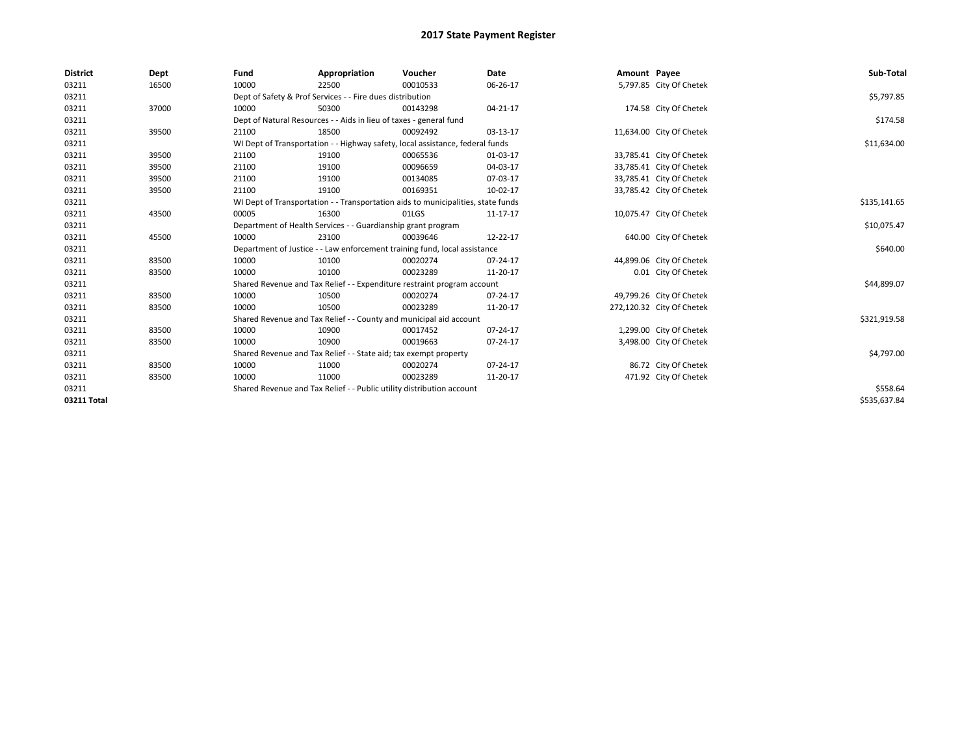| <b>District</b> | Dept  | Fund  | Appropriation                                                                    | Voucher  | Date     | Amount Payee |                           | Sub-Total    |  |  |  |
|-----------------|-------|-------|----------------------------------------------------------------------------------|----------|----------|--------------|---------------------------|--------------|--|--|--|
| 03211           | 16500 | 10000 | 22500                                                                            | 00010533 | 06-26-17 |              | 5,797.85 City Of Chetek   |              |  |  |  |
| 03211           |       |       | Dept of Safety & Prof Services - - Fire dues distribution                        |          |          |              |                           |              |  |  |  |
| 03211           | 37000 | 10000 | 50300                                                                            | 00143298 | 04-21-17 |              | 174.58 City Of Chetek     |              |  |  |  |
| 03211           |       |       | Dept of Natural Resources - - Aids in lieu of taxes - general fund               |          |          |              |                           | \$174.58     |  |  |  |
| 03211           | 39500 | 21100 | 18500                                                                            | 00092492 | 03-13-17 |              | 11,634.00 City Of Chetek  |              |  |  |  |
| 03211           |       |       | WI Dept of Transportation - - Highway safety, local assistance, federal funds    |          |          |              |                           | \$11,634.00  |  |  |  |
| 03211           | 39500 | 21100 | 19100                                                                            | 00065536 | 01-03-17 |              | 33,785.41 City Of Chetek  |              |  |  |  |
| 03211           | 39500 | 21100 | 19100                                                                            | 00096659 | 04-03-17 |              | 33,785.41 City Of Chetek  |              |  |  |  |
| 03211           | 39500 | 21100 | 19100                                                                            | 00134085 | 07-03-17 |              | 33,785.41 City Of Chetek  |              |  |  |  |
| 03211           | 39500 | 21100 | 19100                                                                            | 00169351 | 10-02-17 |              | 33,785.42 City Of Chetek  |              |  |  |  |
| 03211           |       |       | WI Dept of Transportation - - Transportation aids to municipalities, state funds |          |          |              |                           | \$135,141.65 |  |  |  |
| 03211           | 43500 | 00005 | 16300                                                                            | 01LGS    | 11-17-17 |              | 10,075.47 City Of Chetek  |              |  |  |  |
| 03211           |       |       | Department of Health Services - - Guardianship grant program                     |          |          |              |                           |              |  |  |  |
| 03211           | 45500 | 10000 | 23100                                                                            | 00039646 | 12-22-17 |              | 640.00 City Of Chetek     |              |  |  |  |
| 03211           |       |       | Department of Justice - - Law enforcement training fund, local assistance        |          |          |              |                           | \$640.00     |  |  |  |
| 03211           | 83500 | 10000 | 10100                                                                            | 00020274 | 07-24-17 |              | 44,899.06 City Of Chetek  |              |  |  |  |
| 03211           | 83500 | 10000 | 10100                                                                            | 00023289 | 11-20-17 |              | 0.01 City Of Chetek       |              |  |  |  |
| 03211           |       |       | Shared Revenue and Tax Relief - - Expenditure restraint program account          |          |          |              |                           | \$44,899.07  |  |  |  |
| 03211           | 83500 | 10000 | 10500                                                                            | 00020274 | 07-24-17 |              | 49,799.26 City Of Chetek  |              |  |  |  |
| 03211           | 83500 | 10000 | 10500                                                                            | 00023289 | 11-20-17 |              | 272,120.32 City Of Chetek |              |  |  |  |
| 03211           |       |       | Shared Revenue and Tax Relief - - County and municipal aid account               |          |          |              |                           | \$321,919.58 |  |  |  |
| 03211           | 83500 | 10000 | 10900                                                                            | 00017452 | 07-24-17 |              | 1,299.00 City Of Chetek   |              |  |  |  |
| 03211           | 83500 | 10000 | 10900                                                                            | 00019663 | 07-24-17 |              | 3,498.00 City Of Chetek   |              |  |  |  |
| 03211           |       |       | Shared Revenue and Tax Relief - - State aid; tax exempt property                 |          |          |              |                           | \$4,797.00   |  |  |  |
| 03211           | 83500 | 10000 | 11000                                                                            | 00020274 | 07-24-17 |              | 86.72 City Of Chetek      |              |  |  |  |
| 03211           | 83500 | 10000 | 11000                                                                            | 00023289 | 11-20-17 |              | 471.92 City Of Chetek     |              |  |  |  |
| 03211           |       |       | Shared Revenue and Tax Relief - - Public utility distribution account            |          |          |              |                           | \$558.64     |  |  |  |
| 03211 Total     |       |       |                                                                                  |          |          |              |                           | \$535,637.84 |  |  |  |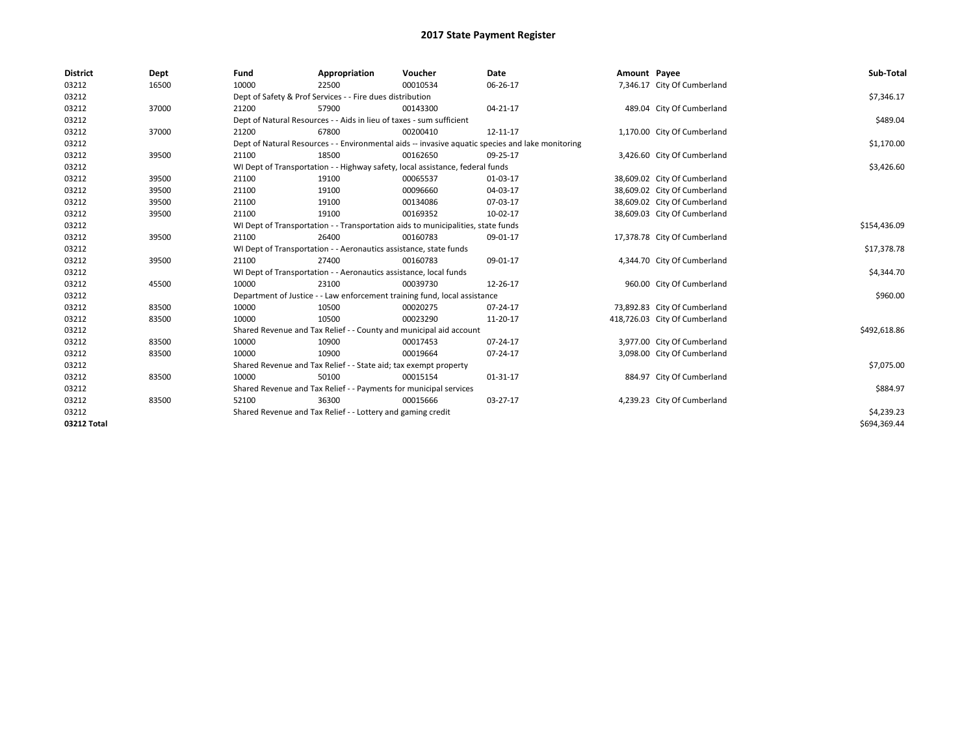| <b>District</b> | Dept  | Fund                                                      | Appropriation                                                        | Voucher                                                                          | <b>Date</b>                                                                                      | Amount Payee |                               | Sub-Total    |
|-----------------|-------|-----------------------------------------------------------|----------------------------------------------------------------------|----------------------------------------------------------------------------------|--------------------------------------------------------------------------------------------------|--------------|-------------------------------|--------------|
| 03212           | 16500 | 10000                                                     | 22500                                                                | 00010534                                                                         | 06-26-17                                                                                         |              | 7,346.17 City Of Cumberland   |              |
| 03212           |       | Dept of Safety & Prof Services - - Fire dues distribution |                                                                      | \$7,346.17                                                                       |                                                                                                  |              |                               |              |
| 03212           | 37000 | 21200                                                     | 57900                                                                | 00143300                                                                         | 04-21-17                                                                                         |              | 489.04 City Of Cumberland     |              |
| 03212           |       |                                                           | Dept of Natural Resources - - Aids in lieu of taxes - sum sufficient |                                                                                  |                                                                                                  |              |                               | \$489.04     |
| 03212           | 37000 | 21200                                                     | 67800                                                                | 00200410                                                                         | 12-11-17                                                                                         |              | 1,170.00 City Of Cumberland   |              |
| 03212           |       |                                                           |                                                                      |                                                                                  | Dept of Natural Resources - - Environmental aids -- invasive aquatic species and lake monitoring |              |                               | \$1,170.00   |
| 03212           | 39500 | 21100                                                     | 18500                                                                | 00162650                                                                         | 09-25-17                                                                                         |              | 3,426.60 City Of Cumberland   |              |
| 03212           |       |                                                           |                                                                      | WI Dept of Transportation - - Highway safety, local assistance, federal funds    |                                                                                                  |              |                               | \$3,426.60   |
| 03212           | 39500 | 21100                                                     | 19100                                                                | 00065537                                                                         | 01-03-17                                                                                         |              | 38,609.02 City Of Cumberland  |              |
| 03212           | 39500 | 21100                                                     | 19100                                                                | 00096660                                                                         | 04-03-17                                                                                         |              | 38,609.02 City Of Cumberland  |              |
| 03212           | 39500 | 21100                                                     | 19100                                                                | 00134086                                                                         | 07-03-17                                                                                         |              | 38,609.02 City Of Cumberland  |              |
| 03212           | 39500 | 21100                                                     | 19100                                                                | 00169352                                                                         | 10-02-17                                                                                         |              | 38,609.03 City Of Cumberland  |              |
| 03212           |       |                                                           |                                                                      | WI Dept of Transportation - - Transportation aids to municipalities, state funds |                                                                                                  |              |                               | \$154,436.09 |
| 03212           | 39500 | 21100                                                     | 26400                                                                | 00160783                                                                         | 09-01-17                                                                                         |              | 17,378.78 City Of Cumberland  |              |
| 03212           |       |                                                           | WI Dept of Transportation - - Aeronautics assistance, state funds    |                                                                                  |                                                                                                  |              |                               | \$17,378.78  |
| 03212           | 39500 | 21100                                                     | 27400                                                                | 00160783                                                                         | 09-01-17                                                                                         |              | 4,344.70 City Of Cumberland   |              |
| 03212           |       |                                                           | WI Dept of Transportation - - Aeronautics assistance, local funds    |                                                                                  |                                                                                                  |              |                               | \$4,344.70   |
| 03212           | 45500 | 10000                                                     | 23100                                                                | 00039730                                                                         | 12-26-17                                                                                         |              | 960.00 City Of Cumberland     |              |
| 03212           |       |                                                           |                                                                      | Department of Justice - - Law enforcement training fund, local assistance        |                                                                                                  |              |                               | \$960.00     |
| 03212           | 83500 | 10000                                                     | 10500                                                                | 00020275                                                                         | 07-24-17                                                                                         |              | 73,892.83 City Of Cumberland  |              |
| 03212           | 83500 | 10000                                                     | 10500                                                                | 00023290                                                                         | 11-20-17                                                                                         |              | 418,726.03 City Of Cumberland |              |
| 03212           |       |                                                           |                                                                      | Shared Revenue and Tax Relief - - County and municipal aid account               |                                                                                                  |              |                               | \$492,618.86 |
| 03212           | 83500 | 10000                                                     | 10900                                                                | 00017453                                                                         | 07-24-17                                                                                         |              | 3,977.00 City Of Cumberland   |              |
| 03212           | 83500 | 10000                                                     | 10900                                                                | 00019664                                                                         | 07-24-17                                                                                         |              | 3,098.00 City Of Cumberland   |              |
| 03212           |       |                                                           | Shared Revenue and Tax Relief - - State aid; tax exempt property     |                                                                                  |                                                                                                  |              |                               | \$7,075.00   |
| 03212           | 83500 | 10000                                                     | 50100                                                                | 00015154                                                                         | 01-31-17                                                                                         |              | 884.97 City Of Cumberland     |              |
| 03212           |       |                                                           | Shared Revenue and Tax Relief - - Payments for municipal services    |                                                                                  |                                                                                                  |              |                               | \$884.97     |
| 03212           | 83500 | 52100                                                     | 36300                                                                | 00015666                                                                         | 03-27-17                                                                                         |              | 4,239.23 City Of Cumberland   |              |
| 03212           |       |                                                           | Shared Revenue and Tax Relief - - Lottery and gaming credit          |                                                                                  |                                                                                                  |              |                               | \$4,239.23   |
| 03212 Total     |       |                                                           |                                                                      |                                                                                  |                                                                                                  |              |                               | \$694,369.44 |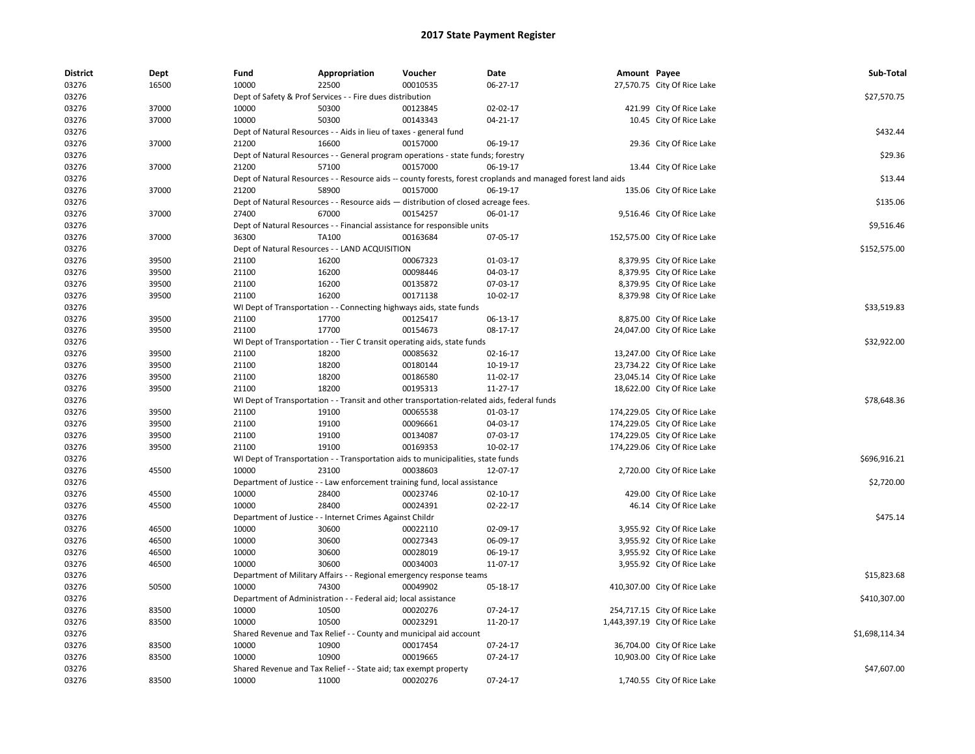| <b>District</b> | Dept  | Fund  | Appropriation                                                                      | Voucher  | <b>Date</b>                                                                                                  | Amount Payee |                                | Sub-Total      |
|-----------------|-------|-------|------------------------------------------------------------------------------------|----------|--------------------------------------------------------------------------------------------------------------|--------------|--------------------------------|----------------|
| 03276           | 16500 | 10000 | 22500                                                                              | 00010535 | 06-27-17                                                                                                     |              | 27,570.75 City Of Rice Lake    |                |
| 03276           |       |       | Dept of Safety & Prof Services - - Fire dues distribution                          |          |                                                                                                              |              |                                | \$27,570.75    |
| 03276           | 37000 | 10000 | 50300                                                                              | 00123845 | 02-02-17                                                                                                     |              | 421.99 City Of Rice Lake       |                |
| 03276           | 37000 | 10000 | 50300                                                                              | 00143343 | 04-21-17                                                                                                     |              | 10.45 City Of Rice Lake        |                |
| 03276           |       |       | Dept of Natural Resources - - Aids in lieu of taxes - general fund                 |          |                                                                                                              |              |                                | \$432.44       |
| 03276           | 37000 | 21200 | 16600                                                                              | 00157000 | 06-19-17                                                                                                     |              | 29.36 City Of Rice Lake        |                |
| 03276           |       |       | Dept of Natural Resources - - General program operations - state funds; forestry   |          |                                                                                                              |              |                                | \$29.36        |
| 03276           | 37000 | 21200 | 57100                                                                              | 00157000 | 06-19-17                                                                                                     |              | 13.44 City Of Rice Lake        |                |
| 03276           |       |       |                                                                                    |          | Dept of Natural Resources - - Resource aids -- county forests, forest croplands and managed forest land aids |              |                                | \$13.44        |
| 03276           | 37000 | 21200 | 58900                                                                              | 00157000 | 06-19-17                                                                                                     |              | 135.06 City Of Rice Lake       |                |
| 03276           |       |       | Dept of Natural Resources - - Resource aids - distribution of closed acreage fees. |          |                                                                                                              |              |                                | \$135.06       |
| 03276           | 37000 | 27400 | 67000                                                                              | 00154257 | 06-01-17                                                                                                     |              | 9,516.46 City Of Rice Lake     |                |
| 03276           |       |       | Dept of Natural Resources - - Financial assistance for responsible units           |          |                                                                                                              |              |                                | \$9,516.46     |
| 03276           | 37000 | 36300 | TA100                                                                              | 00163684 | 07-05-17                                                                                                     |              | 152,575.00 City Of Rice Lake   |                |
| 03276           |       |       | Dept of Natural Resources - - LAND ACQUISITION                                     |          |                                                                                                              |              |                                | \$152,575.00   |
| 03276           | 39500 | 21100 | 16200                                                                              | 00067323 | $01-03-17$                                                                                                   |              | 8,379.95 City Of Rice Lake     |                |
| 03276           | 39500 | 21100 | 16200                                                                              | 00098446 | 04-03-17                                                                                                     |              | 8,379.95 City Of Rice Lake     |                |
| 03276           | 39500 | 21100 | 16200                                                                              | 00135872 | 07-03-17                                                                                                     |              | 8,379.95 City Of Rice Lake     |                |
| 03276           | 39500 | 21100 | 16200                                                                              | 00171138 |                                                                                                              |              |                                |                |
|                 |       |       |                                                                                    |          | 10-02-17                                                                                                     |              | 8,379.98 City Of Rice Lake     |                |
| 03276           |       |       | WI Dept of Transportation - - Connecting highways aids, state funds                |          |                                                                                                              |              |                                | \$33,519.83    |
| 03276           | 39500 | 21100 | 17700                                                                              | 00125417 | 06-13-17                                                                                                     |              | 8,875.00 City Of Rice Lake     |                |
| 03276           | 39500 | 21100 | 17700                                                                              | 00154673 | 08-17-17                                                                                                     |              | 24,047.00 City Of Rice Lake    |                |
| 03276           |       |       | WI Dept of Transportation - - Tier C transit operating aids, state funds           |          |                                                                                                              |              |                                | \$32,922.00    |
| 03276           | 39500 | 21100 | 18200                                                                              | 00085632 | 02-16-17                                                                                                     |              | 13,247.00 City Of Rice Lake    |                |
| 03276           | 39500 | 21100 | 18200                                                                              | 00180144 | 10-19-17                                                                                                     |              | 23,734.22 City Of Rice Lake    |                |
| 03276           | 39500 | 21100 | 18200                                                                              | 00186580 | 11-02-17                                                                                                     |              | 23,045.14 City Of Rice Lake    |                |
| 03276           | 39500 | 21100 | 18200                                                                              | 00195313 | $11-27-17$                                                                                                   |              | 18,622.00 City Of Rice Lake    |                |
| 03276           |       |       |                                                                                    |          | WI Dept of Transportation - - Transit and other transportation-related aids, federal funds                   |              |                                | \$78,648.36    |
| 03276           | 39500 | 21100 | 19100                                                                              | 00065538 | $01-03-17$                                                                                                   |              | 174,229.05 City Of Rice Lake   |                |
| 03276           | 39500 | 21100 | 19100                                                                              | 00096661 | 04-03-17                                                                                                     |              | 174,229.05 City Of Rice Lake   |                |
| 03276           | 39500 | 21100 | 19100                                                                              | 00134087 | 07-03-17                                                                                                     |              | 174,229.05 City Of Rice Lake   |                |
| 03276           | 39500 | 21100 | 19100                                                                              | 00169353 | 10-02-17                                                                                                     |              | 174,229.06 City Of Rice Lake   |                |
| 03276           |       |       | WI Dept of Transportation - - Transportation aids to municipalities, state funds   |          |                                                                                                              |              |                                | \$696,916.21   |
| 03276           | 45500 | 10000 | 23100                                                                              | 00038603 | 12-07-17                                                                                                     |              | 2,720.00 City Of Rice Lake     |                |
| 03276           |       |       | Department of Justice - - Law enforcement training fund, local assistance          |          |                                                                                                              |              |                                | \$2,720.00     |
| 03276           | 45500 | 10000 | 28400                                                                              | 00023746 | $02 - 10 - 17$                                                                                               |              | 429.00 City Of Rice Lake       |                |
| 03276           | 45500 | 10000 | 28400                                                                              | 00024391 | $02 - 22 - 17$                                                                                               |              | 46.14 City Of Rice Lake        |                |
| 03276           |       |       | Department of Justice - - Internet Crimes Against Childr                           |          |                                                                                                              |              |                                | \$475.14       |
| 03276           | 46500 | 10000 | 30600                                                                              | 00022110 | 02-09-17                                                                                                     |              | 3,955.92 City Of Rice Lake     |                |
| 03276           | 46500 | 10000 | 30600                                                                              | 00027343 | 06-09-17                                                                                                     |              | 3,955.92 City Of Rice Lake     |                |
| 03276           | 46500 | 10000 | 30600                                                                              | 00028019 | 06-19-17                                                                                                     |              | 3,955.92 City Of Rice Lake     |                |
| 03276           | 46500 | 10000 | 30600                                                                              | 00034003 | 11-07-17                                                                                                     |              | 3,955.92 City Of Rice Lake     |                |
| 03276           |       |       | Department of Military Affairs - - Regional emergency response teams               |          |                                                                                                              |              |                                | \$15,823.68    |
| 03276           | 50500 | 10000 | 74300                                                                              | 00049902 | 05-18-17                                                                                                     |              | 410,307.00 City Of Rice Lake   |                |
| 03276           |       |       | Department of Administration - - Federal aid; local assistance                     |          |                                                                                                              |              |                                | \$410,307.00   |
| 03276           | 83500 | 10000 | 10500                                                                              | 00020276 | 07-24-17                                                                                                     |              | 254,717.15 City Of Rice Lake   |                |
|                 | 83500 | 10000 | 10500                                                                              | 00023291 | 11-20-17                                                                                                     |              | 1,443,397.19 City Of Rice Lake |                |
| 03276           |       |       |                                                                                    |          |                                                                                                              |              |                                |                |
| 03276           |       |       | Shared Revenue and Tax Relief - - County and municipal aid account                 |          |                                                                                                              |              |                                | \$1,698,114.34 |
| 03276           | 83500 | 10000 | 10900                                                                              | 00017454 | 07-24-17                                                                                                     |              | 36,704.00 City Of Rice Lake    |                |
| 03276           | 83500 | 10000 | 10900                                                                              | 00019665 | 07-24-17                                                                                                     |              | 10,903.00 City Of Rice Lake    |                |
| 03276           |       |       | Shared Revenue and Tax Relief - - State aid; tax exempt property                   |          |                                                                                                              |              |                                | \$47,607.00    |
| 03276           | 83500 | 10000 | 11000                                                                              | 00020276 | 07-24-17                                                                                                     |              | 1,740.55 City Of Rice Lake     |                |